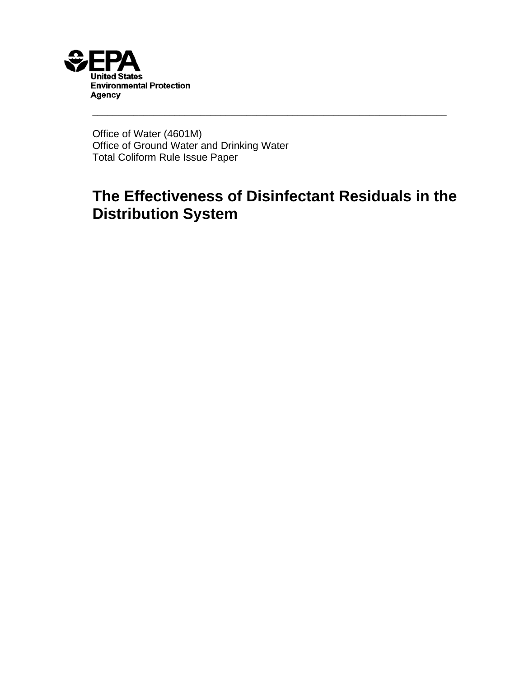

Office of Water (4601M) Office of Ground Water and Drinking Water Total Coliform Rule Issue Paper

# **The Effectiveness of Disinfectant Residuals in the Distribution System**

\_\_\_\_\_\_\_\_\_\_\_\_\_\_\_\_\_\_\_\_\_\_\_\_\_\_\_\_\_\_\_\_\_\_\_\_\_\_\_\_\_\_\_\_\_\_\_\_\_\_\_\_\_\_\_\_\_\_\_\_\_\_\_\_\_\_\_\_\_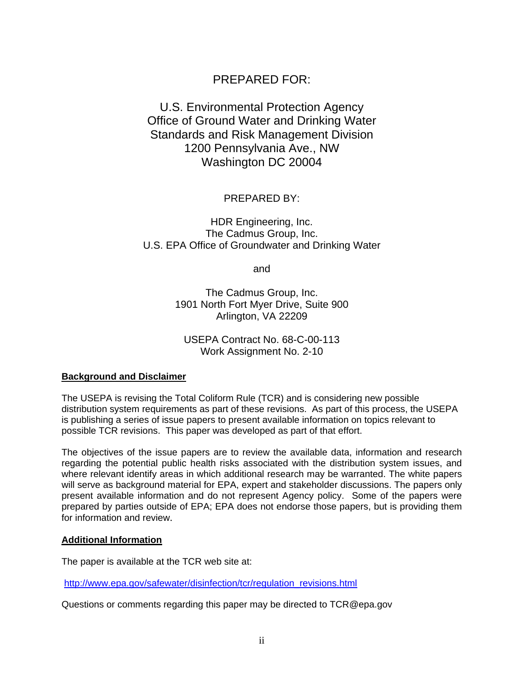# PREPARED FOR:

## U.S. Environmental Protection Agency Office of Ground Water and Drinking Water Standards and Risk Management Division 1200 Pennsylvania Ave., NW Washington DC 20004

PREPARED BY:

HDR Engineering, Inc. The Cadmus Group, Inc. U.S. EPA Office of Groundwater and Drinking Water

and

The Cadmus Group, Inc. 1901 North Fort Myer Drive, Suite 900 Arlington, VA 22209

USEPA Contract No. 68-C-00-113 Work Assignment No. 2-10

#### **Background and Disclaimer**

The USEPA is revising the Total Coliform Rule (TCR) and is considering new possible distribution system requirements as part of these revisions. As part of this process, the USEPA is publishing a series of issue papers to present available information on topics relevant to possible TCR revisions. This paper was developed as part of that effort.

The objectives of the issue papers are to review the available data, information and research regarding the potential public health risks associated with the distribution system issues, and where relevant identify areas in which additional research may be warranted. The white papers will serve as background material for EPA, expert and stakeholder discussions. The papers only present available information and do not represent Agency policy. Some of the papers were prepared by parties outside of EPA; EPA does not endorse those papers, but is providing them for information and review.

#### **Additional Information**

The paper is available at the TCR web site at:

http://www.epa.gov/safewater/disinfection/tcr/regulation\_revisions.html

Questions or comments regarding this paper may be directed to TCR@epa.gov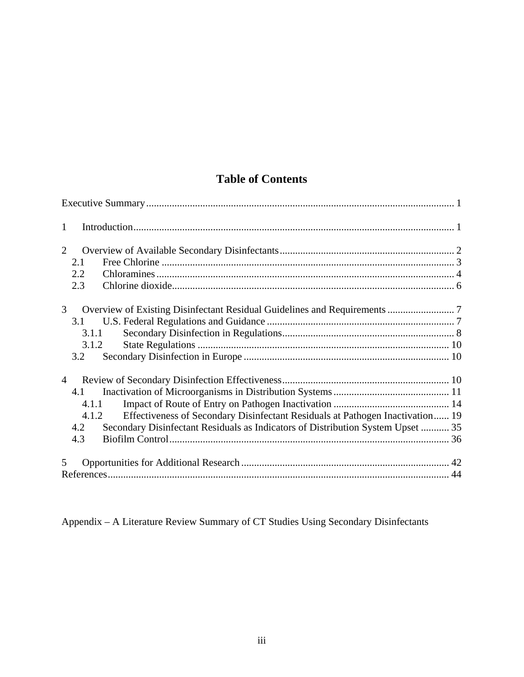# **Table of Contents**

| $\mathbf{1}$                                                                           |  |
|----------------------------------------------------------------------------------------|--|
| $\overline{2}$                                                                         |  |
| 2.1                                                                                    |  |
| 2.2                                                                                    |  |
| 2.3                                                                                    |  |
| $\mathfrak{Z}$                                                                         |  |
| 3.1                                                                                    |  |
| 3.1.1                                                                                  |  |
| 3.1.2                                                                                  |  |
| 3.2                                                                                    |  |
| $\overline{4}$                                                                         |  |
| 4.1                                                                                    |  |
| 4.1.1                                                                                  |  |
| Effectiveness of Secondary Disinfectant Residuals at Pathogen Inactivation 19<br>4.1.2 |  |
| Secondary Disinfectant Residuals as Indicators of Distribution System Upset  35<br>4.2 |  |
| 4.3                                                                                    |  |
| 5                                                                                      |  |
|                                                                                        |  |

Appendix – A Literature Review Summary of CT Studies Using Secondary Disinfectants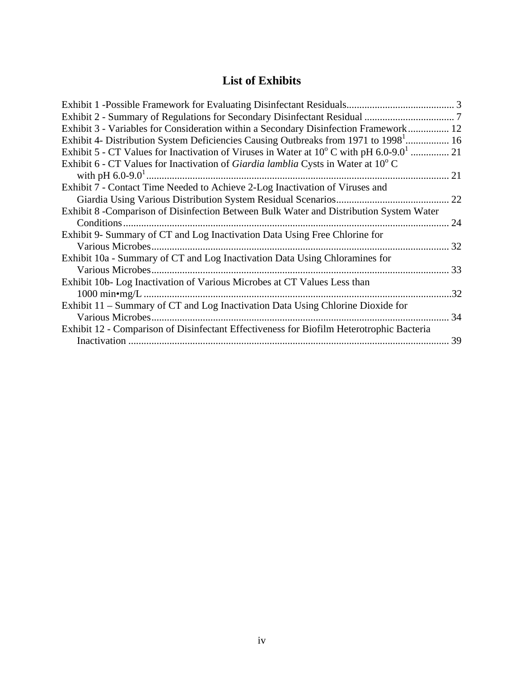# **List of Exhibits**

| Exhibit 3 - Variables for Consideration within a Secondary Disinfection Framework 12            |     |
|-------------------------------------------------------------------------------------------------|-----|
| Exhibit 4- Distribution System Deficiencies Causing Outbreaks from 1971 to 1998 <sup>1</sup> 16 |     |
|                                                                                                 |     |
| Exhibit 6 - CT Values for Inactivation of Giardia lamblia Cysts in Water at $10^{\circ}$ C      |     |
|                                                                                                 |     |
| Exhibit 7 - Contact Time Needed to Achieve 2-Log Inactivation of Viruses and                    |     |
|                                                                                                 | 22  |
| Exhibit 8 - Comparison of Disinfection Between Bulk Water and Distribution System Water         |     |
|                                                                                                 | 24  |
| Exhibit 9- Summary of CT and Log Inactivation Data Using Free Chlorine for                      |     |
| Various Microbes.                                                                               | 32  |
| Exhibit 10a - Summary of CT and Log Inactivation Data Using Chloramines for                     |     |
|                                                                                                 | 33  |
| Exhibit 10b-Log Inactivation of Various Microbes at CT Values Less than                         |     |
|                                                                                                 | .32 |
| Exhibit 11 - Summary of CT and Log Inactivation Data Using Chlorine Dioxide for                 |     |
|                                                                                                 | 34  |
| Exhibit 12 - Comparison of Disinfectant Effectiveness for Biofilm Heterotrophic Bacteria        |     |
|                                                                                                 | 39  |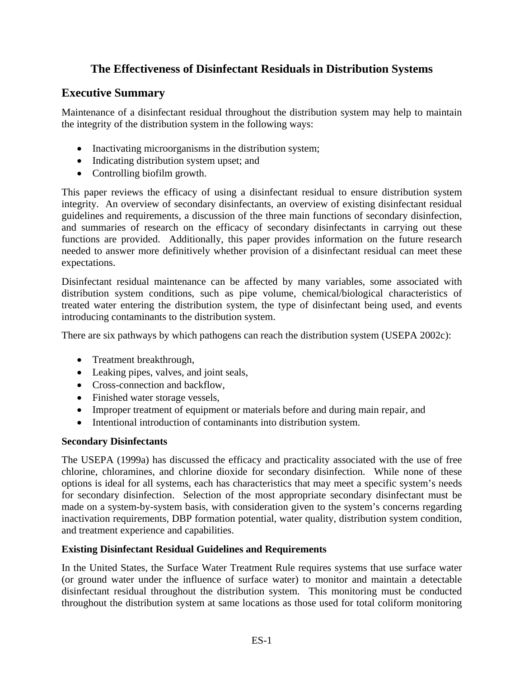# **The Effectiveness of Disinfectant Residuals in Distribution Systems**

### **Executive Summary**

Maintenance of a disinfectant residual throughout the distribution system may help to maintain the integrity of the distribution system in the following ways:

- Inactivating microorganisms in the distribution system;
- Indicating distribution system upset; and
- Controlling biofilm growth.

This paper reviews the efficacy of using a disinfectant residual to ensure distribution system integrity. An overview of secondary disinfectants, an overview of existing disinfectant residual guidelines and requirements, a discussion of the three main functions of secondary disinfection, and summaries of research on the efficacy of secondary disinfectants in carrying out these functions are provided. Additionally, this paper provides information on the future research needed to answer more definitively whether provision of a disinfectant residual can meet these expectations.

Disinfectant residual maintenance can be affected by many variables, some associated with distribution system conditions, such as pipe volume, chemical/biological characteristics of treated water entering the distribution system, the type of disinfectant being used, and events introducing contaminants to the distribution system.

There are six pathways by which pathogens can reach the distribution system (USEPA 2002c):

- Treatment breakthrough,
- Leaking pipes, valves, and joint seals,
- Cross-connection and backflow,
- Finished water storage vessels,
- Improper treatment of equipment or materials before and during main repair, and
- Intentional introduction of contaminants into distribution system.

#### **Secondary Disinfectants**

The USEPA (1999a) has discussed the efficacy and practicality associated with the use of free chlorine, chloramines, and chlorine dioxide for secondary disinfection. While none of these options is ideal for all systems, each has characteristics that may meet a specific system's needs for secondary disinfection. Selection of the most appropriate secondary disinfectant must be made on a system-by-system basis, with consideration given to the system's concerns regarding inactivation requirements, DBP formation potential, water quality, distribution system condition, and treatment experience and capabilities.

#### **Existing Disinfectant Residual Guidelines and Requirements**

In the United States, the Surface Water Treatment Rule requires systems that use surface water (or ground water under the influence of surface water) to monitor and maintain a detectable disinfectant residual throughout the distribution system. This monitoring must be conducted throughout the distribution system at same locations as those used for total coliform monitoring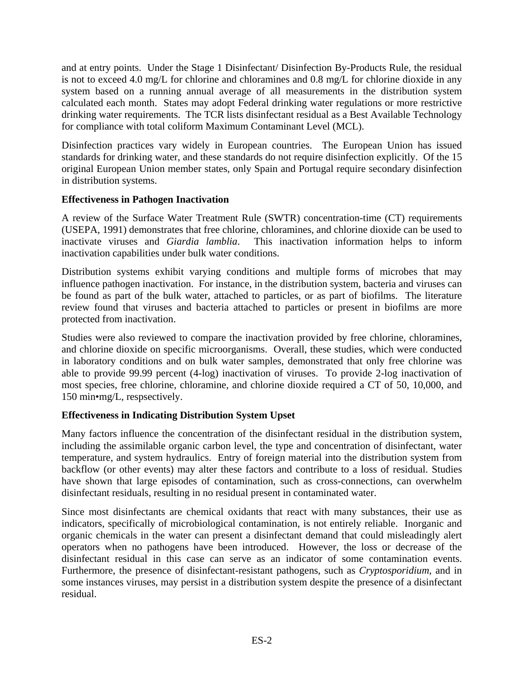and at entry points. Under the Stage 1 Disinfectant/ Disinfection By-Products Rule, the residual is not to exceed 4.0 mg/L for chlorine and chloramines and 0.8 mg/L for chlorine dioxide in any system based on a running annual average of all measurements in the distribution system calculated each month. States may adopt Federal drinking water regulations or more restrictive drinking water requirements. The TCR lists disinfectant residual as a Best Available Technology for compliance with total coliform Maximum Contaminant Level (MCL).

Disinfection practices vary widely in European countries. The European Union has issued standards for drinking water, and these standards do not require disinfection explicitly. Of the 15 original European Union member states, only Spain and Portugal require secondary disinfection in distribution systems.

#### **Effectiveness in Pathogen Inactivation**

A review of the Surface Water Treatment Rule (SWTR) concentration-time (CT) requirements (USEPA, 1991) demonstrates that free chlorine, chloramines, and chlorine dioxide can be used to inactivate viruses and *Giardia lamblia*. This inactivation information helps to inform inactivation capabilities under bulk water conditions.

Distribution systems exhibit varying conditions and multiple forms of microbes that may influence pathogen inactivation. For instance, in the distribution system, bacteria and viruses can be found as part of the bulk water, attached to particles, or as part of biofilms. The literature review found that viruses and bacteria attached to particles or present in biofilms are more protected from inactivation.

Studies were also reviewed to compare the inactivation provided by free chlorine, chloramines, and chlorine dioxide on specific microorganisms. Overall, these studies, which were conducted in laboratory conditions and on bulk water samples, demonstrated that only free chlorine was able to provide 99.99 percent (4-log) inactivation of viruses. To provide 2-log inactivation of most species, free chlorine, chloramine, and chlorine dioxide required a CT of 50, 10,000, and 150 min•mg/L, respsectively.

### **Effectiveness in Indicating Distribution System Upset**

Many factors influence the concentration of the disinfectant residual in the distribution system, including the assimilable organic carbon level, the type and concentration of disinfectant, water temperature, and system hydraulics. Entry of foreign material into the distribution system from backflow (or other events) may alter these factors and contribute to a loss of residual. Studies have shown that large episodes of contamination, such as cross-connections, can overwhelm disinfectant residuals, resulting in no residual present in contaminated water.

Since most disinfectants are chemical oxidants that react with many substances, their use as indicators, specifically of microbiological contamination, is not entirely reliable. Inorganic and organic chemicals in the water can present a disinfectant demand that could misleadingly alert operators when no pathogens have been introduced. However, the loss or decrease of the disinfectant residual in this case can serve as an indicator of some contamination events. Furthermore, the presence of disinfectant-resistant pathogens, such as *Cryptosporidium*, and in some instances viruses, may persist in a distribution system despite the presence of a disinfectant residual.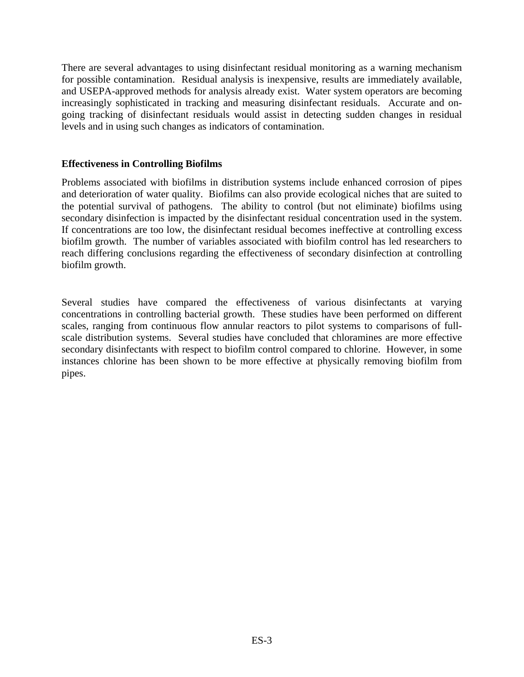There are several advantages to using disinfectant residual monitoring as a warning mechanism for possible contamination. Residual analysis is inexpensive, results are immediately available, and USEPA-approved methods for analysis already exist. Water system operators are becoming increasingly sophisticated in tracking and measuring disinfectant residuals. Accurate and ongoing tracking of disinfectant residuals would assist in detecting sudden changes in residual levels and in using such changes as indicators of contamination.

#### **Effectiveness in Controlling Biofilms**

Problems associated with biofilms in distribution systems include enhanced corrosion of pipes and deterioration of water quality. Biofilms can also provide ecological niches that are suited to the potential survival of pathogens. The ability to control (but not eliminate) biofilms using secondary disinfection is impacted by the disinfectant residual concentration used in the system. If concentrations are too low, the disinfectant residual becomes ineffective at controlling excess biofilm growth. The number of variables associated with biofilm control has led researchers to reach differing conclusions regarding the effectiveness of secondary disinfection at controlling biofilm growth.

Several studies have compared the effectiveness of various disinfectants at varying concentrations in controlling bacterial growth. These studies have been performed on different scales, ranging from continuous flow annular reactors to pilot systems to comparisons of fullscale distribution systems. Several studies have concluded that chloramines are more effective secondary disinfectants with respect to biofilm control compared to chlorine. However, in some instances chlorine has been shown to be more effective at physically removing biofilm from pipes.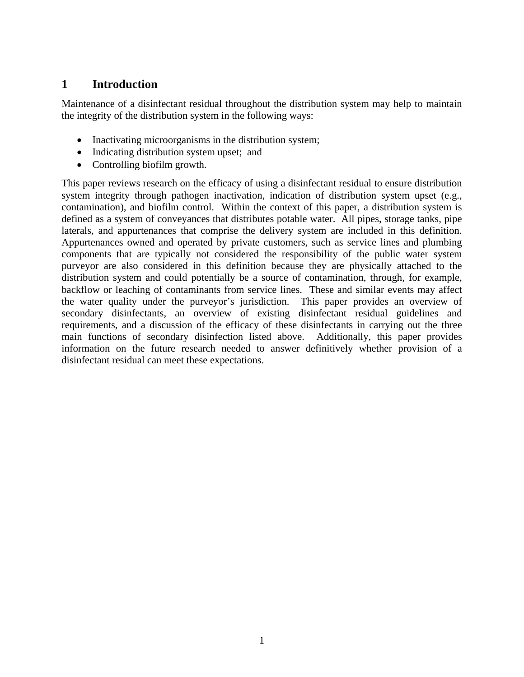# **1 Introduction**

Maintenance of a disinfectant residual throughout the distribution system may help to maintain the integrity of the distribution system in the following ways:

- Inactivating microorganisms in the distribution system;
- Indicating distribution system upset; and
- Controlling biofilm growth.

This paper reviews research on the efficacy of using a disinfectant residual to ensure distribution system integrity through pathogen inactivation, indication of distribution system upset (e.g., contamination), and biofilm control. Within the context of this paper, a distribution system is defined as a system of conveyances that distributes potable water. All pipes, storage tanks, pipe laterals, and appurtenances that comprise the delivery system are included in this definition. Appurtenances owned and operated by private customers, such as service lines and plumbing components that are typically not considered the responsibility of the public water system purveyor are also considered in this definition because they are physically attached to the distribution system and could potentially be a source of contamination, through, for example, backflow or leaching of contaminants from service lines. These and similar events may affect the water quality under the purveyor's jurisdiction. This paper provides an overview of secondary disinfectants, an overview of existing disinfectant residual guidelines and requirements, and a discussion of the efficacy of these disinfectants in carrying out the three main functions of secondary disinfection listed above. Additionally, this paper provides information on the future research needed to answer definitively whether provision of a disinfectant residual can meet these expectations.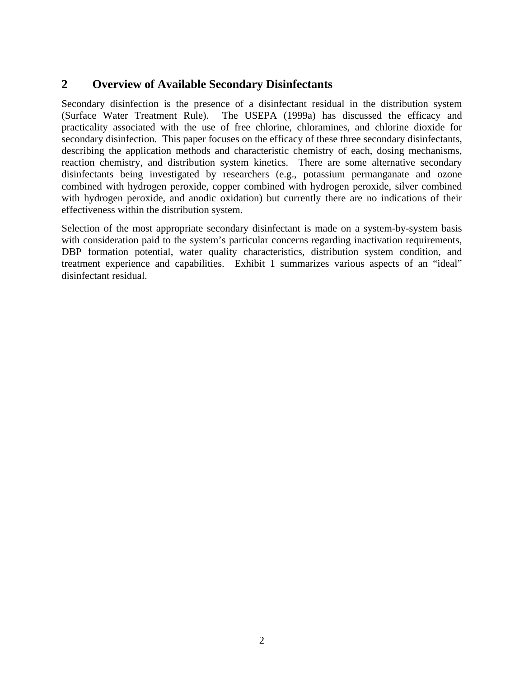## **2 Overview of Available Secondary Disinfectants**

Secondary disinfection is the presence of a disinfectant residual in the distribution system (Surface Water Treatment Rule). The USEPA (1999a) has discussed the efficacy and practicality associated with the use of free chlorine, chloramines, and chlorine dioxide for secondary disinfection. This paper focuses on the efficacy of these three secondary disinfectants, describing the application methods and characteristic chemistry of each, dosing mechanisms, reaction chemistry, and distribution system kinetics. There are some alternative secondary disinfectants being investigated by researchers (e.g., potassium permanganate and ozone combined with hydrogen peroxide, copper combined with hydrogen peroxide, silver combined with hydrogen peroxide, and anodic oxidation) but currently there are no indications of their effectiveness within the distribution system.

Selection of the most appropriate secondary disinfectant is made on a system-by-system basis with consideration paid to the system's particular concerns regarding inactivation requirements, DBP formation potential, water quality characteristics, distribution system condition, and treatment experience and capabilities. Exhibit 1 summarizes various aspects of an "ideal" disinfectant residual.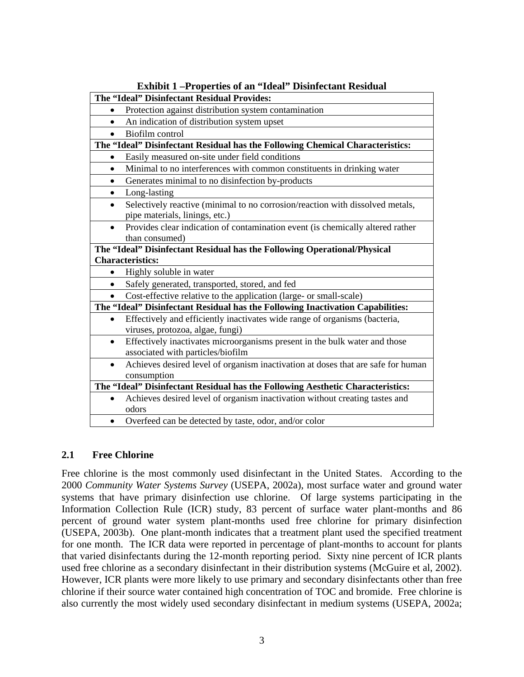| $\ldots$<br>The "Ideal" Disinfectant Residual Provides:                                       |
|-----------------------------------------------------------------------------------------------|
| Protection against distribution system contamination<br>$\bullet$                             |
| An indication of distribution system upset                                                    |
| Biofilm control                                                                               |
|                                                                                               |
| The "Ideal" Disinfectant Residual has the Following Chemical Characteristics:                 |
| Easily measured on-site under field conditions<br>$\bullet$                                   |
| Minimal to no interferences with common constituents in drinking water<br>$\bullet$           |
| Generates minimal to no disinfection by-products<br>$\bullet$                                 |
| Long-lasting<br>$\bullet$                                                                     |
| Selectively reactive (minimal to no corrosion/reaction with dissolved metals,<br>$\bullet$    |
| pipe materials, linings, etc.)                                                                |
| Provides clear indication of contamination event (is chemically altered rather<br>$\bullet$   |
| than consumed)                                                                                |
| The "Ideal" Disinfectant Residual has the Following Operational/Physical                      |
| <b>Characteristics:</b>                                                                       |
| Highly soluble in water<br>$\bullet$                                                          |
| Safely generated, transported, stored, and fed                                                |
| Cost-effective relative to the application (large- or small-scale)                            |
| The "Ideal" Disinfectant Residual has the Following Inactivation Capabilities:                |
| Effectively and efficiently inactivates wide range of organisms (bacteria,<br>$\bullet$       |
| viruses, protozoa, algae, fungi)                                                              |
| Effectively inactivates microorganisms present in the bulk water and those<br>$\bullet$       |
| associated with particles/biofilm                                                             |
| Achieves desired level of organism inactivation at doses that are safe for human<br>$\bullet$ |
| consumption                                                                                   |
| The "Ideal" Disinfectant Residual has the Following Aesthetic Characteristics:                |
| Achieves desired level of organism inactivation without creating tastes and                   |
| odors                                                                                         |
| Overfeed can be detected by taste, odor, and/or color                                         |

**Exhibit 1 –Properties of an "Ideal" Disinfectant Residual** 

#### **2.1 Free Chlorine**

Free chlorine is the most commonly used disinfectant in the United States. According to the 2000 *Community Water Systems Survey* (USEPA, 2002a), most surface water and ground water systems that have primary disinfection use chlorine. Of large systems participating in the Information Collection Rule (ICR) study, 83 percent of surface water plant-months and 86 percent of ground water system plant-months used free chlorine for primary disinfection (USEPA, 2003b). One plant-month indicates that a treatment plant used the specified treatment for one month. The ICR data were reported in percentage of plant-months to account for plants that varied disinfectants during the 12-month reporting period. Sixty nine percent of ICR plants used free chlorine as a secondary disinfectant in their distribution systems (McGuire et al, 2002). However, ICR plants were more likely to use primary and secondary disinfectants other than free chlorine if their source water contained high concentration of TOC and bromide. Free chlorine is also currently the most widely used secondary disinfectant in medium systems (USEPA, 2002a;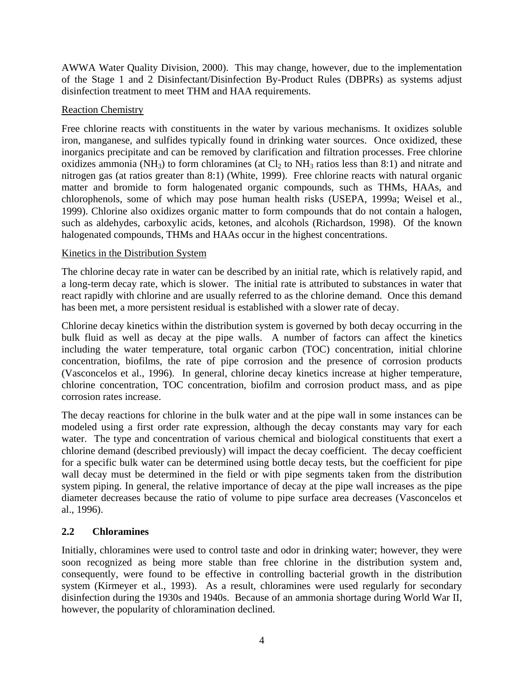AWWA Water Quality Division, 2000). This may change, however, due to the implementation of the Stage 1 and 2 Disinfectant/Disinfection By-Product Rules (DBPRs) as systems adjust disinfection treatment to meet THM and HAA requirements.

#### Reaction Chemistry

Free chlorine reacts with constituents in the water by various mechanisms. It oxidizes soluble iron, manganese, and sulfides typically found in drinking water sources. Once oxidized, these inorganics precipitate and can be removed by clarification and filtration processes. Free chlorine oxidizes ammonia (NH<sub>3</sub>) to form chloramines (at  $Cl_2$  to NH<sub>3</sub> ratios less than 8:1) and nitrate and nitrogen gas (at ratios greater than 8:1) (White, 1999). Free chlorine reacts with natural organic matter and bromide to form halogenated organic compounds, such as THMs, HAAs, and chlorophenols, some of which may pose human health risks (USEPA, 1999a; Weisel et al., 1999). Chlorine also oxidizes organic matter to form compounds that do not contain a halogen, such as aldehydes, carboxylic acids, ketones, and alcohols (Richardson, 1998). Of the known halogenated compounds, THMs and HAAs occur in the highest concentrations.

#### Kinetics in the Distribution System

The chlorine decay rate in water can be described by an initial rate, which is relatively rapid, and a long-term decay rate, which is slower. The initial rate is attributed to substances in water that react rapidly with chlorine and are usually referred to as the chlorine demand. Once this demand has been met, a more persistent residual is established with a slower rate of decay.

Chlorine decay kinetics within the distribution system is governed by both decay occurring in the bulk fluid as well as decay at the pipe walls. A number of factors can affect the kinetics including the water temperature, total organic carbon (TOC) concentration, initial chlorine concentration, biofilms, the rate of pipe corrosion and the presence of corrosion products (Vasconcelos et al., 1996). In general, chlorine decay kinetics increase at higher temperature, chlorine concentration, TOC concentration, biofilm and corrosion product mass, and as pipe corrosion rates increase.

The decay reactions for chlorine in the bulk water and at the pipe wall in some instances can be modeled using a first order rate expression, although the decay constants may vary for each water. The type and concentration of various chemical and biological constituents that exert a chlorine demand (described previously) will impact the decay coefficient. The decay coefficient for a specific bulk water can be determined using bottle decay tests, but the coefficient for pipe wall decay must be determined in the field or with pipe segments taken from the distribution system piping. In general, the relative importance of decay at the pipe wall increases as the pipe diameter decreases because the ratio of volume to pipe surface area decreases (Vasconcelos et al., 1996).

### **2.2 Chloramines**

Initially, chloramines were used to control taste and odor in drinking water; however, they were soon recognized as being more stable than free chlorine in the distribution system and, consequently, were found to be effective in controlling bacterial growth in the distribution system (Kirmeyer et al., 1993). As a result, chloramines were used regularly for secondary disinfection during the 1930s and 1940s. Because of an ammonia shortage during World War II, however, the popularity of chloramination declined.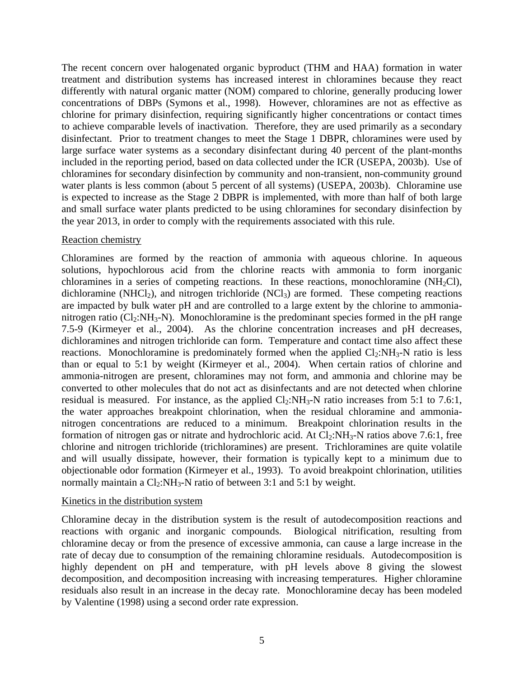The recent concern over halogenated organic byproduct (THM and HAA) formation in water treatment and distribution systems has increased interest in chloramines because they react differently with natural organic matter (NOM) compared to chlorine, generally producing lower concentrations of DBPs (Symons et al., 1998). However, chloramines are not as effective as chlorine for primary disinfection, requiring significantly higher concentrations or contact times to achieve comparable levels of inactivation. Therefore, they are used primarily as a secondary disinfectant. Prior to treatment changes to meet the Stage 1 DBPR, chloramines were used by large surface water systems as a secondary disinfectant during 40 percent of the plant-months included in the reporting period, based on data collected under the ICR (USEPA, 2003b). Use of chloramines for secondary disinfection by community and non-transient, non-community ground water plants is less common (about 5 percent of all systems) (USEPA, 2003b). Chloramine use is expected to increase as the Stage 2 DBPR is implemented, with more than half of both large and small surface water plants predicted to be using chloramines for secondary disinfection by the year 2013, in order to comply with the requirements associated with this rule.

#### Reaction chemistry

Chloramines are formed by the reaction of ammonia with aqueous chlorine. In aqueous solutions, hypochlorous acid from the chlorine reacts with ammonia to form inorganic chloramines in a series of competing reactions. In these reactions, monochloramine  $(NH_2Cl)$ , dichloramine (NHCl<sub>2</sub>), and nitrogen trichloride (NCl<sub>3</sub>) are formed. These competing reactions are impacted by bulk water pH and are controlled to a large extent by the chlorine to ammonianitrogen ratio ( $Cl_2:NH_3-N$ ). Monochloramine is the predominant species formed in the pH range 7.5-9 (Kirmeyer et al., 2004). As the chlorine concentration increases and pH decreases, dichloramines and nitrogen trichloride can form. Temperature and contact time also affect these reactions. Monochloramine is predominately formed when the applied  $Cl_2:NH_3-N$  ratio is less than or equal to 5:1 by weight (Kirmeyer et al., 2004). When certain ratios of chlorine and ammonia-nitrogen are present, chloramines may not form, and ammonia and chlorine may be converted to other molecules that do not act as disinfectants and are not detected when chlorine residual is measured. For instance, as the applied  $Cl_2:NH_3-N$  ratio increases from 5:1 to 7.6:1, the water approaches breakpoint chlorination, when the residual chloramine and ammonianitrogen concentrations are reduced to a minimum. Breakpoint chlorination results in the formation of nitrogen gas or nitrate and hydrochloric acid. At  $Cl_2:NH_3-N$  ratios above 7.6:1, free chlorine and nitrogen trichloride (trichloramines) are present. Trichloramines are quite volatile and will usually dissipate, however, their formation is typically kept to a minimum due to objectionable odor formation (Kirmeyer et al., 1993). To avoid breakpoint chlorination, utilities normally maintain a  $Cl_2:NH_3-N$  ratio of between 3:1 and 5:1 by weight.

#### Kinetics in the distribution system

Chloramine decay in the distribution system is the result of autodecomposition reactions and reactions with organic and inorganic compounds. Biological nitrification, resulting from chloramine decay or from the presence of excessive ammonia, can cause a large increase in the rate of decay due to consumption of the remaining chloramine residuals. Autodecomposition is highly dependent on pH and temperature, with pH levels above 8 giving the slowest decomposition, and decomposition increasing with increasing temperatures. Higher chloramine residuals also result in an increase in the decay rate. Monochloramine decay has been modeled by Valentine (1998) using a second order rate expression.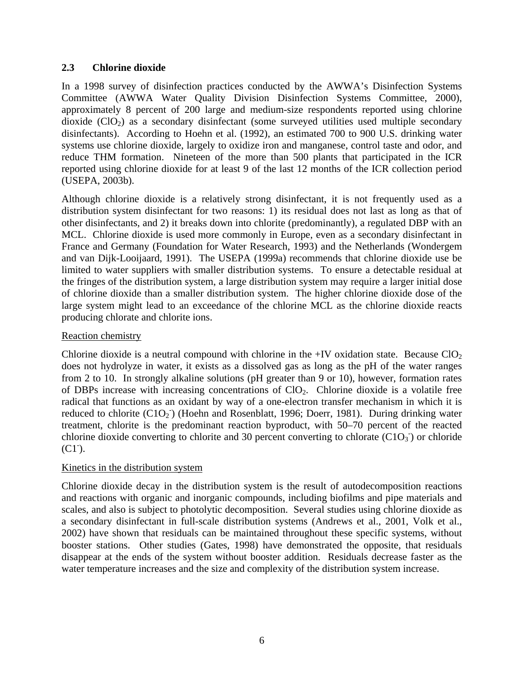#### **2.3 Chlorine dioxide**

In a 1998 survey of disinfection practices conducted by the AWWA's Disinfection Systems Committee (AWWA Water Quality Division Disinfection Systems Committee, 2000), approximately 8 percent of 200 large and medium-size respondents reported using chlorine dioxide  $(CIO<sub>2</sub>)$  as a secondary disinfectant (some surveyed utilities used multiple secondary disinfectants). According to Hoehn et al. (1992), an estimated 700 to 900 U.S. drinking water systems use chlorine dioxide, largely to oxidize iron and manganese, control taste and odor, and reduce THM formation. Nineteen of the more than 500 plants that participated in the ICR reported using chlorine dioxide for at least 9 of the last 12 months of the ICR collection period (USEPA, 2003b).

Although chlorine dioxide is a relatively strong disinfectant, it is not frequently used as a distribution system disinfectant for two reasons: 1) its residual does not last as long as that of other disinfectants, and 2) it breaks down into chlorite (predominantly), a regulated DBP with an MCL. Chlorine dioxide is used more commonly in Europe, even as a secondary disinfectant in France and Germany (Foundation for Water Research, 1993) and the Netherlands (Wondergem and van Dijk-Looijaard, 1991). The USEPA (1999a) recommends that chlorine dioxide use be limited to water suppliers with smaller distribution systems. To ensure a detectable residual at the fringes of the distribution system, a large distribution system may require a larger initial dose of chlorine dioxide than a smaller distribution system. The higher chlorine dioxide dose of the large system might lead to an exceedance of the chlorine MCL as the chlorine dioxide reacts producing chlorate and chlorite ions.

#### Reaction chemistry

Chlorine dioxide is a neutral compound with chlorine in the  $+IV$  oxidation state. Because  $ClO<sub>2</sub>$ does not hydrolyze in water, it exists as a dissolved gas as long as the pH of the water ranges from 2 to 10. In strongly alkaline solutions (pH greater than 9 or 10), however, formation rates of DBPs increase with increasing concentrations of ClO2. Chlorine dioxide is a volatile free radical that functions as an oxidant by way of a one-electron transfer mechanism in which it is reduced to chlorite  $(C1O_2)$  (Hoehn and Rosenblatt, 1996; Doerr, 1981). During drinking water treatment, chlorite is the predominant reaction byproduct, with 50–70 percent of the reacted chlorine dioxide converting to chlorite and 30 percent converting to chlorate  $(C1O<sub>3</sub>)$  or chloride  $(C1)$ .

#### Kinetics in the distribution system

Chlorine dioxide decay in the distribution system is the result of autodecomposition reactions and reactions with organic and inorganic compounds, including biofilms and pipe materials and scales, and also is subject to photolytic decomposition. Several studies using chlorine dioxide as a secondary disinfectant in full-scale distribution systems (Andrews et al., 2001, Volk et al., 2002) have shown that residuals can be maintained throughout these specific systems, without booster stations. Other studies (Gates, 1998) have demonstrated the opposite, that residuals disappear at the ends of the system without booster addition. Residuals decrease faster as the water temperature increases and the size and complexity of the distribution system increase.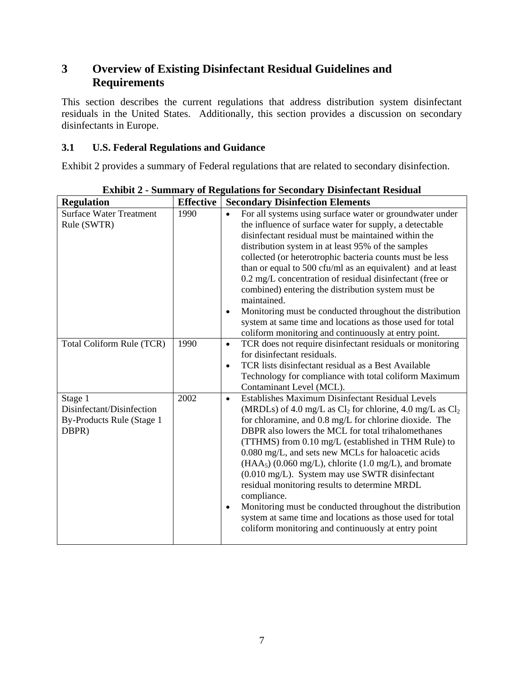# **3 Overview of Existing Disinfectant Residual Guidelines and Requirements**

This section describes the current regulations that address distribution system disinfectant residuals in the United States. Additionally, this section provides a discussion on secondary disinfectants in Europe.

### **3.1 U.S. Federal Regulations and Guidance**

Exhibit 2 provides a summary of Federal regulations that are related to secondary disinfection.

| <b>Regulation</b>                                                          | <b>Effective</b> | <b>Secondary Disinfection Elements</b>                                                                                                                                                                                                                                                                                                                                                                                                                                                                                                                                                                                                                                                                                                            |
|----------------------------------------------------------------------------|------------------|---------------------------------------------------------------------------------------------------------------------------------------------------------------------------------------------------------------------------------------------------------------------------------------------------------------------------------------------------------------------------------------------------------------------------------------------------------------------------------------------------------------------------------------------------------------------------------------------------------------------------------------------------------------------------------------------------------------------------------------------------|
| <b>Surface Water Treatment</b><br>Rule (SWTR)                              | 1990             | For all systems using surface water or groundwater under<br>$\bullet$<br>the influence of surface water for supply, a detectable<br>disinfectant residual must be maintained within the<br>distribution system in at least 95% of the samples<br>collected (or heterotrophic bacteria counts must be less<br>than or equal to 500 cfu/ml as an equivalent) and at least<br>0.2 mg/L concentration of residual disinfectant (free or<br>combined) entering the distribution system must be<br>maintained.<br>Monitoring must be conducted throughout the distribution<br>$\bullet$<br>system at same time and locations as those used for total<br>coliform monitoring and continuously at entry point.                                            |
| Total Coliform Rule (TCR)                                                  | 1990             | TCR does not require disinfectant residuals or monitoring<br>$\bullet$<br>for disinfectant residuals.<br>TCR lists disinfectant residual as a Best Available<br>$\bullet$<br>Technology for compliance with total coliform Maximum<br>Contaminant Level (MCL).                                                                                                                                                                                                                                                                                                                                                                                                                                                                                    |
| Stage 1<br>Disinfectant/Disinfection<br>By-Products Rule (Stage 1<br>DBPR) | 2002             | Establishes Maximum Disinfectant Residual Levels<br>$\bullet$<br>(MRDLs) of 4.0 mg/L as $Cl_2$ for chlorine, 4.0 mg/L as $Cl_2$<br>for chloramine, and 0.8 mg/L for chlorine dioxide. The<br>DBPR also lowers the MCL for total trihalomethanes<br>(TTHMS) from 0.10 mg/L (established in THM Rule) to<br>0.080 mg/L, and sets new MCLs for haloacetic acids<br>$(HAA5)$ (0.060 mg/L), chlorite (1.0 mg/L), and bromate<br>$(0.010 \text{ mg/L})$ . System may use SWTR disinfectant<br>residual monitoring results to determine MRDL<br>compliance.<br>Monitoring must be conducted throughout the distribution<br>$\bullet$<br>system at same time and locations as those used for total<br>coliform monitoring and continuously at entry point |

**Exhibit 2 - Summary of Regulations for Secondary Disinfectant Residual**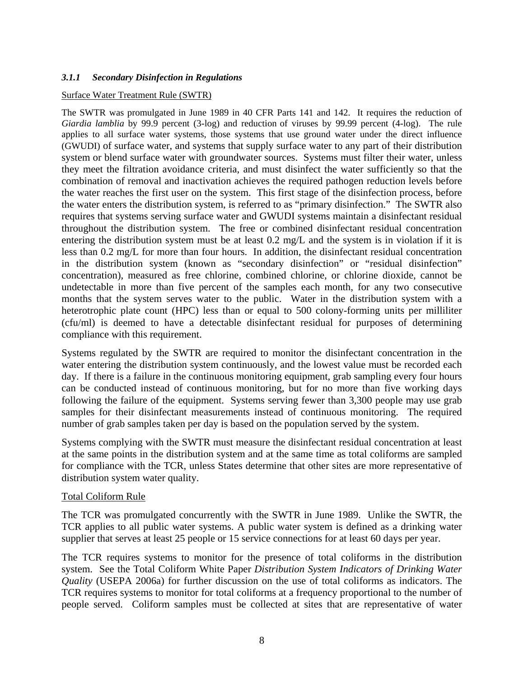#### *3.1.1 Secondary Disinfection in Regulations*

#### Surface Water Treatment Rule (SWTR)

The SWTR was promulgated in June 1989 in 40 CFR Parts 141 and 142. It requires the reduction of *Giardia lamblia* by 99.9 percent (3-log) and reduction of viruses by 99.99 percent (4-log). The rule applies to all surface water systems, those systems that use ground water under the direct influence (GWUDI) of surface water, and systems that supply surface water to any part of their distribution system or blend surface water with groundwater sources. Systems must filter their water, unless they meet the filtration avoidance criteria, and must disinfect the water sufficiently so that the combination of removal and inactivation achieves the required pathogen reduction levels before the water reaches the first user on the system. This first stage of the disinfection process, before the water enters the distribution system, is referred to as "primary disinfection." The SWTR also requires that systems serving surface water and GWUDI systems maintain a disinfectant residual throughout the distribution system. The free or combined disinfectant residual concentration entering the distribution system must be at least 0.2 mg/L and the system is in violation if it is less than 0.2 mg/L for more than four hours. In addition, the disinfectant residual concentration in the distribution system (known as "secondary disinfection" or "residual disinfection" concentration), measured as free chlorine, combined chlorine, or chlorine dioxide, cannot be undetectable in more than five percent of the samples each month, for any two consecutive months that the system serves water to the public. Water in the distribution system with a heterotrophic plate count (HPC) less than or equal to 500 colony-forming units per milliliter (cfu/ml) is deemed to have a detectable disinfectant residual for purposes of determining compliance with this requirement.

Systems regulated by the SWTR are required to monitor the disinfectant concentration in the water entering the distribution system continuously, and the lowest value must be recorded each day. If there is a failure in the continuous monitoring equipment, grab sampling every four hours can be conducted instead of continuous monitoring, but for no more than five working days following the failure of the equipment. Systems serving fewer than 3,300 people may use grab samples for their disinfectant measurements instead of continuous monitoring. The required number of grab samples taken per day is based on the population served by the system.

Systems complying with the SWTR must measure the disinfectant residual concentration at least at the same points in the distribution system and at the same time as total coliforms are sampled for compliance with the TCR, unless States determine that other sites are more representative of distribution system water quality.

#### Total Coliform Rule

The TCR was promulgated concurrently with the SWTR in June 1989. Unlike the SWTR, the TCR applies to all public water systems. A public water system is defined as a drinking water supplier that serves at least 25 people or 15 service connections for at least 60 days per year.

The TCR requires systems to monitor for the presence of total coliforms in the distribution system. See the Total Coliform White Paper *Distribution System Indicators of Drinking Water Quality* (USEPA 2006a) for further discussion on the use of total coliforms as indicators. The TCR requires systems to monitor for total coliforms at a frequency proportional to the number of people served. Coliform samples must be collected at sites that are representative of water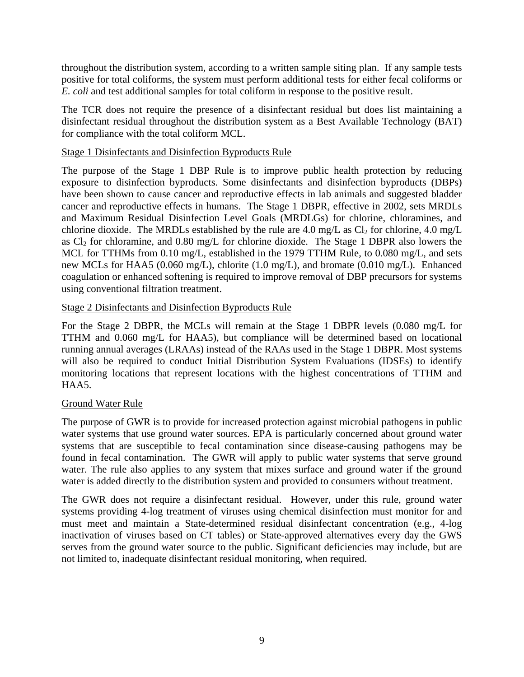throughout the distribution system, according to a written sample siting plan. If any sample tests positive for total coliforms, the system must perform additional tests for either fecal coliforms or *E. coli* and test additional samples for total coliform in response to the positive result.

The TCR does not require the presence of a disinfectant residual but does list maintaining a disinfectant residual throughout the distribution system as a Best Available Technology (BAT) for compliance with the total coliform MCL.

#### Stage 1 Disinfectants and Disinfection Byproducts Rule

The purpose of the Stage 1 DBP Rule is to improve public health protection by reducing exposure to disinfection byproducts. Some disinfectants and disinfection byproducts (DBPs) have been shown to cause cancer and reproductive effects in lab animals and suggested bladder cancer and reproductive effects in humans. The Stage 1 DBPR, effective in 2002, sets MRDLs and Maximum Residual Disinfection Level Goals (MRDLGs) for chlorine, chloramines, and chlorine dioxide. The MRDLs established by the rule are 4.0 mg/L as  $Cl_2$  for chlorine, 4.0 mg/L as  $Cl_2$  for chloramine, and 0.80 mg/L for chlorine dioxide. The Stage 1 DBPR also lowers the MCL for TTHMs from 0.10 mg/L, established in the 1979 TTHM Rule, to 0.080 mg/L, and sets new MCLs for HAA5 (0.060 mg/L), chlorite (1.0 mg/L), and bromate (0.010 mg/L). Enhanced coagulation or enhanced softening is required to improve removal of DBP precursors for systems using conventional filtration treatment.

#### Stage 2 Disinfectants and Disinfection Byproducts Rule

For the Stage 2 DBPR, the MCLs will remain at the Stage 1 DBPR levels (0.080 mg/L for TTHM and 0.060 mg/L for HAA5), but compliance will be determined based on locational running annual averages (LRAAs) instead of the RAAs used in the Stage 1 DBPR. Most systems will also be required to conduct Initial Distribution System Evaluations (IDSEs) to identify monitoring locations that represent locations with the highest concentrations of TTHM and HAA5.

#### Ground Water Rule

The purpose of GWR is to provide for increased protection against microbial pathogens in public water systems that use ground water sources. EPA is particularly concerned about ground water systems that are susceptible to fecal contamination since disease-causing pathogens may be found in fecal contamination. The GWR will apply to public water systems that serve ground water. The rule also applies to any system that mixes surface and ground water if the ground water is added directly to the distribution system and provided to consumers without treatment.

The GWR does not require a disinfectant residual. However, under this rule, ground water systems providing 4-log treatment of viruses using chemical disinfection must monitor for and must meet and maintain a State-determined residual disinfectant concentration (e.g., 4-log inactivation of viruses based on CT tables) or State-approved alternatives every day the GWS serves from the ground water source to the public. Significant deficiencies may include, but are not limited to, inadequate disinfectant residual monitoring, when required.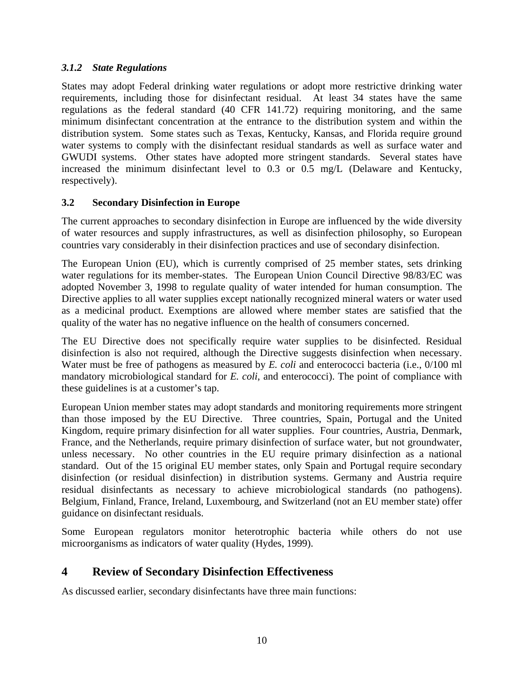### *3.1.2 State Regulations*

States may adopt Federal drinking water regulations or adopt more restrictive drinking water requirements, including those for disinfectant residual. At least 34 states have the same regulations as the federal standard (40 CFR 141.72) requiring monitoring, and the same minimum disinfectant concentration at the entrance to the distribution system and within the distribution system. Some states such as Texas, Kentucky, Kansas, and Florida require ground water systems to comply with the disinfectant residual standards as well as surface water and GWUDI systems. Other states have adopted more stringent standards. Several states have increased the minimum disinfectant level to 0.3 or 0.5 mg/L (Delaware and Kentucky, respectively).

### **3.2 Secondary Disinfection in Europe**

The current approaches to secondary disinfection in Europe are influenced by the wide diversity of water resources and supply infrastructures, as well as disinfection philosophy, so European countries vary considerably in their disinfection practices and use of secondary disinfection.

The European Union (EU), which is currently comprised of 25 member states, sets drinking water regulations for its member-states. The European Union Council Directive 98/83/EC was adopted November 3, 1998 to regulate quality of water intended for human consumption. The Directive applies to all water supplies except nationally recognized mineral waters or water used as a medicinal product. Exemptions are allowed where member states are satisfied that the quality of the water has no negative influence on the health of consumers concerned.

The EU Directive does not specifically require water supplies to be disinfected. Residual disinfection is also not required, although the Directive suggests disinfection when necessary. Water must be free of pathogens as measured by *E. coli* and enterococci bacteria (i.e., 0/100 ml mandatory microbiological standard for *E. coli*, and enterococci). The point of compliance with these guidelines is at a customer's tap.

European Union member states may adopt standards and monitoring requirements more stringent than those imposed by the EU Directive. Three countries, Spain, Portugal and the United Kingdom, require primary disinfection for all water supplies. Four countries, Austria, Denmark, France, and the Netherlands, require primary disinfection of surface water, but not groundwater, unless necessary. No other countries in the EU require primary disinfection as a national standard. Out of the 15 original EU member states, only Spain and Portugal require secondary disinfection (or residual disinfection) in distribution systems. Germany and Austria require residual disinfectants as necessary to achieve microbiological standards (no pathogens). Belgium, Finland, France, Ireland, Luxembourg, and Switzerland (not an EU member state) offer guidance on disinfectant residuals.

Some European regulators monitor heterotrophic bacteria while others do not use microorganisms as indicators of water quality (Hydes, 1999).

### **4 Review of Secondary Disinfection Effectiveness**

As discussed earlier, secondary disinfectants have three main functions: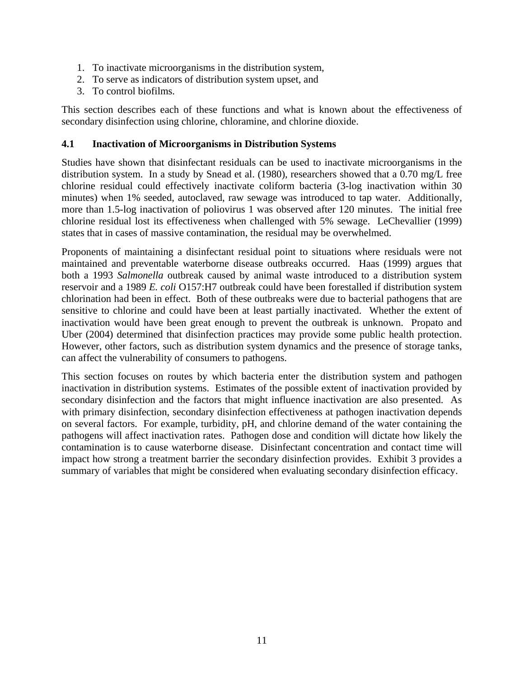- 1. To inactivate microorganisms in the distribution system,
- 2. To serve as indicators of distribution system upset, and
- 3. To control biofilms.

This section describes each of these functions and what is known about the effectiveness of secondary disinfection using chlorine, chloramine, and chlorine dioxide.

#### **4.1 Inactivation of Microorganisms in Distribution Systems**

Studies have shown that disinfectant residuals can be used to inactivate microorganisms in the distribution system. In a study by Snead et al. (1980), researchers showed that a 0.70 mg/L free chlorine residual could effectively inactivate coliform bacteria (3-log inactivation within 30 minutes) when 1% seeded, autoclaved, raw sewage was introduced to tap water. Additionally, more than 1.5-log inactivation of poliovirus 1 was observed after 120 minutes. The initial free chlorine residual lost its effectiveness when challenged with 5% sewage. LeChevallier (1999) states that in cases of massive contamination, the residual may be overwhelmed.

Proponents of maintaining a disinfectant residual point to situations where residuals were not maintained and preventable waterborne disease outbreaks occurred. Haas (1999) argues that both a 1993 *Salmonella* outbreak caused by animal waste introduced to a distribution system reservoir and a 1989 *E. coli* O157:H7 outbreak could have been forestalled if distribution system chlorination had been in effect. Both of these outbreaks were due to bacterial pathogens that are sensitive to chlorine and could have been at least partially inactivated. Whether the extent of inactivation would have been great enough to prevent the outbreak is unknown. Propato and Uber (2004) determined that disinfection practices may provide some public health protection. However, other factors, such as distribution system dynamics and the presence of storage tanks, can affect the vulnerability of consumers to pathogens.

This section focuses on routes by which bacteria enter the distribution system and pathogen inactivation in distribution systems. Estimates of the possible extent of inactivation provided by secondary disinfection and the factors that might influence inactivation are also presented. As with primary disinfection, secondary disinfection effectiveness at pathogen inactivation depends on several factors. For example, turbidity, pH, and chlorine demand of the water containing the pathogens will affect inactivation rates. Pathogen dose and condition will dictate how likely the contamination is to cause waterborne disease. Disinfectant concentration and contact time will impact how strong a treatment barrier the secondary disinfection provides. Exhibit 3 provides a summary of variables that might be considered when evaluating secondary disinfection efficacy.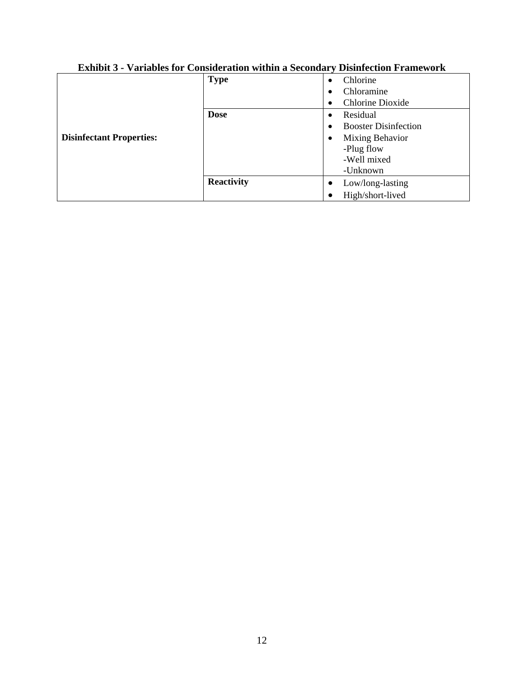|                                 | <b>Type</b>       | Chlorine<br>$\bullet$       |
|---------------------------------|-------------------|-----------------------------|
|                                 |                   | Chloramine                  |
| <b>Disinfectant Properties:</b> |                   | <b>Chlorine Dioxide</b>     |
|                                 | <b>Dose</b>       | Residual                    |
|                                 |                   | <b>Booster Disinfection</b> |
|                                 |                   | Mixing Behavior             |
|                                 |                   | -Plug flow                  |
|                                 |                   | -Well mixed                 |
|                                 |                   | -Unknown                    |
|                                 | <b>Reactivity</b> | Low/long-lasting            |
|                                 |                   | High/short-lived            |

# **Exhibit 3 - Variables for Consideration within a Secondary Disinfection Framework**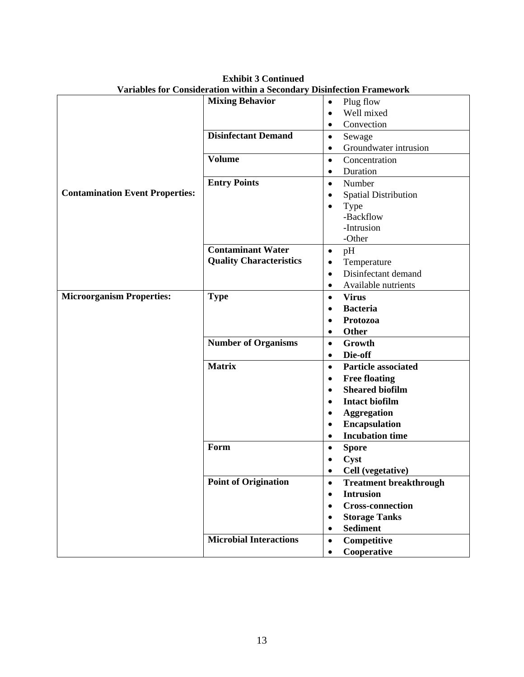|                                        | <b>Mixing Behavior</b>         | Plug flow<br>$\bullet$                     |
|----------------------------------------|--------------------------------|--------------------------------------------|
|                                        |                                | Well mixed<br>$\bullet$                    |
|                                        |                                | Convection<br>$\bullet$                    |
|                                        | <b>Disinfectant Demand</b>     | Sewage<br>$\bullet$                        |
|                                        |                                | Groundwater intrusion<br>$\bullet$         |
|                                        | <b>Volume</b>                  | Concentration<br>$\bullet$                 |
|                                        |                                | Duration<br>$\bullet$                      |
|                                        | <b>Entry Points</b>            | Number<br>$\bullet$                        |
| <b>Contamination Event Properties:</b> |                                | <b>Spatial Distribution</b><br>٠           |
|                                        |                                | Type                                       |
|                                        |                                | -Backflow                                  |
|                                        |                                | -Intrusion                                 |
|                                        |                                | -Other                                     |
|                                        | <b>Contaminant Water</b>       | pH<br>$\bullet$                            |
|                                        | <b>Quality Characteristics</b> | Temperature<br>٠                           |
|                                        |                                | Disinfectant demand<br>$\bullet$           |
|                                        |                                | Available nutrients<br>٠                   |
| <b>Microorganism Properties:</b>       | <b>Type</b>                    | <b>Virus</b><br>$\bullet$                  |
|                                        |                                | <b>Bacteria</b><br>$\bullet$               |
|                                        |                                | Protozoa<br>$\bullet$                      |
|                                        |                                | <b>Other</b><br>٠                          |
|                                        | <b>Number of Organisms</b>     | Growth<br>$\bullet$                        |
|                                        |                                | Die-off<br>$\bullet$                       |
|                                        | <b>Matrix</b>                  | <b>Particle associated</b><br>$\bullet$    |
|                                        |                                | <b>Free floating</b><br>$\bullet$          |
|                                        |                                | <b>Sheared biofilm</b><br>$\bullet$        |
|                                        |                                | <b>Intact biofilm</b>                      |
|                                        |                                | <b>Aggregation</b>                         |
|                                        |                                | <b>Encapsulation</b><br>$\bullet$          |
|                                        |                                | <b>Incubation time</b><br>$\bullet$        |
|                                        | Form                           | <b>Spore</b><br>$\bullet$                  |
|                                        |                                | Cyst                                       |
|                                        |                                | Cell (vegetative)                          |
|                                        | <b>Point of Origination</b>    | <b>Treatment breakthrough</b><br>$\bullet$ |
|                                        |                                | <b>Intrusion</b>                           |
|                                        |                                | <b>Cross-connection</b>                    |
|                                        |                                | <b>Storage Tanks</b><br>$\bullet$          |
|                                        |                                | <b>Sediment</b><br>$\bullet$               |
|                                        | <b>Microbial Interactions</b>  | Competitive<br>$\bullet$                   |
|                                        |                                | Cooperative<br>$\bullet$                   |

**Exhibit 3 Continued Variables for Consideration within a Secondary Disinfection Framework**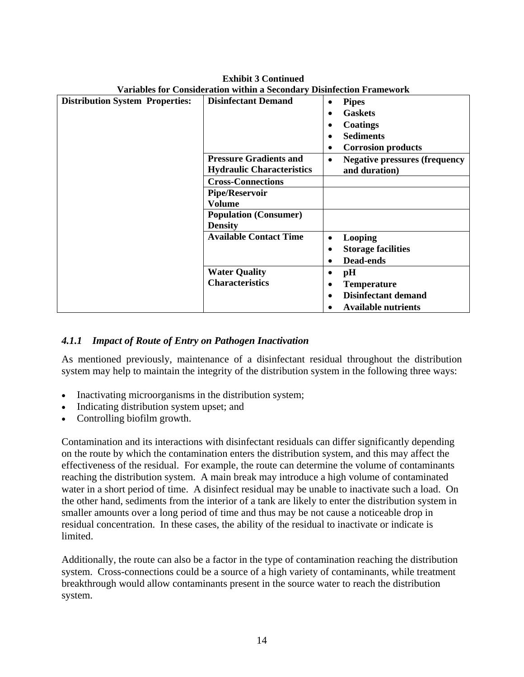| <b>Distribution System Properties:</b> | <b>Disinfectant Demand</b>                                        | <b>Pipes</b><br>$\bullet$<br><b>Gaskets</b><br>Coatings<br><b>Sediments</b><br><b>Corrosion products</b><br>٠ |
|----------------------------------------|-------------------------------------------------------------------|---------------------------------------------------------------------------------------------------------------|
|                                        | <b>Pressure Gradients and</b><br><b>Hydraulic Characteristics</b> | <b>Negative pressures (frequency</b><br>$\bullet$<br>and duration)                                            |
|                                        | <b>Cross-Connections</b>                                          |                                                                                                               |
|                                        | <b>Pipe/Reservoir</b>                                             |                                                                                                               |
|                                        | Volume                                                            |                                                                                                               |
|                                        | <b>Population (Consumer)</b><br><b>Density</b>                    |                                                                                                               |
|                                        | <b>Available Contact Time</b>                                     | Looping                                                                                                       |
|                                        |                                                                   | <b>Storage facilities</b>                                                                                     |
|                                        |                                                                   | Dead-ends                                                                                                     |
|                                        | <b>Water Quality</b>                                              | pН                                                                                                            |
|                                        | <b>Characteristics</b>                                            | <b>Temperature</b>                                                                                            |
|                                        |                                                                   | <b>Disinfectant demand</b>                                                                                    |
|                                        |                                                                   | <b>Available nutrients</b>                                                                                    |

**Exhibit 3 Continued Variables for Consideration within a Secondary Disinfection Framework** 

### *4.1.1 Impact of Route of Entry on Pathogen Inactivation*

As mentioned previously, maintenance of a disinfectant residual throughout the distribution system may help to maintain the integrity of the distribution system in the following three ways:

- Inactivating microorganisms in the distribution system;
- Indicating distribution system upset; and
- Controlling biofilm growth.

Contamination and its interactions with disinfectant residuals can differ significantly depending on the route by which the contamination enters the distribution system, and this may affect the effectiveness of the residual. For example, the route can determine the volume of contaminants reaching the distribution system. A main break may introduce a high volume of contaminated water in a short period of time. A disinfect residual may be unable to inactivate such a load. On the other hand, sediments from the interior of a tank are likely to enter the distribution system in smaller amounts over a long period of time and thus may be not cause a noticeable drop in residual concentration. In these cases, the ability of the residual to inactivate or indicate is limited.

Additionally, the route can also be a factor in the type of contamination reaching the distribution system. Cross-connections could be a source of a high variety of contaminants, while treatment breakthrough would allow contaminants present in the source water to reach the distribution system.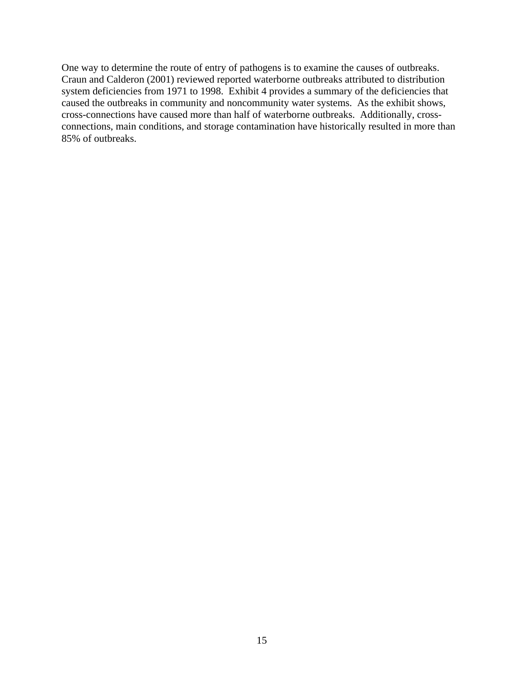One way to determine the route of entry of pathogens is to examine the causes of outbreaks. Craun and Calderon (2001) reviewed reported waterborne outbreaks attributed to distribution system deficiencies from 1971 to 1998. Exhibit 4 provides a summary of the deficiencies that caused the outbreaks in community and noncommunity water systems. As the exhibit shows, cross-connections have caused more than half of waterborne outbreaks. Additionally, crossconnections, main conditions, and storage contamination have historically resulted in more than 85% of outbreaks.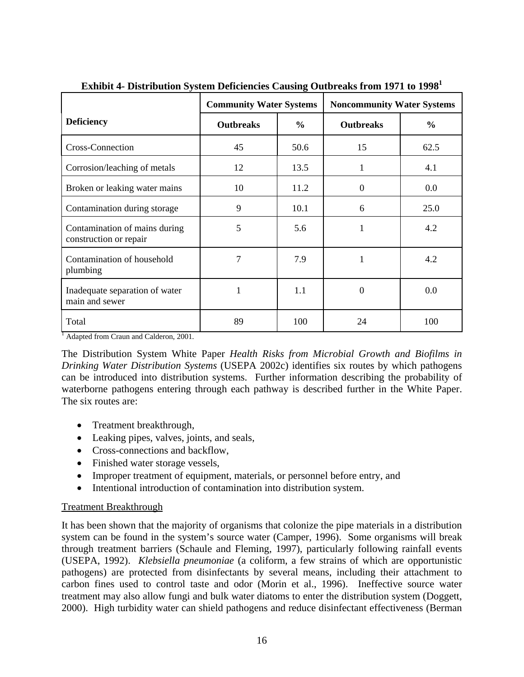|                                                         | <b>Community Water Systems</b> |                     | <b>Noncommunity Water Systems</b> |               |  |
|---------------------------------------------------------|--------------------------------|---------------------|-----------------------------------|---------------|--|
| <b>Deficiency</b>                                       | <b>Outbreaks</b>               | $\frac{0}{0}$       | <b>Outbreaks</b>                  | $\frac{6}{9}$ |  |
| <b>Cross-Connection</b>                                 | 45                             | 50.6                | 15                                | 62.5          |  |
| Corrosion/leaching of metals                            | 12                             | 13.5                | 1                                 | 4.1           |  |
| Broken or leaking water mains                           | 10                             | 11.2                | $\Omega$                          | 0.0           |  |
| Contamination during storage                            | 9                              | 10.1                | 6                                 | 25.0          |  |
| Contamination of mains during<br>construction or repair | 5                              | 5.6                 | 1                                 | 4.2           |  |
| Contamination of household<br>plumbing                  | 7                              | 7.9<br>$\mathbf{1}$ |                                   | 4.2           |  |
| Inadequate separation of water<br>main and sewer        | 1                              | 1.1                 | $\theta$                          | 0.0           |  |
| Total                                                   | 89                             | 100                 | 24                                | 100           |  |

**Exhibit 4- Distribution System Deficiencies Causing Outbreaks from 1971 to 1998<sup>1</sup>**

<sup>1</sup> Adapted from Craun and Calderon, 2001.

The Distribution System White Paper *Health Risks from Microbial Growth and Biofilms in Drinking Water Distribution Systems* (USEPA 2002c) identifies six routes by which pathogens can be introduced into distribution systems. Further information describing the probability of waterborne pathogens entering through each pathway is described further in the White Paper. The six routes are:

- Treatment breakthrough,
- Leaking pipes, valves, joints, and seals,
- Cross-connections and backflow,
- Finished water storage vessels,
- Improper treatment of equipment, materials, or personnel before entry, and
- Intentional introduction of contamination into distribution system.

#### Treatment Breakthrough

It has been shown that the majority of organisms that colonize the pipe materials in a distribution system can be found in the system's source water (Camper, 1996). Some organisms will break through treatment barriers (Schaule and Fleming, 1997), particularly following rainfall events (USEPA, 1992). *Klebsiella pneumoniae* (a coliform, a few strains of which are opportunistic pathogens) are protected from disinfectants by several means, including their attachment to carbon fines used to control taste and odor (Morin et al., 1996). Ineffective source water treatment may also allow fungi and bulk water diatoms to enter the distribution system (Doggett, 2000). High turbidity water can shield pathogens and reduce disinfectant effectiveness (Berman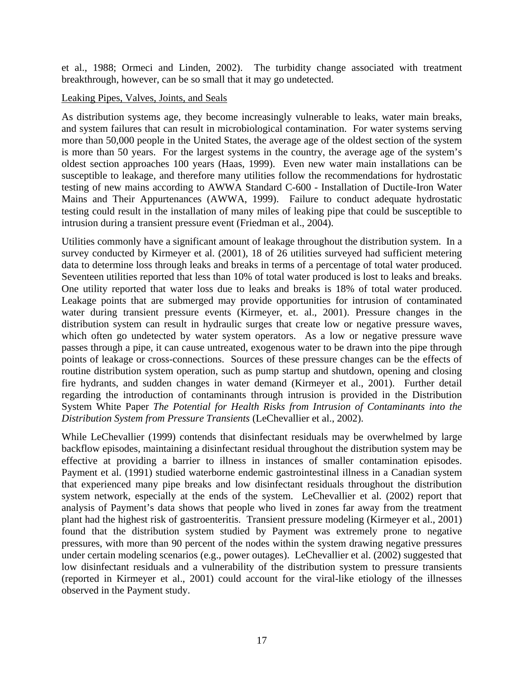et al., 1988; Ormeci and Linden, 2002). The turbidity change associated with treatment breakthrough, however, can be so small that it may go undetected.

#### Leaking Pipes, Valves, Joints, and Seals

As distribution systems age, they become increasingly vulnerable to leaks, water main breaks, and system failures that can result in microbiological contamination. For water systems serving more than 50,000 people in the United States, the average age of the oldest section of the system is more than 50 years. For the largest systems in the country, the average age of the system's oldest section approaches 100 years (Haas, 1999). Even new water main installations can be susceptible to leakage, and therefore many utilities follow the recommendations for hydrostatic testing of new mains according to AWWA Standard C-600 - Installation of Ductile-Iron Water Mains and Their Appurtenances (AWWA, 1999). Failure to conduct adequate hydrostatic testing could result in the installation of many miles of leaking pipe that could be susceptible to intrusion during a transient pressure event (Friedman et al., 2004).

Utilities commonly have a significant amount of leakage throughout the distribution system. In a survey conducted by Kirmeyer et al. (2001), 18 of 26 utilities surveyed had sufficient metering data to determine loss through leaks and breaks in terms of a percentage of total water produced. Seventeen utilities reported that less than 10% of total water produced is lost to leaks and breaks. One utility reported that water loss due to leaks and breaks is 18% of total water produced. Leakage points that are submerged may provide opportunities for intrusion of contaminated water during transient pressure events (Kirmeyer, et. al., 2001). Pressure changes in the distribution system can result in hydraulic surges that create low or negative pressure waves, which often go undetected by water system operators. As a low or negative pressure wave passes through a pipe, it can cause untreated, exogenous water to be drawn into the pipe through points of leakage or cross-connections. Sources of these pressure changes can be the effects of routine distribution system operation, such as pump startup and shutdown, opening and closing fire hydrants, and sudden changes in water demand (Kirmeyer et al., 2001). Further detail regarding the introduction of contaminants through intrusion is provided in the Distribution System White Paper *The Potential for Health Risks from Intrusion of Contaminants into the Distribution System from Pressure Transients* (LeChevallier et al., 2002).

While LeChevallier (1999) contends that disinfectant residuals may be overwhelmed by large backflow episodes, maintaining a disinfectant residual throughout the distribution system may be effective at providing a barrier to illness in instances of smaller contamination episodes. Payment et al. (1991) studied waterborne endemic gastrointestinal illness in a Canadian system that experienced many pipe breaks and low disinfectant residuals throughout the distribution system network, especially at the ends of the system. LeChevallier et al. (2002) report that analysis of Payment's data shows that people who lived in zones far away from the treatment plant had the highest risk of gastroenteritis. Transient pressure modeling (Kirmeyer et al., 2001) found that the distribution system studied by Payment was extremely prone to negative pressures, with more than 90 percent of the nodes within the system drawing negative pressures under certain modeling scenarios (e.g., power outages). LeChevallier et al. (2002) suggested that low disinfectant residuals and a vulnerability of the distribution system to pressure transients (reported in Kirmeyer et al., 2001) could account for the viral-like etiology of the illnesses observed in the Payment study.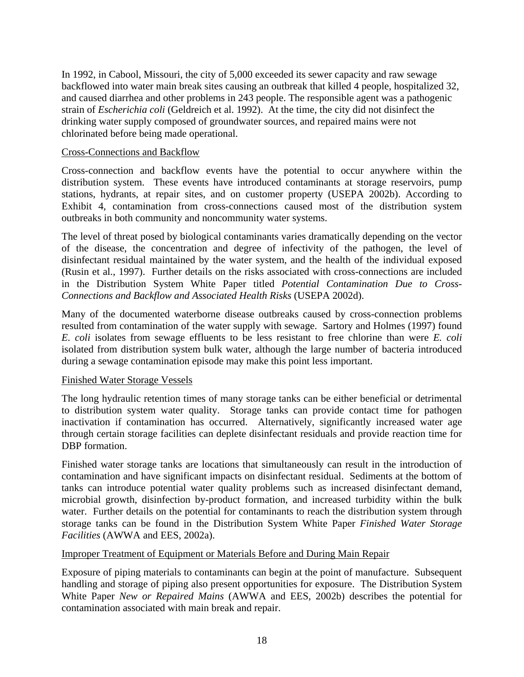In 1992, in Cabool, Missouri, the city of 5,000 exceeded its sewer capacity and raw sewage backflowed into water main break sites causing an outbreak that killed 4 people, hospitalized 32, and caused diarrhea and other problems in 243 people. The responsible agent was a pathogenic strain of *Escherichia coli* (Geldreich et al. 1992). At the time, the city did not disinfect the drinking water supply composed of groundwater sources, and repaired mains were not chlorinated before being made operational.

#### Cross-Connections and Backflow

Cross-connection and backflow events have the potential to occur anywhere within the distribution system. These events have introduced contaminants at storage reservoirs, pump stations, hydrants, at repair sites, and on customer property (USEPA 2002b). According to Exhibit 4, contamination from cross-connections caused most of the distribution system outbreaks in both community and noncommunity water systems.

The level of threat posed by biological contaminants varies dramatically depending on the vector of the disease, the concentration and degree of infectivity of the pathogen, the level of disinfectant residual maintained by the water system, and the health of the individual exposed (Rusin et al., 1997). Further details on the risks associated with cross-connections are included in the Distribution System White Paper titled *Potential Contamination Due to Cross-Connections and Backflow and Associated Health Risks* (USEPA 2002d).

Many of the documented waterborne disease outbreaks caused by cross-connection problems resulted from contamination of the water supply with sewage. Sartory and Holmes (1997) found *E. coli* isolates from sewage effluents to be less resistant to free chlorine than were *E. coli* isolated from distribution system bulk water, although the large number of bacteria introduced during a sewage contamination episode may make this point less important.

#### Finished Water Storage Vessels

The long hydraulic retention times of many storage tanks can be either beneficial or detrimental to distribution system water quality. Storage tanks can provide contact time for pathogen inactivation if contamination has occurred. Alternatively, significantly increased water age through certain storage facilities can deplete disinfectant residuals and provide reaction time for DBP formation.

Finished water storage tanks are locations that simultaneously can result in the introduction of contamination and have significant impacts on disinfectant residual. Sediments at the bottom of tanks can introduce potential water quality problems such as increased disinfectant demand, microbial growth, disinfection by-product formation, and increased turbidity within the bulk water. Further details on the potential for contaminants to reach the distribution system through storage tanks can be found in the Distribution System White Paper *Finished Water Storage Facilities* (AWWA and EES, 2002a).

#### Improper Treatment of Equipment or Materials Before and During Main Repair

Exposure of piping materials to contaminants can begin at the point of manufacture. Subsequent handling and storage of piping also present opportunities for exposure. The Distribution System White Paper *New or Repaired Mains* (AWWA and EES, 2002b) describes the potential for contamination associated with main break and repair.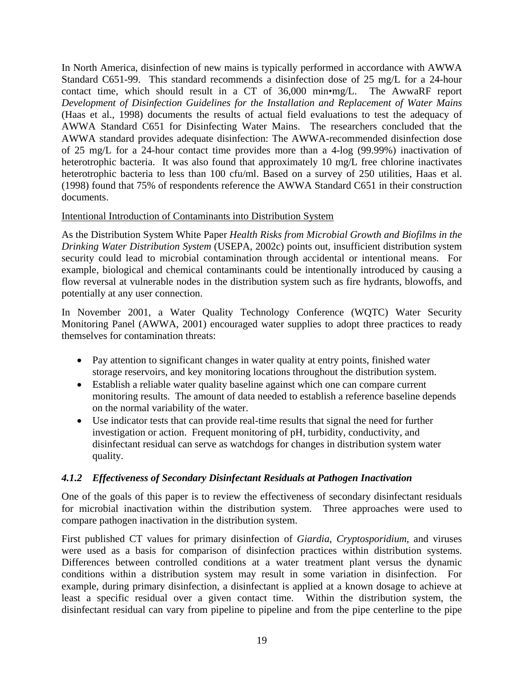In North America, disinfection of new mains is typically performed in accordance with AWWA Standard C651-99. This standard recommends a disinfection dose of 25 mg/L for a 24-hour contact time, which should result in a CT of 36,000 min•mg/L. The AwwaRF report *Development of Disinfection Guidelines for the Installation and Replacement of Water Mains* (Haas et al., 1998) documents the results of actual field evaluations to test the adequacy of AWWA Standard C651 for Disinfecting Water Mains. The researchers concluded that the AWWA standard provides adequate disinfection: The AWWA-recommended disinfection dose of 25 mg/L for a 24-hour contact time provides more than a 4-log (99.99%) inactivation of heterotrophic bacteria. It was also found that approximately 10 mg/L free chlorine inactivates heterotrophic bacteria to less than 100 cfu/ml. Based on a survey of 250 utilities, Haas et al. (1998) found that 75% of respondents reference the AWWA Standard C651 in their construction documents.

#### Intentional Introduction of Contaminants into Distribution System

As the Distribution System White Paper *Health Risks from Microbial Growth and Biofilms in the Drinking Water Distribution System* (USEPA, 2002c) points out, insufficient distribution system security could lead to microbial contamination through accidental or intentional means. For example, biological and chemical contaminants could be intentionally introduced by causing a flow reversal at vulnerable nodes in the distribution system such as fire hydrants, blowoffs, and potentially at any user connection.

In November 2001, a Water Quality Technology Conference (WQTC) Water Security Monitoring Panel (AWWA, 2001) encouraged water supplies to adopt three practices to ready themselves for contamination threats:

- Pay attention to significant changes in water quality at entry points, finished water storage reservoirs, and key monitoring locations throughout the distribution system.
- Establish a reliable water quality baseline against which one can compare current monitoring results. The amount of data needed to establish a reference baseline depends on the normal variability of the water.
- Use indicator tests that can provide real-time results that signal the need for further investigation or action. Frequent monitoring of pH, turbidity, conductivity, and disinfectant residual can serve as watchdogs for changes in distribution system water quality.

#### *4.1.2 Effectiveness of Secondary Disinfectant Residuals at Pathogen Inactivation*

One of the goals of this paper is to review the effectiveness of secondary disinfectant residuals for microbial inactivation within the distribution system. Three approaches were used to compare pathogen inactivation in the distribution system.

First published CT values for primary disinfection of *Giardia*, *Cryptosporidium*, and viruses were used as a basis for comparison of disinfection practices within distribution systems. Differences between controlled conditions at a water treatment plant versus the dynamic conditions within a distribution system may result in some variation in disinfection. For example, during primary disinfection, a disinfectant is applied at a known dosage to achieve at least a specific residual over a given contact time. Within the distribution system, the disinfectant residual can vary from pipeline to pipeline and from the pipe centerline to the pipe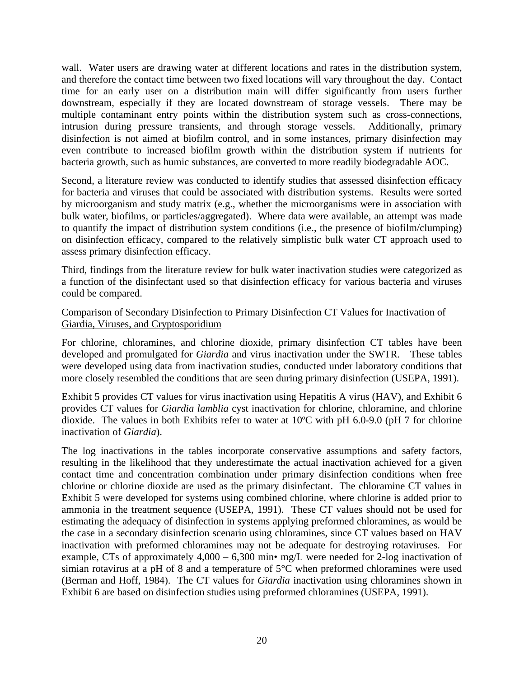wall. Water users are drawing water at different locations and rates in the distribution system, and therefore the contact time between two fixed locations will vary throughout the day. Contact time for an early user on a distribution main will differ significantly from users further downstream, especially if they are located downstream of storage vessels. There may be multiple contaminant entry points within the distribution system such as cross-connections, intrusion during pressure transients, and through storage vessels. Additionally, primary disinfection is not aimed at biofilm control, and in some instances, primary disinfection may even contribute to increased biofilm growth within the distribution system if nutrients for bacteria growth, such as humic substances, are converted to more readily biodegradable AOC.

Second, a literature review was conducted to identify studies that assessed disinfection efficacy for bacteria and viruses that could be associated with distribution systems. Results were sorted by microorganism and study matrix (e.g., whether the microorganisms were in association with bulk water, biofilms, or particles/aggregated). Where data were available, an attempt was made to quantify the impact of distribution system conditions (i.e., the presence of biofilm/clumping) on disinfection efficacy, compared to the relatively simplistic bulk water CT approach used to assess primary disinfection efficacy.

Third, findings from the literature review for bulk water inactivation studies were categorized as a function of the disinfectant used so that disinfection efficacy for various bacteria and viruses could be compared.

#### Comparison of Secondary Disinfection to Primary Disinfection CT Values for Inactivation of Giardia, Viruses, and Cryptosporidium

For chlorine, chloramines, and chlorine dioxide, primary disinfection CT tables have been developed and promulgated for *Giardia* and virus inactivation under the SWTR. These tables were developed using data from inactivation studies, conducted under laboratory conditions that more closely resembled the conditions that are seen during primary disinfection (USEPA, 1991).

Exhibit 5 provides CT values for virus inactivation using Hepatitis A virus (HAV), and Exhibit 6 provides CT values for *Giardia lamblia* cyst inactivation for chlorine, chloramine, and chlorine dioxide. The values in both Exhibits refer to water at 10ºC with pH 6.0-9.0 (pH 7 for chlorine inactivation of *Giardia*).

The log inactivations in the tables incorporate conservative assumptions and safety factors, resulting in the likelihood that they underestimate the actual inactivation achieved for a given contact time and concentration combination under primary disinfection conditions when free chlorine or chlorine dioxide are used as the primary disinfectant. The chloramine CT values in Exhibit 5 were developed for systems using combined chlorine, where chlorine is added prior to ammonia in the treatment sequence (USEPA, 1991). These CT values should not be used for estimating the adequacy of disinfection in systems applying preformed chloramines, as would be the case in a secondary disinfection scenario using chloramines, since CT values based on HAV inactivation with preformed chloramines may not be adequate for destroying rotaviruses. For example, CTs of approximately  $4,000 - 6,300$  min• mg/L were needed for 2-log inactivation of simian rotavirus at a pH of 8 and a temperature of 5°C when preformed chloramines were used (Berman and Hoff, 1984). The CT values for *Giardia* inactivation using chloramines shown in Exhibit 6 are based on disinfection studies using preformed chloramines (USEPA, 1991).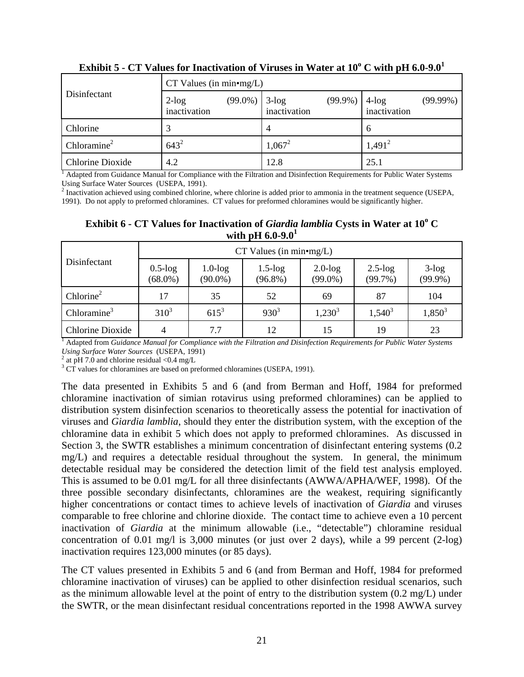| Disinfectant     | $CT$ Values (in min•mg/L) |            |                             |            |                          |             |  |  |  |
|------------------|---------------------------|------------|-----------------------------|------------|--------------------------|-------------|--|--|--|
|                  | $2$ -log<br>inactivation  | $(99.0\%)$ | $3$ - $log$<br>inactivation | $(99.9\%)$ | $4$ -log<br>inactivation | $(99.99\%)$ |  |  |  |
| Chlorine         |                           |            | $\overline{4}$              |            | $\mathfrak b$            |             |  |  |  |
| Chloramine $2$   | $643^2$                   |            | $1,067^2$                   |            | $1,491^2$                |             |  |  |  |
| Chlorine Dioxide | 4.2                       |            | 12.8                        |            | 25.1                     |             |  |  |  |

**Exhibit 5 - CT Values for Inactivation of Viruses in Water at**  $10^{\rm o}$  **C with pH 6.0-9.0** $^{\rm l}$ 

<sup>1</sup> Adapted from Guidance Manual for Compliance with the Filtration and Disinfection Requirements for Public Water Systems Using Surface Water Sources (USEPA, 1991).

 $2$  Inactivation achieved using combined chlorine, where chlorine is added prior to ammonia in the treatment sequence (USEPA, 1991). Do not apply to preformed chloramines. CT values for preformed chloramines would be significantly higher.

Exhibit 6 - CT Values for Inactivation of *Giardia lamblia* Cysts in Water at 10<sup>°</sup> C **with pH 6.0-9.0<sup>1</sup>**

| Disinfectant          | $CT$ Values (in min•mg/L)   |                             |                             |                          |                          |                            |  |  |  |
|-----------------------|-----------------------------|-----------------------------|-----------------------------|--------------------------|--------------------------|----------------------------|--|--|--|
|                       | $0.5$ - $log$<br>$(68.0\%)$ | $1.0$ - $log$<br>$(90.0\%)$ | $1.5$ - $log$<br>$(96.8\%)$ | $2.0$ -log<br>$(99.0\%)$ | $2.5$ -log<br>$(99.7\%)$ | $3$ - $\log$<br>$(99.9\%)$ |  |  |  |
| Chlorine <sup>2</sup> | 17                          | 52<br>35                    |                             | 69                       | 87                       | 104                        |  |  |  |
| Chloramine $3$        | $310^3$                     | $615^3$                     | $930^{3}$                   | $1,230^3$                | $1,540^3$                | $1,850^3$                  |  |  |  |
| Chlorine Dioxide      |                             | 7.7                         | 12                          | 15                       | 19                       | 23                         |  |  |  |

<sup>1</sup> Adapted from *Guidance Manual for Compliance with the Filtration and Disinfection Requirements for Public Water Systems Using Surface Water Sources* (USEPA, 1991) 2

<sup>2</sup> at pH 7.0 and chlorine residual <0.4 mg/L

 $3 \overline{\text{CT}}$  values for chloramines are based on preformed chloramines (USEPA, 1991).

The data presented in Exhibits 5 and 6 (and from Berman and Hoff, 1984 for preformed chloramine inactivation of simian rotavirus using preformed chloramines) can be applied to distribution system disinfection scenarios to theoretically assess the potential for inactivation of viruses and *Giardia lamblia*, should they enter the distribution system, with the exception of the chloramine data in exhibit 5 which does not apply to preformed chloramines. As discussed in Section 3, the SWTR establishes a minimum concentration of disinfectant entering systems (0.2 mg/L) and requires a detectable residual throughout the system. In general, the minimum detectable residual may be considered the detection limit of the field test analysis employed. This is assumed to be 0.01 mg/L for all three disinfectants (AWWA/APHA/WEF, 1998). Of the three possible secondary disinfectants, chloramines are the weakest, requiring significantly higher concentrations or contact times to achieve levels of inactivation of *Giardia* and viruses comparable to free chlorine and chlorine dioxide. The contact time to achieve even a 10 percent inactivation of *Giardia* at the minimum allowable (i.e., "detectable") chloramine residual concentration of 0.01 mg/l is 3,000 minutes (or just over 2 days), while a 99 percent  $(2-log)$ inactivation requires 123,000 minutes (or 85 days).

The CT values presented in Exhibits 5 and 6 (and from Berman and Hoff, 1984 for preformed chloramine inactivation of viruses) can be applied to other disinfection residual scenarios, such as the minimum allowable level at the point of entry to the distribution system (0.2 mg/L) under the SWTR, or the mean disinfectant residual concentrations reported in the 1998 AWWA survey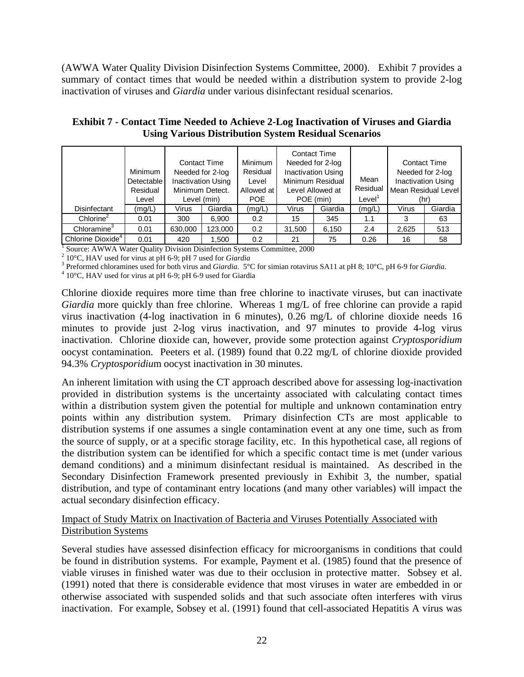(AWWA Water Quality Division Disinfection Systems Committee, 2000). Exhibit 7 provides a summary of contact times that would be needed within a distribution system to provide 2-log inactivation of viruses and *Giardia* under various disinfectant residual scenarios.

|                               | Minimum<br>Detectable<br>Residual<br>Level | <b>Contact Time</b><br>Minimum Detect. | Needed for 2-log<br><b>Inactivation Using</b><br>Level (min) | <b>Minimum</b><br>Residual<br>Level<br>Allowed at<br><b>POE</b> |        | <b>Contact Time</b><br>Needed for 2-log<br><b>Inactivation Using</b><br>Minimum Residual<br>Level Allowed at<br>POE (min) | Mean<br>Residual<br>Level <sup>1</sup> |       | <b>Contact Time</b><br>Needed for 2-log<br><b>Inactivation Using</b><br>Mean Residual Level<br>(hr) |
|-------------------------------|--------------------------------------------|----------------------------------------|--------------------------------------------------------------|-----------------------------------------------------------------|--------|---------------------------------------------------------------------------------------------------------------------------|----------------------------------------|-------|-----------------------------------------------------------------------------------------------------|
| Disinfectant                  | (mg/L)                                     | Virus                                  | Giardia                                                      | (mg/L)                                                          | Virus  | Giardia                                                                                                                   | (mg/L)                                 | Virus | Giardia                                                                                             |
| Chlorine <sup>2</sup>         | 0.01                                       | 300                                    | 6.900                                                        | 0.2                                                             | 15     | 345                                                                                                                       | 1.1                                    | 3     | 63                                                                                                  |
| Chloramine <sup>3</sup>       | 0.01                                       | 630,000                                | 123,000                                                      | 0.2                                                             | 31,500 | 6,150                                                                                                                     | 2.4                                    | 2,625 | 513                                                                                                 |
| Chlorine Dioxide <sup>4</sup> | 0.01                                       | 420                                    | 1.500                                                        | 0.2                                                             | 21     | 75                                                                                                                        | 0.26                                   | 16    | 58                                                                                                  |

**Exhibit 7 - Contact Time Needed to Achieve 2-Log Inactivation of Viruses and Giardia Using Various Distribution System Residual Scenarios** 

<sup>1</sup> Source: AWWA Water Quality Division Disinfection Systems Committee, 2000<br> $^{2}$  10°C, HAV used for virus at pH 6.0; pH 7 used for *Giardia* 

<sup>2</sup> 10°C, HAV used for virus at pH 6-9; pH 7 used for *Giardia* 

Preformed chloramines used for both virus and *Giardia*. 5°C for simian rotavirus SA11 at pH 8; 10°C, pH 6-9 for *Giardia*. 4

 $4\overline{10^{\circ}$ C, HAV used for virus at pH 6-9; pH 6-9 used for Giardia

Chlorine dioxide requires more time than free chlorine to inactivate viruses, but can inactivate *Giardia* more quickly than free chlorine. Whereas 1 mg/L of free chlorine can provide a rapid virus inactivation (4-log inactivation in 6 minutes), 0.26 mg/L of chlorine dioxide needs 16 minutes to provide just 2-log virus inactivation, and 97 minutes to provide 4-log virus inactivation. Chlorine dioxide can, however, provide some protection against *Cryptosporidium* oocyst contamination. Peeters et al. (1989) found that 0.22 mg/L of chlorine dioxide provided 94.3% *Cryptosporidiu*m oocyst inactivation in 30 minutes.

An inherent limitation with using the CT approach described above for assessing log-inactivation provided in distribution systems is the uncertainty associated with calculating contact times within a distribution system given the potential for multiple and unknown contamination entry points within any distribution system. Primary disinfection CTs are most applicable to distribution systems if one assumes a single contamination event at any one time, such as from the source of supply, or at a specific storage facility, etc. In this hypothetical case, all regions of the distribution system can be identified for which a specific contact time is met (under various demand conditions) and a minimum disinfectant residual is maintained. As described in the Secondary Disinfection Framework presented previously in Exhibit 3, the number, spatial distribution, and type of contaminant entry locations (and many other variables) will impact the actual secondary disinfection efficacy.

Impact of Study Matrix on Inactivation of Bacteria and Viruses Potentially Associated with Distribution Systems

Several studies have assessed disinfection efficacy for microorganisms in conditions that could be found in distribution systems. For example, Payment et al. (1985) found that the presence of viable viruses in finished water was due to their occlusion in protective matter. Sobsey et al. (1991) noted that there is considerable evidence that most viruses in water are embedded in or otherwise associated with suspended solids and that such associate often interferes with virus inactivation. For example, Sobsey et al. (1991) found that cell-associated Hepatitis A virus was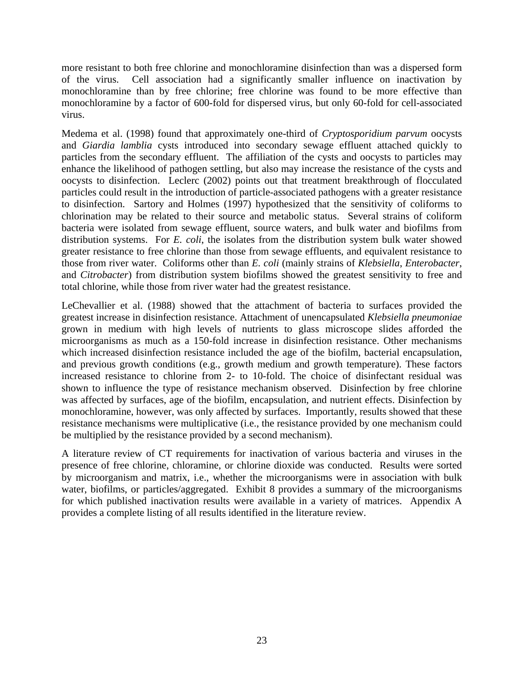more resistant to both free chlorine and monochloramine disinfection than was a dispersed form of the virus. Cell association had a significantly smaller influence on inactivation by monochloramine than by free chlorine; free chlorine was found to be more effective than monochloramine by a factor of 600-fold for dispersed virus, but only 60-fold for cell-associated virus.

Medema et al. (1998) found that approximately one-third of *Cryptosporidium parvum* oocysts and *Giardia lamblia* cysts introduced into secondary sewage effluent attached quickly to particles from the secondary effluent. The affiliation of the cysts and oocysts to particles may enhance the likelihood of pathogen settling, but also may increase the resistance of the cysts and oocysts to disinfection. Leclerc (2002) points out that treatment breakthrough of flocculated particles could result in the introduction of particle-associated pathogens with a greater resistance to disinfection. Sartory and Holmes (1997) hypothesized that the sensitivity of coliforms to chlorination may be related to their source and metabolic status. Several strains of coliform bacteria were isolated from sewage effluent, source waters, and bulk water and biofilms from distribution systems. For *E. coli*, the isolates from the distribution system bulk water showed greater resistance to free chlorine than those from sewage effluents, and equivalent resistance to those from river water. Coliforms other than *E. coli* (mainly strains of *Klebsiella*, *Enterobacter*, and *Citrobacter*) from distribution system biofilms showed the greatest sensitivity to free and total chlorine, while those from river water had the greatest resistance.

LeChevallier et al. (1988) showed that the attachment of bacteria to surfaces provided the greatest increase in disinfection resistance. Attachment of unencapsulated *Klebsiella pneumoniae* grown in medium with high levels of nutrients to glass microscope slides afforded the microorganisms as much as a 150-fold increase in disinfection resistance. Other mechanisms which increased disinfection resistance included the age of the biofilm, bacterial encapsulation, and previous growth conditions (e.g., growth medium and growth temperature). These factors increased resistance to chlorine from 2- to 10-fold. The choice of disinfectant residual was shown to influence the type of resistance mechanism observed. Disinfection by free chlorine was affected by surfaces, age of the biofilm, encapsulation, and nutrient effects. Disinfection by monochloramine, however, was only affected by surfaces. Importantly, results showed that these resistance mechanisms were multiplicative (i.e., the resistance provided by one mechanism could be multiplied by the resistance provided by a second mechanism).

A literature review of CT requirements for inactivation of various bacteria and viruses in the presence of free chlorine, chloramine, or chlorine dioxide was conducted. Results were sorted by microorganism and matrix, i.e., whether the microorganisms were in association with bulk water, biofilms, or particles/aggregated. Exhibit 8 provides a summary of the microorganisms for which published inactivation results were available in a variety of matrices. Appendix A provides a complete listing of all results identified in the literature review.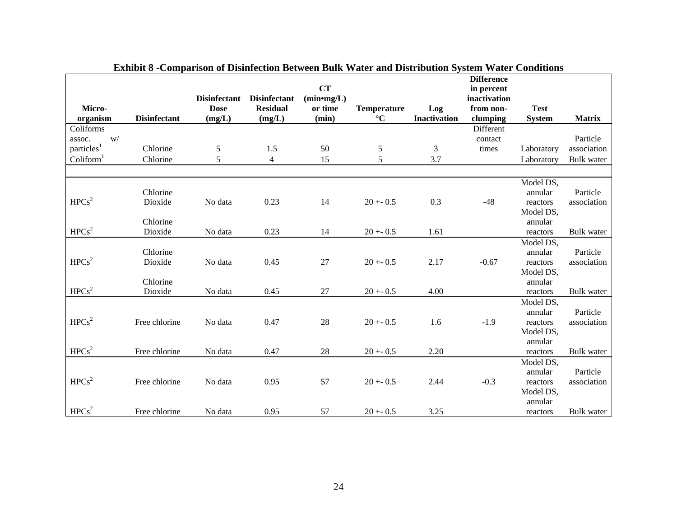| Micro-<br>organism    | <b>Disinfectant</b> | <b>Disinfectant</b><br><b>Dose</b><br>(mg/L) | <b>Disinfectant</b><br><b>Residual</b><br>(mg/L) | <b>CT</b><br>$(min*mg/L)$<br>or time<br>(min) | <b>Temperature</b><br>$^\circ \text{C}$ | Log<br><b>Inactivation</b> | <b>Difference</b><br>in percent<br>inactivation<br>from non-<br>clumping | <b>Test</b><br><b>System</b> | <b>Matrix</b>     |
|-----------------------|---------------------|----------------------------------------------|--------------------------------------------------|-----------------------------------------------|-----------------------------------------|----------------------------|--------------------------------------------------------------------------|------------------------------|-------------------|
| Coliforms             |                     |                                              |                                                  |                                               |                                         |                            | Different                                                                |                              |                   |
| W/<br>assoc.          |                     |                                              |                                                  |                                               |                                         |                            | contact                                                                  |                              | Particle          |
| $\mbox{particles}^1$  | Chlorine            | $\mathfrak s$                                | 1.5                                              | 50                                            | 5                                       | 3                          | times                                                                    | Laboratory                   | association       |
| Coliform <sup>1</sup> | Chlorine            | 5                                            | $\overline{4}$                                   | 15                                            | 5                                       | 3.7                        |                                                                          | Laboratory                   | <b>Bulk</b> water |
|                       |                     |                                              |                                                  |                                               |                                         |                            |                                                                          |                              |                   |
|                       |                     |                                              |                                                  |                                               |                                         |                            |                                                                          | Model DS,                    |                   |
|                       | Chlorine            |                                              |                                                  |                                               |                                         |                            |                                                                          | annular                      | Particle          |
| HPCs <sup>2</sup>     | Dioxide             | No data                                      | 0.23                                             | 14                                            | $20 + -0.5$                             | 0.3                        | $-48$                                                                    | reactors                     | association       |
|                       |                     |                                              |                                                  |                                               |                                         |                            |                                                                          | Model DS,                    |                   |
|                       | Chlorine            |                                              |                                                  |                                               |                                         |                            |                                                                          | annular                      |                   |
| HPCs <sup>2</sup>     | Dioxide             | No data                                      | 0.23                                             | 14                                            | $20 + 0.5$                              | 1.61                       |                                                                          | reactors                     | <b>Bulk</b> water |
|                       |                     |                                              |                                                  |                                               |                                         |                            |                                                                          | Model DS,                    |                   |
|                       | Chlorine            |                                              |                                                  |                                               |                                         |                            |                                                                          | annular                      | Particle          |
| HPCs <sup>2</sup>     | Dioxide             | No data                                      | 0.45                                             | 27                                            | $20 + 0.5$                              | 2.17                       | $-0.67$                                                                  | reactors                     | association       |
|                       |                     |                                              |                                                  |                                               |                                         |                            |                                                                          | Model DS,                    |                   |
|                       | Chlorine            |                                              |                                                  |                                               |                                         |                            |                                                                          | annular                      |                   |
| HPCs <sup>2</sup>     | Dioxide             | No data                                      | 0.45                                             | 27                                            | $20 + 0.5$                              | 4.00                       |                                                                          | reactors                     | <b>Bulk</b> water |
|                       |                     |                                              |                                                  |                                               |                                         |                            |                                                                          | Model DS,                    |                   |
| HPCs <sup>2</sup>     |                     |                                              |                                                  |                                               |                                         |                            |                                                                          | annular                      | Particle          |
|                       | Free chlorine       | No data                                      | 0.47                                             | 28                                            | $20 + 0.5$                              | 1.6                        | $-1.9$                                                                   | reactors<br>Model DS,        | association       |
|                       |                     |                                              |                                                  |                                               |                                         |                            |                                                                          | annular                      |                   |
| HPCs <sup>2</sup>     | Free chlorine       | No data                                      | 0.47                                             | 28                                            | $20 + 0.5$                              | 2.20                       |                                                                          | reactors                     | Bulk water        |
|                       |                     |                                              |                                                  |                                               |                                         |                            |                                                                          | Model DS,                    |                   |
|                       |                     |                                              |                                                  |                                               |                                         |                            |                                                                          | annular                      | Particle          |
| HPCs <sup>2</sup>     | Free chlorine       | No data                                      | 0.95                                             | 57                                            | $20 + 0.5$                              | 2.44                       | $-0.3$                                                                   | reactors                     | association       |
|                       |                     |                                              |                                                  |                                               |                                         |                            |                                                                          | Model DS,                    |                   |
|                       |                     |                                              |                                                  |                                               |                                         |                            |                                                                          | annular                      |                   |
| HPCs <sup>2</sup>     | Free chlorine       | No data                                      | 0.95                                             | 57                                            | $20 + 0.5$                              | 3.25                       |                                                                          | reactors                     | Bulk water        |

| Exhibit 8 -Comparison of Disinfection Between Bulk Water and Distribution System Water Conditions |  |  |  |
|---------------------------------------------------------------------------------------------------|--|--|--|
|---------------------------------------------------------------------------------------------------|--|--|--|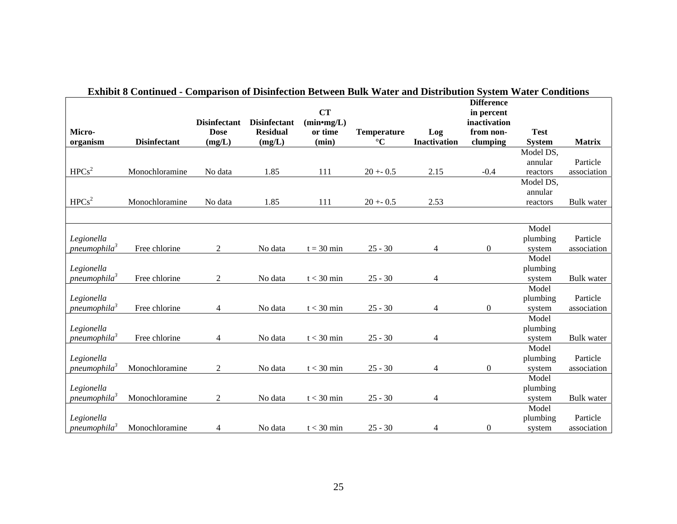|                                    |                     |                                    |                                        | <b>CT</b>               |                                       |                     | <b>Difference</b><br>in percent |                 |                   |
|------------------------------------|---------------------|------------------------------------|----------------------------------------|-------------------------|---------------------------------------|---------------------|---------------------------------|-----------------|-------------------|
| Micro-                             |                     | <b>Disinfectant</b><br><b>Dose</b> | <b>Disinfectant</b><br><b>Residual</b> | $(min*mg/L)$<br>or time |                                       |                     | inactivation<br>from non-       | <b>Test</b>     |                   |
| organism                           | <b>Disinfectant</b> | (mg/L)                             | (mg/L)                                 | (min)                   | <b>Temperature</b><br>$\rm ^{\circ}C$ | Log<br>Inactivation | clumping                        | <b>System</b>   | <b>Matrix</b>     |
|                                    |                     |                                    |                                        |                         |                                       |                     |                                 | Model DS,       |                   |
|                                    |                     |                                    |                                        |                         |                                       |                     |                                 | annular         | Particle          |
| HPCs <sup>2</sup>                  | Monochloramine      | No data                            | 1.85                                   | 111                     | $20 + 0.5$                            | 2.15                | $-0.4$                          | reactors        | association       |
|                                    |                     |                                    |                                        |                         |                                       |                     |                                 | Model DS,       |                   |
|                                    |                     |                                    |                                        |                         |                                       |                     |                                 | annular         |                   |
| HPCs <sup>2</sup>                  | Monochloramine      | No data                            | 1.85                                   | 111                     | $20 + 0.5$                            | 2.53                |                                 | reactors        | <b>Bulk</b> water |
|                                    |                     |                                    |                                        |                         |                                       |                     |                                 |                 |                   |
|                                    |                     |                                    |                                        |                         |                                       |                     |                                 | Model           |                   |
| Legionella                         |                     |                                    |                                        |                         |                                       |                     |                                 | plumbing        | Particle          |
| pneumophila3                       | Free chlorine       | 2                                  | No data                                | $t = 30$ min            | $25 - 30$                             | 4                   | $\boldsymbol{0}$                | system          | association       |
|                                    |                     |                                    |                                        |                         |                                       |                     |                                 | Model           |                   |
| Legionella                         |                     |                                    |                                        |                         |                                       |                     |                                 | plumbing        |                   |
| pneumophila <sup>3</sup>           | Free chlorine       | 2                                  | No data                                | $t < 30$ min            | $25 - 30$                             | 4                   |                                 | system          | <b>Bulk</b> water |
|                                    |                     |                                    |                                        |                         |                                       |                     |                                 | Model           |                   |
| Legionella<br>pneumophila $\delta$ | Free chlorine       |                                    | No data                                | $t < 30$ min            | $25 - 30$                             |                     |                                 | plumbing        | Particle          |
|                                    |                     | 4                                  |                                        |                         |                                       | 4                   | $\boldsymbol{0}$                | system<br>Model | association       |
| Legionella                         |                     |                                    |                                        |                         |                                       |                     |                                 | plumbing        |                   |
| pneumophila <sup>3</sup>           | Free chlorine       | 4                                  | No data                                | $t < 30$ min            | $25 - 30$                             | 4                   |                                 | system          | <b>Bulk</b> water |
|                                    |                     |                                    |                                        |                         |                                       |                     |                                 | Model           |                   |
| Legionella                         |                     |                                    |                                        |                         |                                       |                     |                                 | plumbing        | Particle          |
| pneumophila <sup>3</sup>           | Monochloramine      | 2                                  | No data                                | $t < 30$ min            | $25 - 30$                             | 4                   | $\boldsymbol{0}$                | system          | association       |
|                                    |                     |                                    |                                        |                         |                                       |                     |                                 | Model           |                   |
| Legionella                         |                     |                                    |                                        |                         |                                       |                     |                                 | plumbing        |                   |
| pneumophila <sup>3</sup>           | Monochloramine      | 2                                  | No data                                | $t < 30$ min            | $25 - 30$                             | 4                   |                                 | system          | <b>Bulk</b> water |
|                                    |                     |                                    |                                        |                         |                                       |                     |                                 | Model           |                   |
| Legionella                         |                     |                                    |                                        |                         |                                       |                     |                                 | plumbing        | Particle          |
| pneumophila <sup>3</sup>           | Monochloramine      | 4                                  | No data                                | $t < 30$ min            | $25 - 30$                             | 4                   | $\boldsymbol{0}$                | system          | association       |

#### **Exhibit 8 Continued - Comparison of Disinfection Between Bulk Water and Distribution System Water Conditions**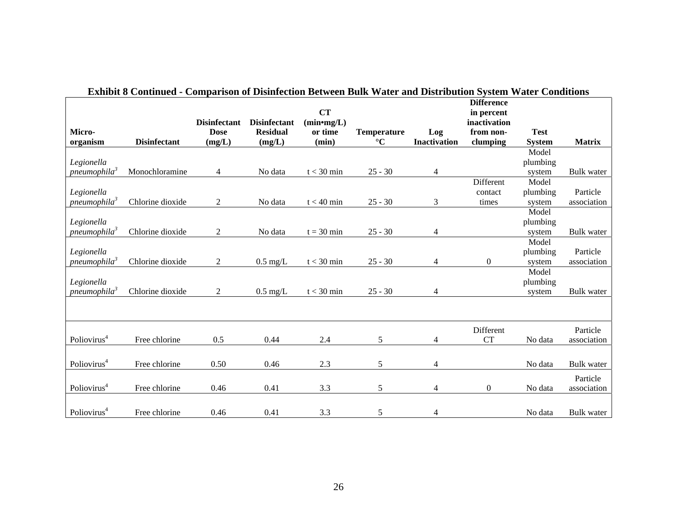|                          |                     |                     |                     | <b>CT</b>              |                    |                     | <b>Difference</b><br>in percent |               |                   |
|--------------------------|---------------------|---------------------|---------------------|------------------------|--------------------|---------------------|---------------------------------|---------------|-------------------|
|                          |                     | <b>Disinfectant</b> | <b>Disinfectant</b> | (min <sub>mg</sub> /L) |                    |                     | inactivation                    |               |                   |
| Micro-                   |                     | <b>Dose</b>         | <b>Residual</b>     | or time                | <b>Temperature</b> | Log                 | from non-                       | <b>Test</b>   |                   |
| organism                 | <b>Disinfectant</b> | (mg/L)              | (mg/L)              | (min)                  | $\rm ^{\circ}C$    | <b>Inactivation</b> | clumping                        | <b>System</b> | <b>Matrix</b>     |
|                          |                     |                     |                     |                        |                    |                     |                                 | Model         |                   |
| Legionella               |                     |                     |                     |                        |                    |                     |                                 | plumbing      |                   |
| pneumophila <sup>3</sup> | Monochloramine      | 4                   | No data             | $t < 30$ min           | $25 - 30$          | 4                   |                                 | system        | <b>Bulk</b> water |
|                          |                     |                     |                     |                        |                    |                     | Different                       | Model         |                   |
| Legionella               |                     |                     |                     |                        |                    |                     | contact                         | plumbing      | Particle          |
| pneumophila <sup>3</sup> | Chlorine dioxide    | $\overline{2}$      | No data             | $t < 40$ min           | $25 - 30$          | 3                   | times                           | system        | association       |
|                          |                     |                     |                     |                        |                    |                     |                                 | Model         |                   |
| Legionella               |                     |                     |                     |                        |                    |                     |                                 | plumbing      |                   |
| pneumophila <sup>3</sup> | Chlorine dioxide    | $\overline{2}$      | No data             | $t = 30$ min           | $25 - 30$          | 4                   |                                 | system        | <b>Bulk</b> water |
|                          |                     |                     |                     |                        |                    |                     |                                 | Model         |                   |
| Legionella               |                     |                     |                     |                        |                    |                     |                                 | plumbing      | Particle          |
| pneumophila <sup>3</sup> | Chlorine dioxide    | $\overline{2}$      | $0.5 \text{ mg/L}$  | $t < 30$ min           | $25 - 30$          | 4                   | 0                               | system        | association       |
|                          |                     |                     |                     |                        |                    |                     |                                 | Model         |                   |
| Legionella               |                     |                     |                     |                        |                    |                     |                                 | plumbing      |                   |
| pneumophila <sup>3</sup> | Chlorine dioxide    | 2                   | $0.5$ mg/L          | $t < 30$ min           | $25 - 30$          | 4                   |                                 | system        | <b>Bulk</b> water |
|                          |                     |                     |                     |                        |                    |                     |                                 |               |                   |
|                          |                     |                     |                     |                        |                    |                     | Different                       |               | Particle          |
| Poliovirus <sup>4</sup>  | Free chlorine       | 0.5                 | 0.44                | 2.4                    | 5                  | 4                   | <b>CT</b>                       | No data       | association       |
|                          |                     |                     |                     |                        |                    |                     |                                 |               |                   |
| Poliovirus <sup>4</sup>  | Free chlorine       | 0.50                | 0.46                | 2.3                    | 5                  | 4                   |                                 | No data       | <b>Bulk</b> water |
|                          |                     |                     |                     |                        |                    |                     |                                 |               |                   |
|                          |                     |                     |                     |                        |                    |                     |                                 |               | Particle          |
| Poliovirus <sup>4</sup>  | Free chlorine       | 0.46                | 0.41                | 3.3                    | 5                  | 4                   | $\boldsymbol{0}$                | No data       | association       |
|                          |                     |                     |                     |                        |                    |                     |                                 |               |                   |
| Poliovirus <sup>4</sup>  | Free chlorine       | 0.46                | 0.41                | 3.3                    | 5                  | 4                   |                                 | No data       | Bulk water        |

### **Exhibit 8 Continued - Comparison of Disinfection Between Bulk Water and Distribution System Water Conditions**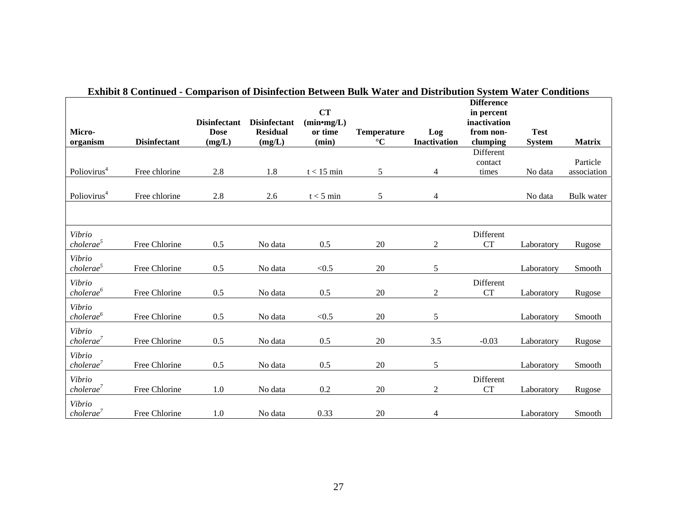|                                 |                     |                     |                     | CT                     |                    |                     | <b>Difference</b><br>in percent |               |                   |
|---------------------------------|---------------------|---------------------|---------------------|------------------------|--------------------|---------------------|---------------------------------|---------------|-------------------|
|                                 |                     | <b>Disinfectant</b> | <b>Disinfectant</b> | (min <sub>mg</sub> /L) |                    |                     | inactivation                    |               |                   |
| Micro-                          |                     | <b>Dose</b>         | <b>Residual</b>     | or time                | <b>Temperature</b> | Log                 | from non-                       | <b>Test</b>   |                   |
| organism                        | <b>Disinfectant</b> | (mg/L)              | (mg/L)              | (min)                  | $\rm ^{\circ}C$    | <b>Inactivation</b> | clumping<br>Different           | <b>System</b> | <b>Matrix</b>     |
|                                 |                     |                     |                     |                        |                    |                     | contact                         |               | Particle          |
| Poliovirus <sup>4</sup>         | Free chlorine       | 2.8                 | 1.8                 | $t < 15$ min           | 5                  | 4                   | times                           | No data       | association       |
|                                 |                     |                     |                     |                        |                    |                     |                                 |               |                   |
| Poliovirus <sup>4</sup>         | Free chlorine       | 2.8                 | 2.6                 | $t < 5$ min            | 5                  | 4                   |                                 | No data       | <b>Bulk</b> water |
|                                 |                     |                     |                     |                        |                    |                     |                                 |               |                   |
| Vibrio                          |                     |                     |                     |                        |                    |                     | Different                       |               |                   |
| cholerae <sup>5</sup>           | Free Chlorine       | 0.5                 | No data             | 0.5                    | 20                 | $\mathbf{2}$        | <b>CT</b>                       | Laboratory    | Rugose            |
| Vibrio<br>cholerae <sup>5</sup> | Free Chlorine       | 0.5                 | No data             | < 0.5                  | 20                 | 5                   |                                 | Laboratory    | Smooth            |
| Vibrio                          |                     |                     |                     |                        |                    |                     | Different                       |               |                   |
| cholerae <sup>6</sup>           | Free Chlorine       | 0.5                 | No data             | 0.5                    | 20                 | $\overline{c}$      | <b>CT</b>                       | Laboratory    | Rugose            |
| Vibrio                          |                     |                     |                     |                        |                    |                     |                                 |               |                   |
| cholerae <sup>6</sup>           | Free Chlorine       | 0.5                 | No data             | < 0.5                  | 20                 | 5                   |                                 | Laboratory    | Smooth            |
| Vibrio                          |                     |                     |                     |                        |                    |                     |                                 |               |                   |
| cholerae <sup>7</sup>           | Free Chlorine       | 0.5                 | No data             | 0.5                    | 20                 | 3.5                 | $-0.03$                         | Laboratory    | Rugose            |
| Vibrio                          |                     |                     |                     |                        |                    |                     |                                 |               |                   |
| cholerance <sup>7</sup>         | Free Chlorine       | 0.5                 | No data             | 0.5                    | 20                 | 5                   |                                 | Laboratory    | Smooth            |
| Vibrio                          |                     |                     |                     |                        |                    |                     | Different                       |               |                   |
| cholerae <sup>7</sup>           | Free Chlorine       | $1.0\,$             | No data             | $0.2\,$                | 20                 | $\overline{c}$      | <b>CT</b>                       | Laboratory    | Rugose            |
| Vibrio                          |                     |                     |                     |                        |                    |                     |                                 |               |                   |
| cholerae <sup>7</sup>           | Free Chlorine       | 1.0                 | No data             | 0.33                   | 20                 | 4                   |                                 | Laboratory    | Smooth            |

|  |  |  |  |  | Exhibit 8 Continued - Comparison of Disinfection Between Bulk Water and Distribution System Water Conditions |
|--|--|--|--|--|--------------------------------------------------------------------------------------------------------------|
|--|--|--|--|--|--------------------------------------------------------------------------------------------------------------|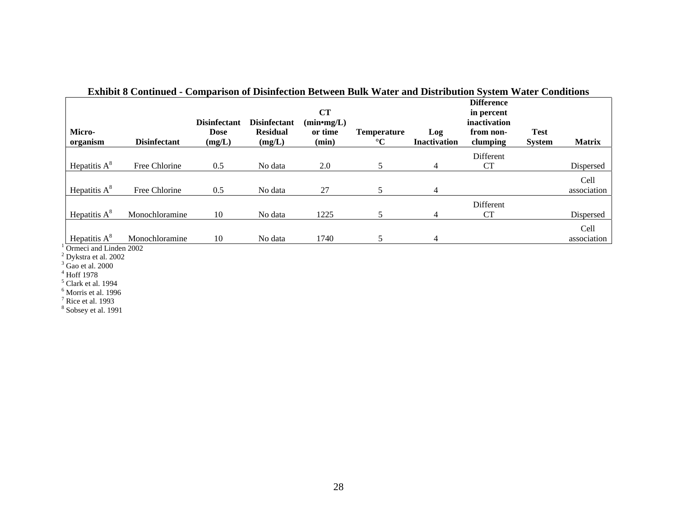| Micro-<br>organism | <b>Disinfectant</b> | <b>Disinfectant</b><br><b>Dose</b><br>(mg/L) | <b>Disinfectant</b><br><b>Residual</b><br>(mg/L) | CT<br>(min <sub>mg</sub> /L)<br>or time<br>(min) | <b>Temperature</b><br>$\rm ^{\circ}C$ | Log<br><b>Inactivation</b> | <b>Difference</b><br>in percent<br>inactivation<br>from non-<br>clumping | <b>Test</b><br><b>System</b> | <b>Matrix</b> |
|--------------------|---------------------|----------------------------------------------|--------------------------------------------------|--------------------------------------------------|---------------------------------------|----------------------------|--------------------------------------------------------------------------|------------------------------|---------------|
|                    |                     |                                              |                                                  |                                                  |                                       |                            | Different                                                                |                              |               |
| Hepatitis $A^8$    | Free Chlorine       | 0.5                                          | No data                                          | 2.0                                              |                                       | 4                          | <b>CT</b>                                                                |                              | Dispersed     |
|                    |                     |                                              |                                                  |                                                  |                                       |                            |                                                                          |                              | Cell          |
| Hepatitis $A^8$    | Free Chlorine       | 0.5                                          | No data                                          | 27                                               |                                       | 4                          |                                                                          |                              | association   |
|                    |                     |                                              |                                                  |                                                  |                                       |                            | <b>Different</b>                                                         |                              |               |
| Hepatitis $A^8$    | Monochloramine      | 10                                           | No data                                          | 1225                                             |                                       | 4                          | <b>CT</b>                                                                |                              | Dispersed     |
|                    |                     |                                              |                                                  |                                                  |                                       |                            |                                                                          |                              | Cell          |
| Hepatitis $A^8$    | Monochloramine      | 10                                           | No data                                          | 1740                                             |                                       | 4                          |                                                                          |                              | association   |

#### **Exhibit 8 Continued - Comparison of Disinfection Between Bulk Water and Distribution System Water Conditions**

<sup>1</sup> Ormeci and Linden 2002<br><sup>2</sup> Dykstra et al. 2002

<sup>3</sup> Gao et al. 2000<br><sup>5</sup> Clark et al. 1994<br><sup>6</sup> Morris et al. 1996<br><sup>7</sup> Rice et al. 1993<br><sup>8</sup> Sobsey et al. 1991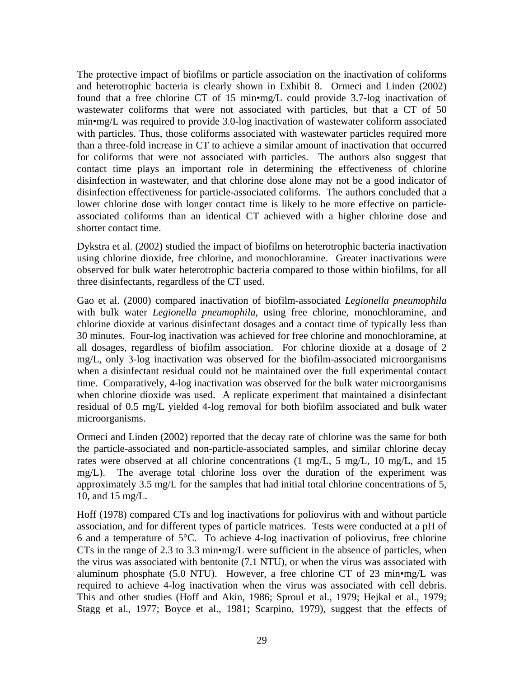The protective impact of biofilms or particle association on the inactivation of coliforms and heterotrophic bacteria is clearly shown in Exhibit 8. Ormeci and Linden (2002) found that a free chlorine CT of 15 min•mg/L could provide 3.7-log inactivation of wastewater coliforms that were not associated with particles, but that a CT of 50 min•mg/L was required to provide 3.0-log inactivation of wastewater coliform associated with particles. Thus, those coliforms associated with wastewater particles required more than a three-fold increase in CT to achieve a similar amount of inactivation that occurred for coliforms that were not associated with particles. The authors also suggest that contact time plays an important role in determining the effectiveness of chlorine disinfection in wastewater, and that chlorine dose alone may not be a good indicator of disinfection effectiveness for particle-associated coliforms. The authors concluded that a lower chlorine dose with longer contact time is likely to be more effective on particleassociated coliforms than an identical CT achieved with a higher chlorine dose and shorter contact time.

Dykstra et al. (2002) studied the impact of biofilms on heterotrophic bacteria inactivation using chlorine dioxide, free chlorine, and monochloramine. Greater inactivations were observed for bulk water heterotrophic bacteria compared to those within biofilms, for all three disinfectants, regardless of the CT used.

Gao et al. (2000) compared inactivation of biofilm-associated *Legionella pneumophila* with bulk water *Legionella pneumophila*, using free chlorine, monochloramine, and chlorine dioxide at various disinfectant dosages and a contact time of typically less than 30 minutes. Four-log inactivation was achieved for free chlorine and monochloramine, at all dosages, regardless of biofilm association. For chlorine dioxide at a dosage of 2 mg/L, only 3-log inactivation was observed for the biofilm-associated microorganisms when a disinfectant residual could not be maintained over the full experimental contact time. Comparatively, 4-log inactivation was observed for the bulk water microorganisms when chlorine dioxide was used. A replicate experiment that maintained a disinfectant residual of 0.5 mg/L yielded 4-log removal for both biofilm associated and bulk water microorganisms.

Ormeci and Linden (2002) reported that the decay rate of chlorine was the same for both the particle-associated and non-particle-associated samples, and similar chlorine decay rates were observed at all chlorine concentrations (1 mg/L, 5 mg/L, 10 mg/L, and 15 mg/L). The average total chlorine loss over the duration of the experiment was approximately 3.5 mg/L for the samples that had initial total chlorine concentrations of 5, 10, and 15 mg/L.

Hoff (1978) compared CTs and log inactivations for poliovirus with and without particle association, and for different types of particle matrices. Tests were conducted at a pH of 6 and a temperature of 5°C. To achieve 4-log inactivation of poliovirus, free chlorine CTs in the range of 2.3 to 3.3 min•mg/L were sufficient in the absence of particles, when the virus was associated with bentonite (7.1 NTU), or when the virus was associated with aluminum phosphate (5.0 NTU). However, a free chlorine CT of 23 min•mg/L was required to achieve 4-log inactivation when the virus was associated with cell debris. This and other studies (Hoff and Akin, 1986; Sproul et al., 1979; Hejkal et al., 1979; Stagg et al., 1977; Boyce et al., 1981; Scarpino, 1979), suggest that the effects of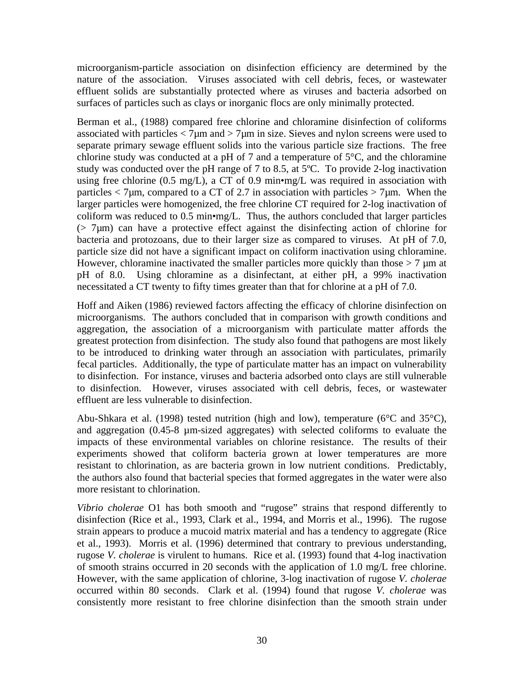microorganism-particle association on disinfection efficiency are determined by the nature of the association. Viruses associated with cell debris, feces, or wastewater effluent solids are substantially protected where as viruses and bacteria adsorbed on surfaces of particles such as clays or inorganic flocs are only minimally protected.

Berman et al., (1988) compared free chlorine and chloramine disinfection of coliforms associated with particles  $\langle 7\mu m \rangle$  and  $\langle 7\mu m \rangle$  in size. Sieves and nylon screens were used to separate primary sewage effluent solids into the various particle size fractions. The free chlorine study was conducted at a pH of 7 and a temperature of  $5^{\circ}$ C, and the chloramine study was conducted over the pH range of 7 to 8.5, at 5ºC. To provide 2-log inactivation using free chlorine (0.5 mg/L), a CT of 0.9 min•mg/L was required in association with particles  $<$  7 $\mu$ m, compared to a CT of 2.7 in association with particles  $>$  7 $\mu$ m. When the larger particles were homogenized, the free chlorine CT required for 2-log inactivation of coliform was reduced to 0.5 min•mg/L. Thus, the authors concluded that larger particles  $($   $> 7 \mu$ m) can have a protective effect against the disinfecting action of chlorine for bacteria and protozoans, due to their larger size as compared to viruses. At pH of 7.0, particle size did not have a significant impact on coliform inactivation using chloramine. However, chloramine inactivated the smaller particles more quickly than those  $> 7 \mu m$  at pH of 8.0. Using chloramine as a disinfectant, at either pH, a 99% inactivation necessitated a CT twenty to fifty times greater than that for chlorine at a pH of 7.0.

Hoff and Aiken (1986) reviewed factors affecting the efficacy of chlorine disinfection on microorganisms. The authors concluded that in comparison with growth conditions and aggregation, the association of a microorganism with particulate matter affords the greatest protection from disinfection. The study also found that pathogens are most likely to be introduced to drinking water through an association with particulates, primarily fecal particles. Additionally, the type of particulate matter has an impact on vulnerability to disinfection. For instance, viruses and bacteria adsorbed onto clays are still vulnerable to disinfection. However, viruses associated with cell debris, feces, or wastewater effluent are less vulnerable to disinfection.

Abu-Shkara et al. (1998) tested nutrition (high and low), temperature (6°C and 35°C), and aggregation (0.45-8 µm-sized aggregates) with selected coliforms to evaluate the impacts of these environmental variables on chlorine resistance. The results of their experiments showed that coliform bacteria grown at lower temperatures are more resistant to chlorination, as are bacteria grown in low nutrient conditions. Predictably, the authors also found that bacterial species that formed aggregates in the water were also more resistant to chlorination.

*Vibrio cholerae* O1 has both smooth and "rugose" strains that respond differently to disinfection (Rice et al., 1993, Clark et al., 1994, and Morris et al., 1996). The rugose strain appears to produce a mucoid matrix material and has a tendency to aggregate (Rice et al., 1993). Morris et al. (1996) determined that contrary to previous understanding, rugose *V. cholerae* is virulent to humans. Rice et al. (1993) found that 4-log inactivation of smooth strains occurred in 20 seconds with the application of 1.0 mg/L free chlorine. However, with the same application of chlorine, 3-log inactivation of rugose *V. cholerae*  occurred within 80 seconds. Clark et al. (1994) found that rugose *V. cholerae* was consistently more resistant to free chlorine disinfection than the smooth strain under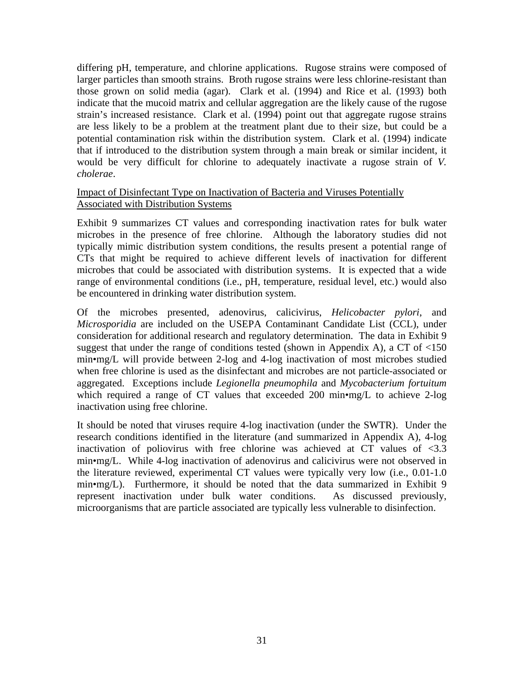differing pH, temperature, and chlorine applications. Rugose strains were composed of larger particles than smooth strains. Broth rugose strains were less chlorine-resistant than those grown on solid media (agar). Clark et al. (1994) and Rice et al. (1993) both indicate that the mucoid matrix and cellular aggregation are the likely cause of the rugose strain's increased resistance. Clark et al. (1994) point out that aggregate rugose strains are less likely to be a problem at the treatment plant due to their size, but could be a potential contamination risk within the distribution system. Clark et al. (1994) indicate that if introduced to the distribution system through a main break or similar incident, it would be very difficult for chlorine to adequately inactivate a rugose strain of *V. cholerae*.

#### Impact of Disinfectant Type on Inactivation of Bacteria and Viruses Potentially Associated with Distribution Systems

Exhibit 9 summarizes CT values and corresponding inactivation rates for bulk water microbes in the presence of free chlorine. Although the laboratory studies did not typically mimic distribution system conditions, the results present a potential range of CTs that might be required to achieve different levels of inactivation for different microbes that could be associated with distribution systems. It is expected that a wide range of environmental conditions (i.e., pH, temperature, residual level, etc.) would also be encountered in drinking water distribution system.

Of the microbes presented, adenovirus, calicivirus, *Helicobacter pylori*, and *Microsporidia* are included on the USEPA Contaminant Candidate List (CCL), under consideration for additional research and regulatory determination. The data in Exhibit 9 suggest that under the range of conditions tested (shown in Appendix A), a CT of  $<150$ min•mg/L will provide between 2-log and 4-log inactivation of most microbes studied when free chlorine is used as the disinfectant and microbes are not particle-associated or aggregated. Exceptions include *Legionella pneumophila* and *Mycobacterium fortuitum* which required a range of CT values that exceeded 200 min•mg/L to achieve 2-log inactivation using free chlorine.

It should be noted that viruses require 4-log inactivation (under the SWTR). Under the research conditions identified in the literature (and summarized in Appendix A), 4-log inactivation of poliovirus with free chlorine was achieved at CT values of  $\langle 3.3 \rangle$ min•mg/L. While 4-log inactivation of adenovirus and calicivirus were not observed in the literature reviewed, experimental CT values were typically very low (i.e., 0.01-1.0 min•mg/L). Furthermore, it should be noted that the data summarized in Exhibit 9 represent inactivation under bulk water conditions. As discussed previously, microorganisms that are particle associated are typically less vulnerable to disinfection.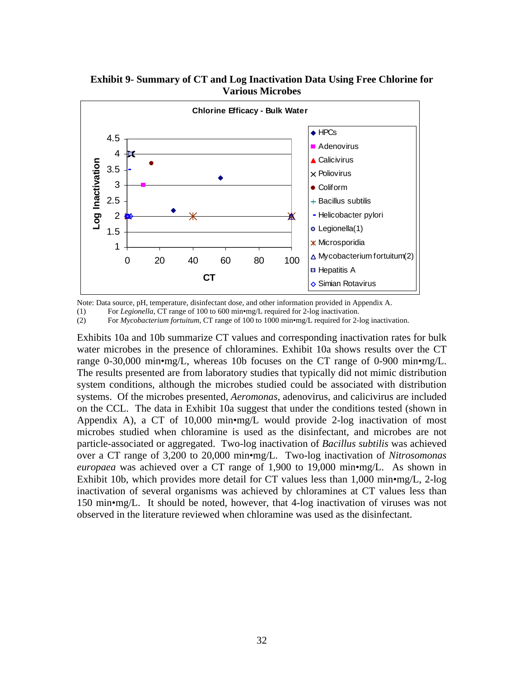

**Exhibit 9- Summary of CT and Log Inactivation Data Using Free Chlorine for Various Microbes** 

Note: Data source, pH, temperature, disinfectant dose, and other information provided in Appendix A.

(1) For *Legionella*, CT range of 100 to 600 min•mg/L required for 2-log inactivation.

(2) For *Mycobacterium fortuitum*, CT range of 100 to 1000 min•mg/L required for 2-log inactivation.

Exhibits 10a and 10b summarize CT values and corresponding inactivation rates for bulk water microbes in the presence of chloramines. Exhibit 10a shows results over the CT range 0-30,000 min•mg/L, whereas 10b focuses on the CT range of 0-900 min•mg/L. The results presented are from laboratory studies that typically did not mimic distribution system conditions, although the microbes studied could be associated with distribution systems. Of the microbes presented, *Aeromonas*, adenovirus, and calicivirus are included on the CCL. The data in Exhibit 10a suggest that under the conditions tested (shown in Appendix A), a CT of 10,000 min•mg/L would provide 2-log inactivation of most microbes studied when chloramine is used as the disinfectant, and microbes are not particle-associated or aggregated. Two-log inactivation of *Bacillus subtilis* was achieved over a CT range of 3,200 to 20,000 min•mg/L. Two-log inactivation of *Nitrosomonas europaea* was achieved over a CT range of 1,900 to 19,000 min•mg/L. As shown in Exhibit 10b, which provides more detail for CT values less than 1,000 min•mg/L, 2-log inactivation of several organisms was achieved by chloramines at CT values less than 150 min•mg/L. It should be noted, however, that 4-log inactivation of viruses was not observed in the literature reviewed when chloramine was used as the disinfectant.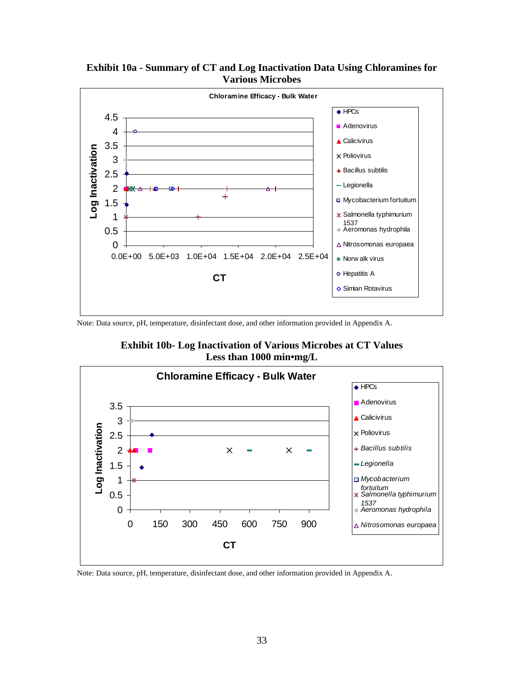

**Exhibit 10a - Summary of CT and Log Inactivation Data Using Chloramines for Various Microbes** 

Note: Data source, pH, temperature, disinfectant dose, and other information provided in Appendix A.

**Exhibit 10b- Log Inactivation of Various Microbes at CT Values Less than 1000 min•mg/L** 



Note: Data source, pH, temperature, disinfectant dose, and other information provided in Appendix A.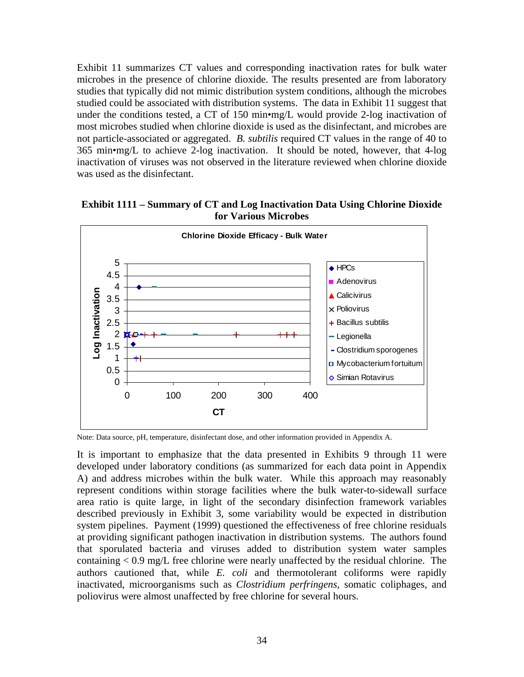Exhibit 11 summarizes CT values and corresponding inactivation rates for bulk water microbes in the presence of chlorine dioxide. The results presented are from laboratory studies that typically did not mimic distribution system conditions, although the microbes studied could be associated with distribution systems. The data in Exhibit 11 suggest that under the conditions tested, a CT of 150 min•mg/L would provide 2-log inactivation of most microbes studied when chlorine dioxide is used as the disinfectant, and microbes are not particle-associated or aggregated. *B. subtilis* required CT values in the range of 40 to 365 min•mg/L to achieve 2-log inactivation. It should be noted, however, that 4-log inactivation of viruses was not observed in the literature reviewed when chlorine dioxide was used as the disinfectant.



**Exhibit 1111 – Summary of CT and Log Inactivation Data Using Chlorine Dioxide for Various Microbes** 

Note: Data source, pH, temperature, disinfectant dose, and other information provided in Appendix A.

It is important to emphasize that the data presented in Exhibits 9 through 11 were developed under laboratory conditions (as summarized for each data point in Appendix A) and address microbes within the bulk water. While this approach may reasonably represent conditions within storage facilities where the bulk water-to-sidewall surface area ratio is quite large, in light of the secondary disinfection framework variables described previously in Exhibit 3, some variability would be expected in distribution system pipelines. Payment (1999) questioned the effectiveness of free chlorine residuals at providing significant pathogen inactivation in distribution systems. The authors found that sporulated bacteria and viruses added to distribution system water samples containing < 0.9 mg/L free chlorine were nearly unaffected by the residual chlorine. The authors cautioned that, while *E. coli* and thermotolerant coliforms were rapidly inactivated, microorganisms such as *Clostridium perfringens*, somatic coliphages, and poliovirus were almost unaffected by free chlorine for several hours.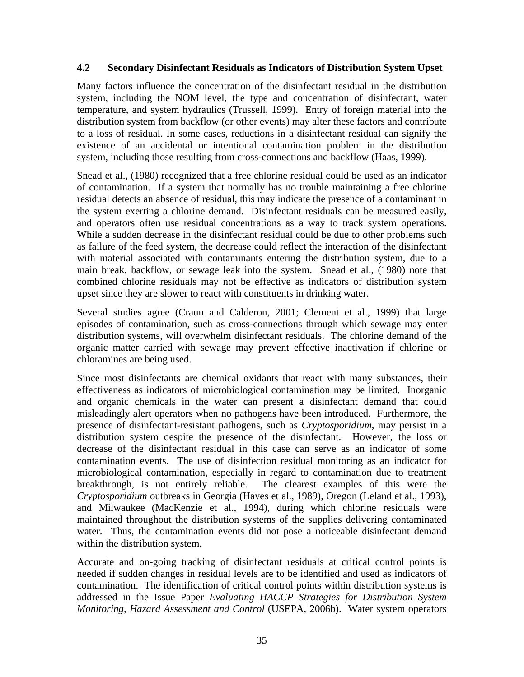#### **4.2 Secondary Disinfectant Residuals as Indicators of Distribution System Upset**

Many factors influence the concentration of the disinfectant residual in the distribution system, including the NOM level, the type and concentration of disinfectant, water temperature, and system hydraulics (Trussell, 1999). Entry of foreign material into the distribution system from backflow (or other events) may alter these factors and contribute to a loss of residual. In some cases, reductions in a disinfectant residual can signify the existence of an accidental or intentional contamination problem in the distribution system, including those resulting from cross-connections and backflow (Haas, 1999).

Snead et al., (1980) recognized that a free chlorine residual could be used as an indicator of contamination. If a system that normally has no trouble maintaining a free chlorine residual detects an absence of residual, this may indicate the presence of a contaminant in the system exerting a chlorine demand. Disinfectant residuals can be measured easily, and operators often use residual concentrations as a way to track system operations. While a sudden decrease in the disinfectant residual could be due to other problems such as failure of the feed system, the decrease could reflect the interaction of the disinfectant with material associated with contaminants entering the distribution system, due to a main break, backflow, or sewage leak into the system. Snead et al., (1980) note that combined chlorine residuals may not be effective as indicators of distribution system upset since they are slower to react with constituents in drinking water.

Several studies agree (Craun and Calderon, 2001; Clement et al., 1999) that large episodes of contamination, such as cross-connections through which sewage may enter distribution systems, will overwhelm disinfectant residuals. The chlorine demand of the organic matter carried with sewage may prevent effective inactivation if chlorine or chloramines are being used.

Since most disinfectants are chemical oxidants that react with many substances, their effectiveness as indicators of microbiological contamination may be limited. Inorganic and organic chemicals in the water can present a disinfectant demand that could misleadingly alert operators when no pathogens have been introduced. Furthermore, the presence of disinfectant-resistant pathogens, such as *Cryptosporidium*, may persist in a distribution system despite the presence of the disinfectant. However, the loss or decrease of the disinfectant residual in this case can serve as an indicator of some contamination events. The use of disinfection residual monitoring as an indicator for microbiological contamination, especially in regard to contamination due to treatment breakthrough, is not entirely reliable. The clearest examples of this were the *Cryptosporidium* outbreaks in Georgia (Hayes et al., 1989), Oregon (Leland et al., 1993), and Milwaukee (MacKenzie et al., 1994), during which chlorine residuals were maintained throughout the distribution systems of the supplies delivering contaminated water. Thus, the contamination events did not pose a noticeable disinfectant demand within the distribution system.

Accurate and on-going tracking of disinfectant residuals at critical control points is needed if sudden changes in residual levels are to be identified and used as indicators of contamination. The identification of critical control points within distribution systems is addressed in the Issue Paper *Evaluating HACCP Strategies for Distribution System Monitoring, Hazard Assessment and Control* (USEPA, 2006b). Water system operators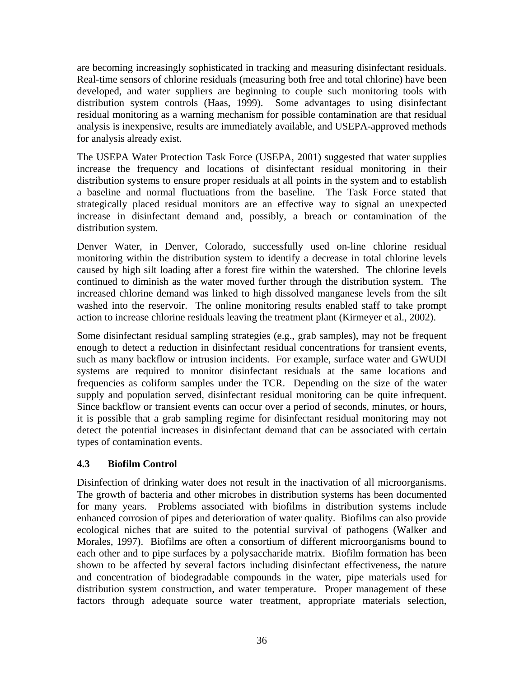are becoming increasingly sophisticated in tracking and measuring disinfectant residuals. Real-time sensors of chlorine residuals (measuring both free and total chlorine) have been developed, and water suppliers are beginning to couple such monitoring tools with distribution system controls (Haas, 1999). Some advantages to using disinfectant residual monitoring as a warning mechanism for possible contamination are that residual analysis is inexpensive, results are immediately available, and USEPA-approved methods for analysis already exist.

The USEPA Water Protection Task Force (USEPA, 2001) suggested that water supplies increase the frequency and locations of disinfectant residual monitoring in their distribution systems to ensure proper residuals at all points in the system and to establish a baseline and normal fluctuations from the baseline. The Task Force stated that strategically placed residual monitors are an effective way to signal an unexpected increase in disinfectant demand and, possibly, a breach or contamination of the distribution system.

Denver Water, in Denver, Colorado, successfully used on-line chlorine residual monitoring within the distribution system to identify a decrease in total chlorine levels caused by high silt loading after a forest fire within the watershed. The chlorine levels continued to diminish as the water moved further through the distribution system. The increased chlorine demand was linked to high dissolved manganese levels from the silt washed into the reservoir. The online monitoring results enabled staff to take prompt action to increase chlorine residuals leaving the treatment plant (Kirmeyer et al., 2002).

Some disinfectant residual sampling strategies (e.g., grab samples), may not be frequent enough to detect a reduction in disinfectant residual concentrations for transient events, such as many backflow or intrusion incidents. For example, surface water and GWUDI systems are required to monitor disinfectant residuals at the same locations and frequencies as coliform samples under the TCR. Depending on the size of the water supply and population served, disinfectant residual monitoring can be quite infrequent. Since backflow or transient events can occur over a period of seconds, minutes, or hours, it is possible that a grab sampling regime for disinfectant residual monitoring may not detect the potential increases in disinfectant demand that can be associated with certain types of contamination events.

### **4.3 Biofilm Control**

Disinfection of drinking water does not result in the inactivation of all microorganisms. The growth of bacteria and other microbes in distribution systems has been documented for many years. Problems associated with biofilms in distribution systems include enhanced corrosion of pipes and deterioration of water quality. Biofilms can also provide ecological niches that are suited to the potential survival of pathogens (Walker and Morales, 1997). Biofilms are often a consortium of different microorganisms bound to each other and to pipe surfaces by a polysaccharide matrix. Biofilm formation has been shown to be affected by several factors including disinfectant effectiveness, the nature and concentration of biodegradable compounds in the water, pipe materials used for distribution system construction, and water temperature. Proper management of these factors through adequate source water treatment, appropriate materials selection,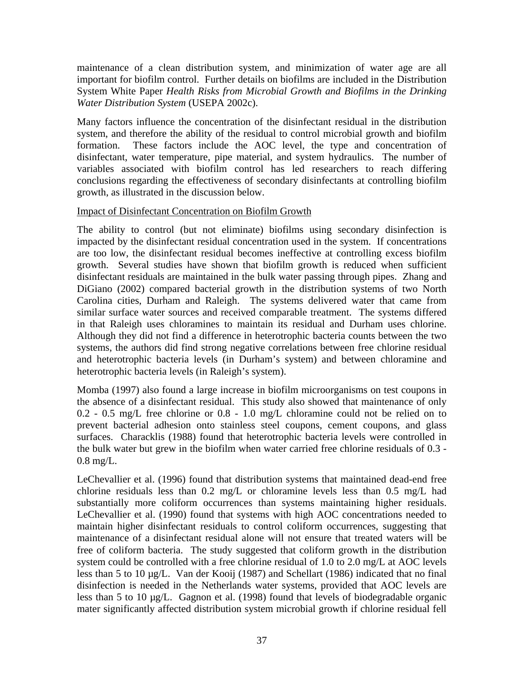maintenance of a clean distribution system, and minimization of water age are all important for biofilm control. Further details on biofilms are included in the Distribution System White Paper *Health Risks from Microbial Growth and Biofilms in the Drinking Water Distribution System* (USEPA 2002c).

Many factors influence the concentration of the disinfectant residual in the distribution system, and therefore the ability of the residual to control microbial growth and biofilm formation. These factors include the AOC level, the type and concentration of disinfectant, water temperature, pipe material, and system hydraulics. The number of variables associated with biofilm control has led researchers to reach differing conclusions regarding the effectiveness of secondary disinfectants at controlling biofilm growth, as illustrated in the discussion below.

#### Impact of Disinfectant Concentration on Biofilm Growth

The ability to control (but not eliminate) biofilms using secondary disinfection is impacted by the disinfectant residual concentration used in the system. If concentrations are too low, the disinfectant residual becomes ineffective at controlling excess biofilm growth. Several studies have shown that biofilm growth is reduced when sufficient disinfectant residuals are maintained in the bulk water passing through pipes. Zhang and DiGiano (2002) compared bacterial growth in the distribution systems of two North Carolina cities, Durham and Raleigh. The systems delivered water that came from similar surface water sources and received comparable treatment. The systems differed in that Raleigh uses chloramines to maintain its residual and Durham uses chlorine. Although they did not find a difference in heterotrophic bacteria counts between the two systems, the authors did find strong negative correlations between free chlorine residual and heterotrophic bacteria levels (in Durham's system) and between chloramine and heterotrophic bacteria levels (in Raleigh's system).

Momba (1997) also found a large increase in biofilm microorganisms on test coupons in the absence of a disinfectant residual. This study also showed that maintenance of only 0.2 - 0.5 mg/L free chlorine or 0.8 - 1.0 mg/L chloramine could not be relied on to prevent bacterial adhesion onto stainless steel coupons, cement coupons, and glass surfaces. Characklis (1988) found that heterotrophic bacteria levels were controlled in the bulk water but grew in the biofilm when water carried free chlorine residuals of 0.3 - 0.8 mg/L.

LeChevallier et al. (1996) found that distribution systems that maintained dead-end free chlorine residuals less than 0.2 mg/L or chloramine levels less than 0.5 mg/L had substantially more coliform occurrences than systems maintaining higher residuals. LeChevallier et al. (1990) found that systems with high AOC concentrations needed to maintain higher disinfectant residuals to control coliform occurrences, suggesting that maintenance of a disinfectant residual alone will not ensure that treated waters will be free of coliform bacteria. The study suggested that coliform growth in the distribution system could be controlled with a free chlorine residual of 1.0 to 2.0 mg/L at AOC levels less than 5 to 10 µg/L. Van der Kooij (1987) and Schellart (1986) indicated that no final disinfection is needed in the Netherlands water systems, provided that AOC levels are less than 5 to 10 µg/L. Gagnon et al. (1998) found that levels of biodegradable organic mater significantly affected distribution system microbial growth if chlorine residual fell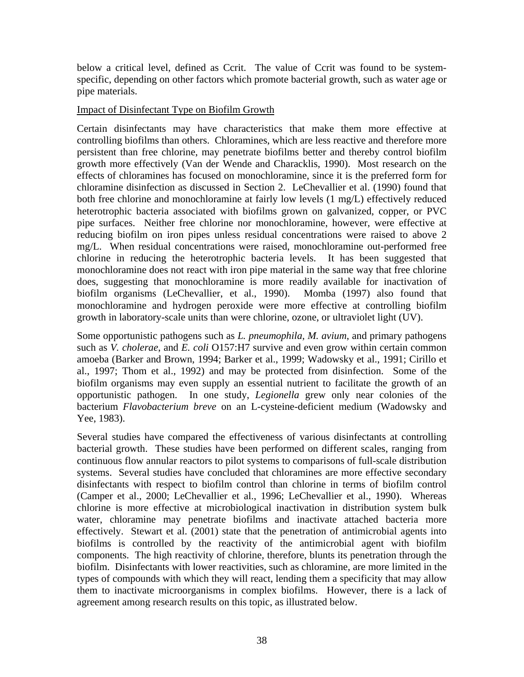below a critical level, defined as Ccrit. The value of Ccrit was found to be systemspecific, depending on other factors which promote bacterial growth, such as water age or pipe materials.

#### Impact of Disinfectant Type on Biofilm Growth

Certain disinfectants may have characteristics that make them more effective at controlling biofilms than others. Chloramines, which are less reactive and therefore more persistent than free chlorine, may penetrate biofilms better and thereby control biofilm growth more effectively (Van der Wende and Characklis, 1990). Most research on the effects of chloramines has focused on monochloramine, since it is the preferred form for chloramine disinfection as discussed in Section 2. LeChevallier et al. (1990) found that both free chlorine and monochloramine at fairly low levels (1 mg/L) effectively reduced heterotrophic bacteria associated with biofilms grown on galvanized, copper, or PVC pipe surfaces. Neither free chlorine nor monochloramine, however, were effective at reducing biofilm on iron pipes unless residual concentrations were raised to above 2 mg/L. When residual concentrations were raised, monochloramine out-performed free chlorine in reducing the heterotrophic bacteria levels. It has been suggested that monochloramine does not react with iron pipe material in the same way that free chlorine does, suggesting that monochloramine is more readily available for inactivation of biofilm organisms (LeChevallier, et al., 1990). Momba (1997) also found that monochloramine and hydrogen peroxide were more effective at controlling biofilm growth in laboratory-scale units than were chlorine, ozone, or ultraviolet light (UV).

Some opportunistic pathogens such as *L. pneumophila, M. avium*, and primary pathogens such as *V. cholerae*, and *E. coli* O157:H7 survive and even grow within certain common amoeba (Barker and Brown, 1994; Barker et al., 1999; Wadowsky et al., 1991; Cirillo et al., 1997; Thom et al., 1992) and may be protected from disinfection. Some of the biofilm organisms may even supply an essential nutrient to facilitate the growth of an opportunistic pathogen. In one study, *Legionella* grew only near colonies of the bacterium *Flavobacterium breve* on an L-cysteine-deficient medium (Wadowsky and Yee, 1983).

Several studies have compared the effectiveness of various disinfectants at controlling bacterial growth. These studies have been performed on different scales, ranging from continuous flow annular reactors to pilot systems to comparisons of full-scale distribution systems. Several studies have concluded that chloramines are more effective secondary disinfectants with respect to biofilm control than chlorine in terms of biofilm control (Camper et al., 2000; LeChevallier et al., 1996; LeChevallier et al., 1990). Whereas chlorine is more effective at microbiological inactivation in distribution system bulk water, chloramine may penetrate biofilms and inactivate attached bacteria more effectively. Stewart et al. (2001) state that the penetration of antimicrobial agents into biofilms is controlled by the reactivity of the antimicrobial agent with biofilm components. The high reactivity of chlorine, therefore, blunts its penetration through the biofilm. Disinfectants with lower reactivities, such as chloramine, are more limited in the types of compounds with which they will react, lending them a specificity that may allow them to inactivate microorganisms in complex biofilms. However, there is a lack of agreement among research results on this topic, as illustrated below.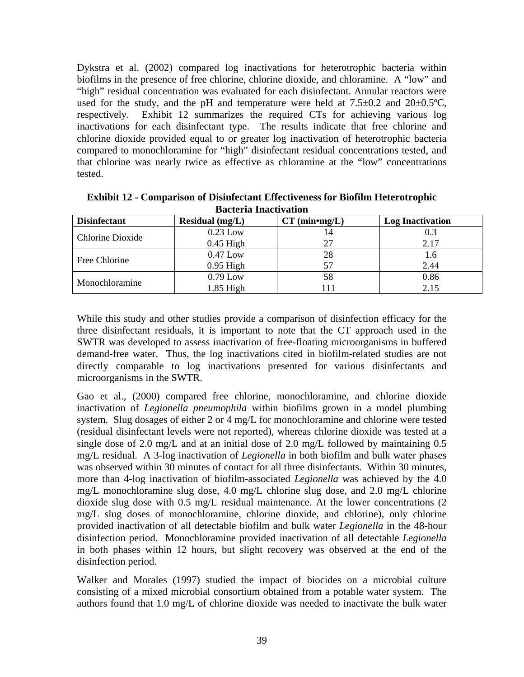Dykstra et al. (2002) compared log inactivations for heterotrophic bacteria within biofilms in the presence of free chlorine, chlorine dioxide, and chloramine. A "low" and "high" residual concentration was evaluated for each disinfectant. Annular reactors were used for the study, and the pH and temperature were held at  $7.5\pm0.2$  and  $20\pm0.5^{\circ}$ C, respectively. Exhibit 12 summarizes the required CTs for achieving various log inactivations for each disinfectant type. The results indicate that free chlorine and chlorine dioxide provided equal to or greater log inactivation of heterotrophic bacteria compared to monochloramine for "high" disinfectant residual concentrations tested, and that chlorine was nearly twice as effective as chloramine at the "low" concentrations tested.

| Dacier ia marchyación |                   |                            |                         |  |  |  |  |  |  |
|-----------------------|-------------------|----------------------------|-------------------------|--|--|--|--|--|--|
| <b>Disinfectant</b>   | Residual $(mg/L)$ | CT (min <sup>•</sup> mg/L) | <b>Log Inactivation</b> |  |  |  |  |  |  |
|                       | $0.23$ Low        | 14                         |                         |  |  |  |  |  |  |
| Chlorine Dioxide      | $0.45$ High       | 27                         | 2.17                    |  |  |  |  |  |  |
| Free Chlorine         | $0.47$ Low        | 28                         |                         |  |  |  |  |  |  |
|                       | $0.95$ High       | 57                         | 2.44                    |  |  |  |  |  |  |
|                       | $0.79$ Low        | 58                         | 0.86                    |  |  |  |  |  |  |
| Monochloramine        | $1.85$ High       |                            | 2.15                    |  |  |  |  |  |  |

**Exhibit 12 - Comparison of Disinfectant Effectiveness for Biofilm Heterotrophic Bacteria Inactivation** 

While this study and other studies provide a comparison of disinfection efficacy for the three disinfectant residuals, it is important to note that the CT approach used in the SWTR was developed to assess inactivation of free-floating microorganisms in buffered demand-free water. Thus, the log inactivations cited in biofilm-related studies are not directly comparable to log inactivations presented for various disinfectants and microorganisms in the SWTR.

Gao et al., (2000) compared free chlorine, monochloramine, and chlorine dioxide inactivation of *Legionella pneumophila* within biofilms grown in a model plumbing system. Slug dosages of either 2 or 4 mg/L for monochloramine and chlorine were tested (residual disinfectant levels were not reported), whereas chlorine dioxide was tested at a single dose of 2.0 mg/L and at an initial dose of 2.0 mg/L followed by maintaining 0.5 mg/L residual. A 3-log inactivation of *Legionella* in both biofilm and bulk water phases was observed within 30 minutes of contact for all three disinfectants. Within 30 minutes, more than 4-log inactivation of biofilm-associated *Legionella* was achieved by the 4.0 mg/L monochloramine slug dose, 4.0 mg/L chlorine slug dose, and 2.0 mg/L chlorine dioxide slug dose with 0.5 mg/L residual maintenance. At the lower concentrations (2 mg/L slug doses of monochloramine, chlorine dioxide, and chlorine), only chlorine provided inactivation of all detectable biofilm and bulk water *Legionella* in the 48-hour disinfection period. Monochloramine provided inactivation of all detectable *Legionella* in both phases within 12 hours, but slight recovery was observed at the end of the disinfection period.

Walker and Morales (1997) studied the impact of biocides on a microbial culture consisting of a mixed microbial consortium obtained from a potable water system. The authors found that 1.0 mg/L of chlorine dioxide was needed to inactivate the bulk water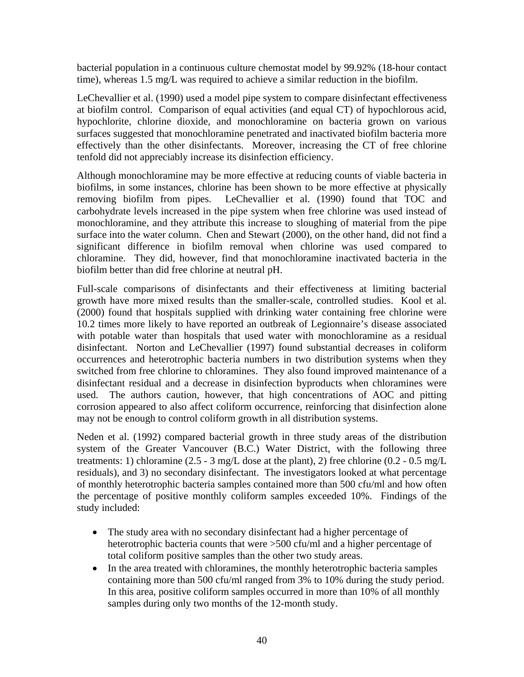bacterial population in a continuous culture chemostat model by 99.92% (18-hour contact time), whereas 1.5 mg/L was required to achieve a similar reduction in the biofilm.

LeChevallier et al. (1990) used a model pipe system to compare disinfectant effectiveness at biofilm control. Comparison of equal activities (and equal CT) of hypochlorous acid, hypochlorite, chlorine dioxide, and monochloramine on bacteria grown on various surfaces suggested that monochloramine penetrated and inactivated biofilm bacteria more effectively than the other disinfectants. Moreover, increasing the CT of free chlorine tenfold did not appreciably increase its disinfection efficiency.

Although monochloramine may be more effective at reducing counts of viable bacteria in biofilms, in some instances, chlorine has been shown to be more effective at physically removing biofilm from pipes. LeChevallier et al. (1990) found that TOC and carbohydrate levels increased in the pipe system when free chlorine was used instead of monochloramine, and they attribute this increase to sloughing of material from the pipe surface into the water column. Chen and Stewart (2000), on the other hand, did not find a significant difference in biofilm removal when chlorine was used compared to chloramine. They did, however, find that monochloramine inactivated bacteria in the biofilm better than did free chlorine at neutral pH.

Full-scale comparisons of disinfectants and their effectiveness at limiting bacterial growth have more mixed results than the smaller-scale, controlled studies. Kool et al. (2000) found that hospitals supplied with drinking water containing free chlorine were 10.2 times more likely to have reported an outbreak of Legionnaire's disease associated with potable water than hospitals that used water with monochloramine as a residual disinfectant. Norton and LeChevallier (1997) found substantial decreases in coliform occurrences and heterotrophic bacteria numbers in two distribution systems when they switched from free chlorine to chloramines. They also found improved maintenance of a disinfectant residual and a decrease in disinfection byproducts when chloramines were used. The authors caution, however, that high concentrations of AOC and pitting corrosion appeared to also affect coliform occurrence, reinforcing that disinfection alone may not be enough to control coliform growth in all distribution systems.

Neden et al. (1992) compared bacterial growth in three study areas of the distribution system of the Greater Vancouver (B.C.) Water District, with the following three treatments: 1) chloramine (2.5 - 3 mg/L dose at the plant), 2) free chlorine (0.2 - 0.5 mg/L residuals), and 3) no secondary disinfectant. The investigators looked at what percentage of monthly heterotrophic bacteria samples contained more than 500 cfu/ml and how often the percentage of positive monthly coliform samples exceeded 10%. Findings of the study included:

- The study area with no secondary disinfectant had a higher percentage of heterotrophic bacteria counts that were >500 cfu/ml and a higher percentage of total coliform positive samples than the other two study areas.
- In the area treated with chloramines, the monthly heterotrophic bacteria samples containing more than 500 cfu/ml ranged from 3% to 10% during the study period. In this area, positive coliform samples occurred in more than 10% of all monthly samples during only two months of the 12-month study.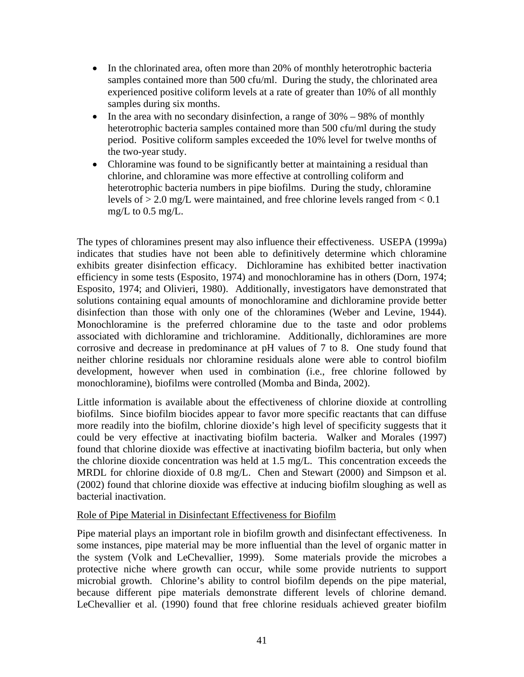- In the chlorinated area, often more than 20% of monthly heterotrophic bacteria samples contained more than 500 cfu/ml. During the study, the chlorinated area experienced positive coliform levels at a rate of greater than 10% of all monthly samples during six months.
- In the area with no secondary disinfection, a range of  $30\% 98\%$  of monthly heterotrophic bacteria samples contained more than 500 cfu/ml during the study period. Positive coliform samples exceeded the 10% level for twelve months of the two-year study.
- Chloramine was found to be significantly better at maintaining a residual than chlorine, and chloramine was more effective at controlling coliform and heterotrophic bacteria numbers in pipe biofilms. During the study, chloramine levels of  $> 2.0$  mg/L were maintained, and free chlorine levels ranged from  $< 0.1$ mg/L to 0.5 mg/L.

The types of chloramines present may also influence their effectiveness. USEPA (1999a) indicates that studies have not been able to definitively determine which chloramine exhibits greater disinfection efficacy. Dichloramine has exhibited better inactivation efficiency in some tests (Esposito, 1974) and monochloramine has in others (Dorn, 1974; Esposito, 1974; and Olivieri, 1980). Additionally, investigators have demonstrated that solutions containing equal amounts of monochloramine and dichloramine provide better disinfection than those with only one of the chloramines (Weber and Levine, 1944). Monochloramine is the preferred chloramine due to the taste and odor problems associated with dichloramine and trichloramine. Additionally, dichloramines are more corrosive and decrease in predominance at pH values of 7 to 8. One study found that neither chlorine residuals nor chloramine residuals alone were able to control biofilm development, however when used in combination (i.e., free chlorine followed by monochloramine), biofilms were controlled (Momba and Binda, 2002).

Little information is available about the effectiveness of chlorine dioxide at controlling biofilms. Since biofilm biocides appear to favor more specific reactants that can diffuse more readily into the biofilm, chlorine dioxide's high level of specificity suggests that it could be very effective at inactivating biofilm bacteria. Walker and Morales (1997) found that chlorine dioxide was effective at inactivating biofilm bacteria, but only when the chlorine dioxide concentration was held at 1.5 mg/L. This concentration exceeds the MRDL for chlorine dioxide of 0.8 mg/L. Chen and Stewart (2000) and Simpson et al. (2002) found that chlorine dioxide was effective at inducing biofilm sloughing as well as bacterial inactivation.

#### Role of Pipe Material in Disinfectant Effectiveness for Biofilm

Pipe material plays an important role in biofilm growth and disinfectant effectiveness. In some instances, pipe material may be more influential than the level of organic matter in the system (Volk and LeChevallier, 1999). Some materials provide the microbes a protective niche where growth can occur, while some provide nutrients to support microbial growth. Chlorine's ability to control biofilm depends on the pipe material, because different pipe materials demonstrate different levels of chlorine demand. LeChevallier et al. (1990) found that free chlorine residuals achieved greater biofilm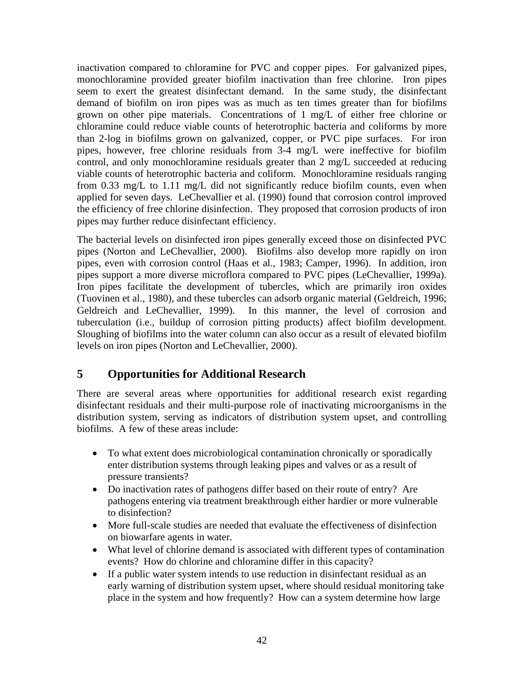inactivation compared to chloramine for PVC and copper pipes. For galvanized pipes, monochloramine provided greater biofilm inactivation than free chlorine. Iron pipes seem to exert the greatest disinfectant demand. In the same study, the disinfectant demand of biofilm on iron pipes was as much as ten times greater than for biofilms grown on other pipe materials. Concentrations of 1 mg/L of either free chlorine or chloramine could reduce viable counts of heterotrophic bacteria and coliforms by more than 2-log in biofilms grown on galvanized, copper, or PVC pipe surfaces. For iron pipes, however, free chlorine residuals from 3-4 mg/L were ineffective for biofilm control, and only monochloramine residuals greater than 2 mg/L succeeded at reducing viable counts of heterotrophic bacteria and coliform. Monochloramine residuals ranging from 0.33 mg/L to 1.11 mg/L did not significantly reduce biofilm counts, even when applied for seven days. LeChevallier et al. (1990) found that corrosion control improved the efficiency of free chlorine disinfection. They proposed that corrosion products of iron pipes may further reduce disinfectant efficiency.

The bacterial levels on disinfected iron pipes generally exceed those on disinfected PVC pipes (Norton and LeChevallier, 2000). Biofilms also develop more rapidly on iron pipes, even with corrosion control (Haas et al., 1983; Camper, 1996). In addition, iron pipes support a more diverse microflora compared to PVC pipes (LeChevallier, 1999a). Iron pipes facilitate the development of tubercles, which are primarily iron oxides (Tuovinen et al., 1980), and these tubercles can adsorb organic material (Geldreich, 1996; Geldreich and LeChevallier, 1999). In this manner, the level of corrosion and tuberculation (i.e., buildup of corrosion pitting products) affect biofilm development. Sloughing of biofilms into the water column can also occur as a result of elevated biofilm levels on iron pipes (Norton and LeChevallier, 2000).

# **5 Opportunities for Additional Research**

There are several areas where opportunities for additional research exist regarding disinfectant residuals and their multi-purpose role of inactivating microorganisms in the distribution system, serving as indicators of distribution system upset, and controlling biofilms. A few of these areas include:

- To what extent does microbiological contamination chronically or sporadically enter distribution systems through leaking pipes and valves or as a result of pressure transients?
- Do inactivation rates of pathogens differ based on their route of entry? Are pathogens entering via treatment breakthrough either hardier or more vulnerable to disinfection?
- More full-scale studies are needed that evaluate the effectiveness of disinfection on biowarfare agents in water.
- What level of chlorine demand is associated with different types of contamination events? How do chlorine and chloramine differ in this capacity?
- If a public water system intends to use reduction in disinfectant residual as an early warning of distribution system upset, where should residual monitoring take place in the system and how frequently? How can a system determine how large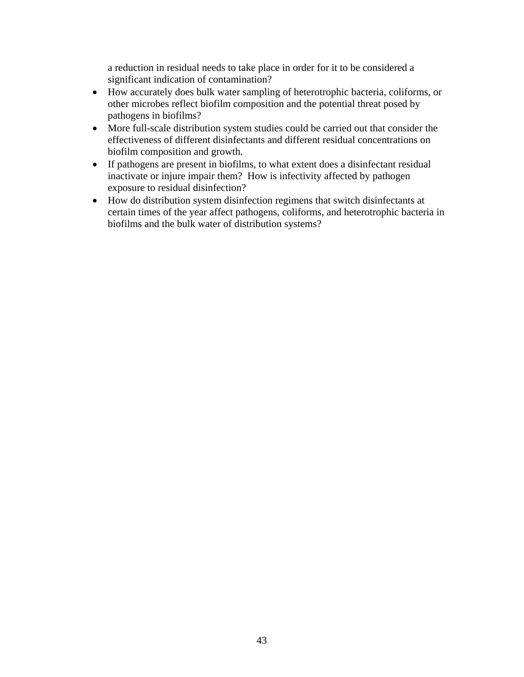a reduction in residual needs to take place in order for it to be considered a significant indication of contamination?

- How accurately does bulk water sampling of heterotrophic bacteria, coliforms, or other microbes reflect biofilm composition and the potential threat posed by pathogens in biofilms?
- More full-scale distribution system studies could be carried out that consider the effectiveness of different disinfectants and different residual concentrations on biofilm composition and growth.
- If pathogens are present in biofilms, to what extent does a disinfectant residual inactivate or injure impair them? How is infectivity affected by pathogen exposure to residual disinfection?
- How do distribution system disinfection regimens that switch disinfectants at certain times of the year affect pathogens, coliforms, and heterotrophic bacteria in biofilms and the bulk water of distribution systems?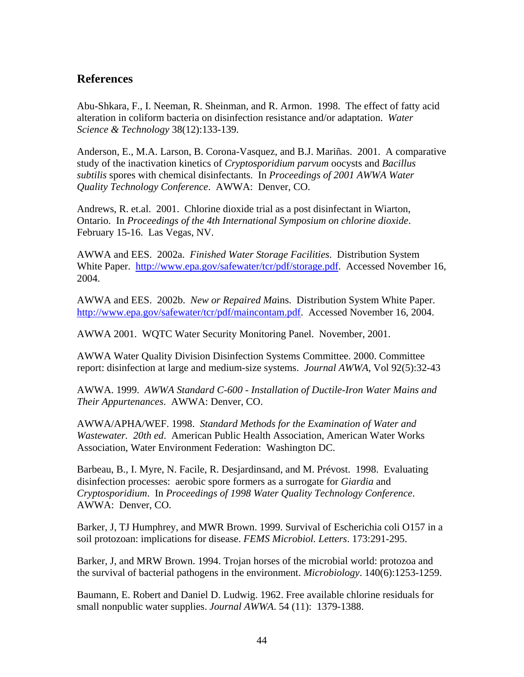### **References**

Abu-Shkara, F., I. Neeman, R. Sheinman, and R. Armon. 1998. The effect of fatty acid alteration in coliform bacteria on disinfection resistance and/or adaptation. *Water Science & Technology* 38(12):133-139.

Anderson, E., M.A. Larson, B. Corona-Vasquez, and B.J. Mariñas. 2001. A comparative study of the inactivation kinetics of *Cryptosporidium parvum* oocysts and *Bacillus subtilis* spores with chemical disinfectants. In *Proceedings of 2001 AWWA Water Quality Technology Conference*. AWWA: Denver, CO.

Andrews, R. et.al. 2001. Chlorine dioxide trial as a post disinfectant in Wiarton, Ontario. In *Proceedings of the 4th International Symposium on chlorine dioxide*. February 15-16. Las Vegas, NV.

AWWA and EES. 2002a. *Finished Water Storage Facilities*. Distribution System White Paper. http://www.epa.gov/safewater/tcr/pdf/storage.pdf. Accessed November 16, 2004.

AWWA and EES. 2002b. *New or Repaired Ma*ins. Distribution System White Paper. http://www.epa.gov/safewater/tcr/pdf/maincontam.pdf. Accessed November 16, 2004.

AWWA 2001. WQTC Water Security Monitoring Panel. November, 2001.

AWWA Water Quality Division Disinfection Systems Committee. 2000. Committee report: disinfection at large and medium-size systems. *Journal AWWA*, Vol 92(5):32-43

AWWA. 1999. *AWWA Standard C-600 - Installation of Ductile-Iron Water Mains and Their Appurtenances*. AWWA: Denver, CO.

AWWA/APHA/WEF. 1998. *Standard Methods for the Examination of Water and Wastewater. 20th ed*. American Public Health Association, American Water Works Association, Water Environment Federation: Washington DC.

Barbeau, B., I. Myre, N. Facile, R. Desjardinsand, and M. Prévost. 1998. Evaluating disinfection processes: aerobic spore formers as a surrogate for *Giardia* and *Cryptosporidium*. In *Proceedings of 1998 Water Quality Technology Conference*. AWWA: Denver, CO.

Barker, J, TJ Humphrey, and MWR Brown. 1999. Survival of Escherichia coli O157 in a soil protozoan: implications for disease. *FEMS Microbiol. Letters*. 173:291-295.

Barker, J, and MRW Brown. 1994. Trojan horses of the microbial world: protozoa and the survival of bacterial pathogens in the environment. *Microbiology*. 140(6):1253-1259.

Baumann, E. Robert and Daniel D. Ludwig. 1962. Free available chlorine residuals for small nonpublic water supplies. *Journal AWWA*. 54 (11): 1379-1388.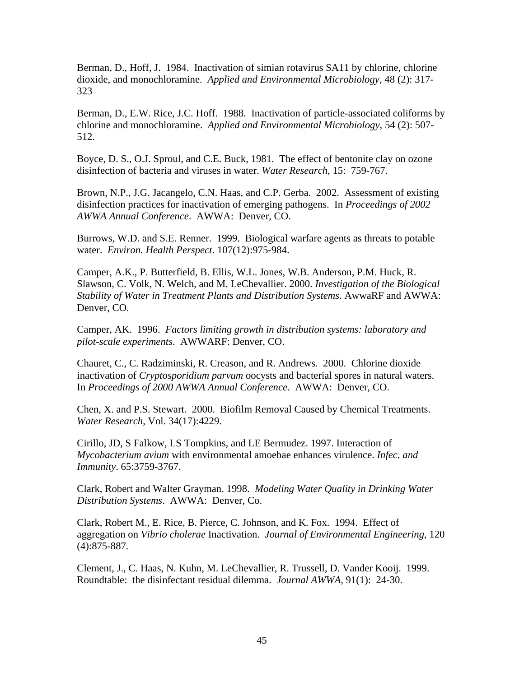Berman, D., Hoff, J. 1984. Inactivation of simian rotavirus SA11 by chlorine, chlorine dioxide, and monochloramine. *Applied and Environmental Microbiology*, 48 (2): 317- 323

Berman, D., E.W. Rice, J.C. Hoff. 1988. Inactivation of particle-associated coliforms by chlorine and monochloramine. *Applied and Environmental Microbiology*, 54 (2): 507- 512.

Boyce, D. S., O.J. Sproul, and C.E. Buck, 1981. The effect of bentonite clay on ozone disinfection of bacteria and viruses in water. *Water Research*, 15: 759-767.

Brown, N.P., J.G. Jacangelo, C.N. Haas, and C.P. Gerba. 2002. Assessment of existing disinfection practices for inactivation of emerging pathogens. In *Proceedings of 2002 AWWA Annual Conference*. AWWA: Denver, CO.

Burrows, W.D. and S.E. Renner. 1999. Biological warfare agents as threats to potable water. *Environ. Health Perspect*. 107(12):975-984.

Camper, A.K., P. Butterfield, B. Ellis, W.L. Jones, W.B. Anderson, P.M. Huck, R. Slawson, C. Volk, N. Welch, and M. LeChevallier. 2000. *Investigation of the Biological Stability of Water in Treatment Plants and Distribution Systems*. AwwaRF and AWWA: Denver, CO.

Camper, AK. 1996. *Factors limiting growth in distribution systems: laboratory and pilot-scale experiments*. AWWARF: Denver, CO.

Chauret, C., C. Radziminski, R. Creason, and R. Andrews. 2000. Chlorine dioxide inactivation of *Cryptosporidium parvum* oocysts and bacterial spores in natural waters. In *Proceedings of 2000 AWWA Annual Conference*. AWWA: Denver, CO.

Chen, X. and P.S. Stewart. 2000. Biofilm Removal Caused by Chemical Treatments. *Water Research*, Vol. 34(17):4229.

Cirillo, JD, S Falkow, LS Tompkins, and LE Bermudez. 1997. Interaction of *Mycobacterium avium* with environmental amoebae enhances virulence. *Infec. and Immunity*. 65:3759-3767.

Clark, Robert and Walter Grayman. 1998. *Modeling Water Quality in Drinking Water Distribution Systems*. AWWA: Denver, Co.

Clark, Robert M., E. Rice, B. Pierce, C. Johnson, and K. Fox. 1994. Effect of aggregation on *Vibrio cholerae* Inactivation. *Journal of Environmental Engineering*, 120 (4):875-887.

Clement, J., C. Haas, N. Kuhn, M. LeChevallier, R. Trussell, D. Vander Kooij. 1999. Roundtable: the disinfectant residual dilemma. *Journal AWWA*, 91(1): 24-30.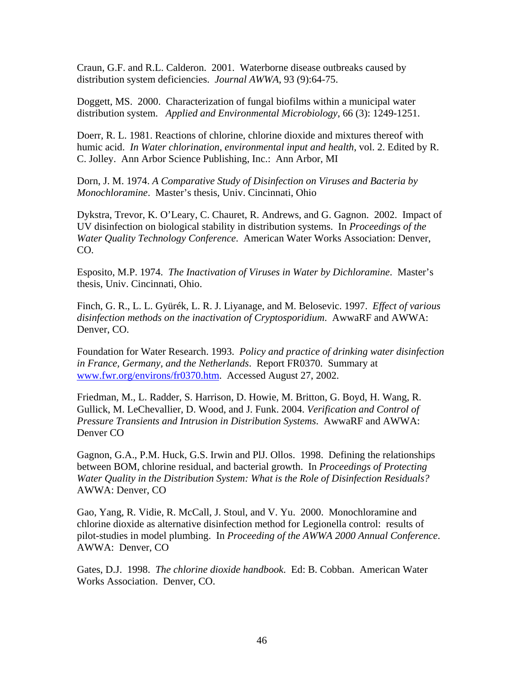Craun, G.F. and R.L. Calderon. 2001. Waterborne disease outbreaks caused by distribution system deficiencies. *Journal AWWA*, 93 (9):64-75.

Doggett, MS. 2000. Characterization of fungal biofilms within a municipal water distribution system. *Applied and Environmental Microbiology*, 66 (3): 1249-1251.

Doerr, R. L. 1981. Reactions of chlorine, chlorine dioxide and mixtures thereof with humic acid. *In Water chlorination, environmental input and health*, vol. 2. Edited by R. C. Jolley. Ann Arbor Science Publishing, Inc.: Ann Arbor, MI

Dorn, J. M. 1974. *A Comparative Study of Disinfection on Viruses and Bacteria by Monochloramine*. Master's thesis, Univ. Cincinnati, Ohio

Dykstra, Trevor, K. O'Leary, C. Chauret, R. Andrews, and G. Gagnon. 2002. Impact of UV disinfection on biological stability in distribution systems. In *Proceedings of the Water Quality Technology Conference*. American Water Works Association: Denver, CO.

Esposito, M.P. 1974. *The Inactivation of Viruses in Water by Dichloramine*. Master's thesis, Univ. Cincinnati, Ohio.

Finch, G. R., L. L. Gyürék, L. R. J. Liyanage, and M. Belosevic. 1997. *Effect of various disinfection methods on the inactivation of Cryptosporidium*. AwwaRF and AWWA: Denver, CO.

Foundation for Water Research. 1993. *Policy and practice of drinking water disinfection in France, Germany, and the Netherlands*. Report FR0370. Summary at www.fwr.org/environs/fr0370.htm. Accessed August 27, 2002.

Friedman, M., L. Radder, S. Harrison, D. Howie, M. Britton, G. Boyd, H. Wang, R. Gullick, M. LeChevallier, D. Wood, and J. Funk. 2004. *Verification and Control of Pressure Transients and Intrusion in Distribution Systems*. AwwaRF and AWWA: Denver CO

Gagnon, G.A., P.M. Huck, G.S. Irwin and PlJ. Ollos. 1998. Defining the relationships between BOM, chlorine residual, and bacterial growth. In *Proceedings of Protecting Water Quality in the Distribution System: What is the Role of Disinfection Residuals?* AWWA: Denver, CO

Gao, Yang, R. Vidie, R. McCall, J. Stoul, and V. Yu. 2000. Monochloramine and chlorine dioxide as alternative disinfection method for Legionella control: results of pilot-studies in model plumbing. In *Proceeding of the AWWA 2000 Annual Conference*. AWWA: Denver, CO

Gates, D.J. 1998. *The chlorine dioxide handbook*. Ed: B. Cobban. American Water Works Association. Denver, CO.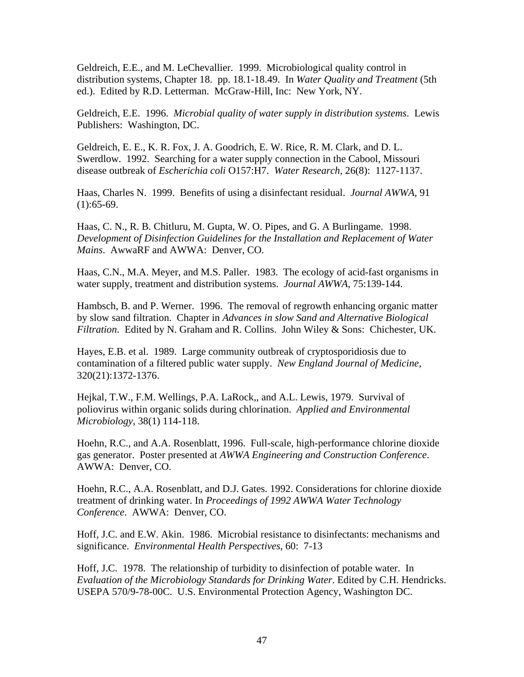Geldreich, E.E., and M. LeChevallier. 1999. Microbiological quality control in distribution systems, Chapter 18. pp. 18.1-18.49. In *Water Quality and Treatment* (5th ed.). Edited by R.D. Letterman. McGraw-Hill, Inc: New York, NY.

Geldreich, E.E. 1996. *Microbial quality of water supply in distribution systems*. Lewis Publishers: Washington, DC.

Geldreich, E. E., K. R. Fox, J. A. Goodrich, E. W. Rice, R. M. Clark, and D. L. Swerdlow. 1992. Searching for a water supply connection in the Cabool, Missouri disease outbreak of *Escherichia coli* O157:H7. *Water Research*, 26(8): 1127-1137.

Haas, Charles N. 1999. Benefits of using a disinfectant residual. *Journal AWWA*, 91  $(1): 65-69.$ 

Haas, C. N., R. B. Chitluru, M. Gupta, W. O. Pipes, and G. A Burlingame. 1998. *Development of Disinfection Guidelines for the Installation and Replacement of Water Mains*. AwwaRF and AWWA: Denver, CO.

Haas, C.N., M.A. Meyer, and M.S. Paller. 1983. The ecology of acid-fast organisms in water supply, treatment and distribution systems. *Journal AWWA*, 75:139-144.

Hambsch, B. and P. Werner. 1996. The removal of regrowth enhancing organic matter by slow sand filtration. Chapter in *Advances in slow Sand and Alternative Biological Filtration*. Edited by N. Graham and R. Collins. John Wiley & Sons: Chichester, UK.

Hayes, E.B. et al. 1989. Large community outbreak of cryptosporidiosis due to contamination of a filtered public water supply. *New England Journal of Medicine*, 320(21):1372-1376.

Hejkal, T.W., F.M. Wellings, P.A. LaRock,, and A.L. Lewis, 1979. Survival of poliovirus within organic solids during chlorination. *Applied and Environmental Microbiology*, 38(1) 114-118.

Hoehn, R.C., and A.A. Rosenblatt, 1996. Full-scale, high-performance chlorine dioxide gas generator. Poster presented at *AWWA Engineering and Construction Conference*. AWWA: Denver, CO.

Hoehn, R.C., A.A. Rosenblatt, and D.J. Gates. 1992. Considerations for chlorine dioxide treatment of drinking water. In *Proceedings of 1992 AWWA Water Technology Conference*. AWWA: Denver, CO.

Hoff, J.C. and E.W. Akin. 1986. Microbial resistance to disinfectants: mechanisms and significance. *Environmental Health Perspectives*, 60: 7-13

Hoff, J.C. 1978. The relationship of turbidity to disinfection of potable water. In *Evaluation of the Microbiology Standards for Drinking Water*. Edited by C.H. Hendricks. USEPA 570/9-78-00C. U.S. Environmental Protection Agency, Washington DC.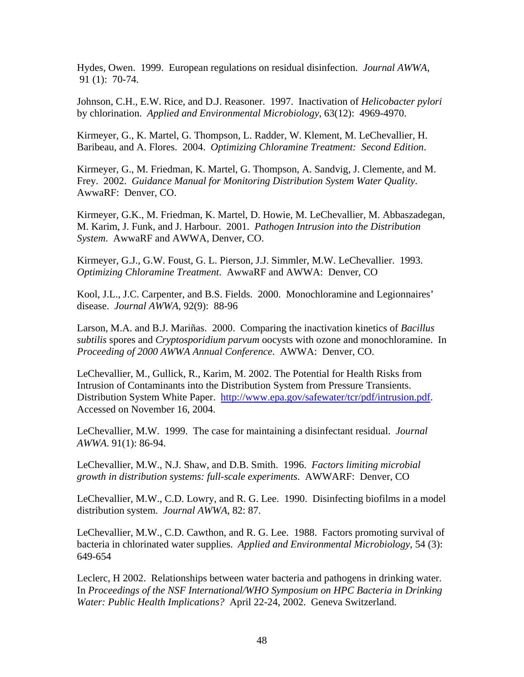Hydes, Owen. 1999. European regulations on residual disinfection. *Journal AWWA*, 91 (1): 70-74.

Johnson, C.H., E.W. Rice, and D.J. Reasoner. 1997. Inactivation of *Helicobacter pylori* by chlorination. *Applied and Environmental Microbiology*, 63(12): 4969-4970.

Kirmeyer, G., K. Martel, G. Thompson, L. Radder, W. Klement, M. LeChevallier, H. Baribeau, and A. Flores. 2004. *Optimizing Chloramine Treatment: Second Edition*.

Kirmeyer, G., M. Friedman, K. Martel, G. Thompson, A. Sandvig, J. Clemente, and M. Frey. 2002. *Guidance Manual for Monitoring Distribution System Water Quality*. AwwaRF: Denver, CO.

Kirmeyer, G.K., M. Friedman, K. Martel, D. Howie, M. LeChevallier, M. Abbaszadegan, M. Karim, J. Funk, and J. Harbour. 2001. *Pathogen Intrusion into the Distribution System*. AwwaRF and AWWA, Denver, CO.

Kirmeyer, G.J., G.W. Foust, G. L. Pierson, J.J. Simmler, M.W. LeChevallier. 1993. *Optimizing Chloramine Treatment*. AwwaRF and AWWA: Denver, CO

Kool, J.L., J.C. Carpenter, and B.S. Fields. 2000. Monochloramine and Legionnaires' disease. *Journal AWWA*, 92(9): 88-96

Larson, M.A. and B.J. Mariñas. 2000. Comparing the inactivation kinetics of *Bacillus subtilis* spores and *Cryptosporidium parvum* oocysts with ozone and monochloramine. In *Proceeding of 2000 AWWA Annual Conference*. AWWA: Denver, CO.

LeChevallier, M., Gullick, R., Karim, M. 2002. The Potential for Health Risks from Intrusion of Contaminants into the Distribution System from Pressure Transients. Distribution System White Paper. http://www.epa.gov/safewater/tcr/pdf/intrusion.pdf. Accessed on November 16, 2004.

LeChevallier, M.W. 1999. The case for maintaining a disinfectant residual. *Journal AWWA*. 91(1): 86-94.

LeChevallier, M.W., N.J. Shaw, and D.B. Smith. 1996. *Factors limiting microbial growth in distribution systems: full-scale experiments*. AWWARF: Denver, CO

LeChevallier, M.W., C.D. Lowry, and R. G. Lee. 1990. Disinfecting biofilms in a model distribution system. *Journal AWWA*, 82: 87.

LeChevallier, M.W., C.D. Cawthon, and R. G. Lee. 1988. Factors promoting survival of bacteria in chlorinated water supplies. *Applied and Environmental Microbiology*, 54 (3): 649-654

Leclerc, H 2002. Relationships between water bacteria and pathogens in drinking water. In *Proceedings of the NSF International/WHO Symposium on HPC Bacteria in Drinking Water: Public Health Implications?* April 22-24, 2002. Geneva Switzerland.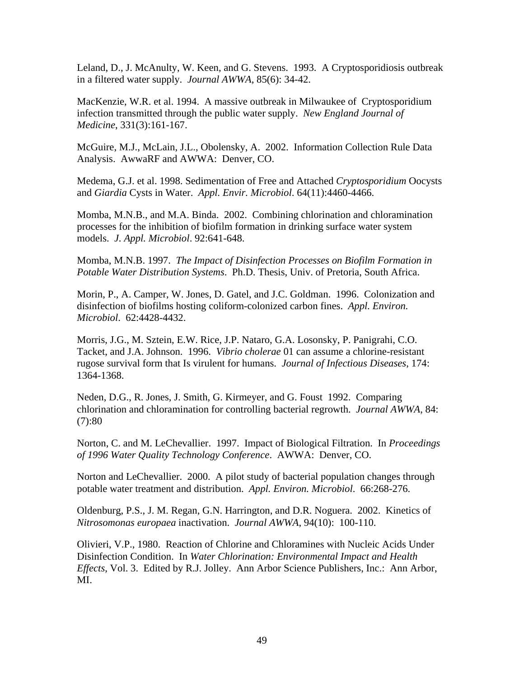Leland, D., J. McAnulty, W. Keen, and G. Stevens. 1993. A Cryptosporidiosis outbreak in a filtered water supply. *Journal AWWA*, 85(6): 34-42.

MacKenzie, W.R. et al. 1994. A massive outbreak in Milwaukee of Cryptosporidium infection transmitted through the public water supply. *New England Journal of Medicine*, 331(3):161-167.

McGuire, M.J., McLain, J.L., Obolensky, A. 2002. Information Collection Rule Data Analysis. AwwaRF and AWWA: Denver, CO.

Medema, G.J. et al. 1998. Sedimentation of Free and Attached *Cryptosporidium* Oocysts and *Giardia* Cysts in Water. *Appl. Envir. Microbiol*. 64(11):4460-4466.

Momba, M.N.B., and M.A. Binda. 2002. Combining chlorination and chloramination processes for the inhibition of biofilm formation in drinking surface water system models. *J. Appl. Microbiol*. 92:641-648.

Momba, M.N.B. 1997. *The Impact of Disinfection Processes on Biofilm Formation in Potable Water Distribution Systems*. Ph.D. Thesis, Univ. of Pretoria, South Africa.

Morin, P., A. Camper, W. Jones, D. Gatel, and J.C. Goldman. 1996. Colonization and disinfection of biofilms hosting coliform-colonized carbon fines. *Appl. Environ. Microbiol*. 62:4428-4432.

Morris, J.G., M. Sztein, E.W. Rice, J.P. Nataro, G.A. Losonsky, P. Panigrahi, C.O. Tacket, and J.A. Johnson. 1996. *Vibrio cholerae* 01 can assume a chlorine-resistant rugose survival form that Is virulent for humans. *Journal of Infectious Diseases*, 174: 1364-1368.

Neden, D.G., R. Jones, J. Smith, G. Kirmeyer, and G. Foust 1992. Comparing chlorination and chloramination for controlling bacterial regrowth. *Journal AWWA*, 84:  $(7):80$ 

Norton, C. and M. LeChevallier. 1997. Impact of Biological Filtration. In *Proceedings of 1996 Water Quality Technology Conference*. AWWA: Denver, CO.

Norton and LeChevallier. 2000. A pilot study of bacterial population changes through potable water treatment and distribution. *Appl. Environ. Microbiol*. 66:268-276.

Oldenburg, P.S., J. M. Regan, G.N. Harrington, and D.R. Noguera. 2002. Kinetics of *Nitrosomonas europaea* inactivation. *Journal AWWA*, 94(10): 100-110.

Olivieri, V.P., 1980. Reaction of Chlorine and Chloramines with Nucleic Acids Under Disinfection Condition. In *Water Chlorination: Environmental Impact and Health Effects*, Vol. 3. Edited by R.J. Jolley. Ann Arbor Science Publishers, Inc.: Ann Arbor, MI.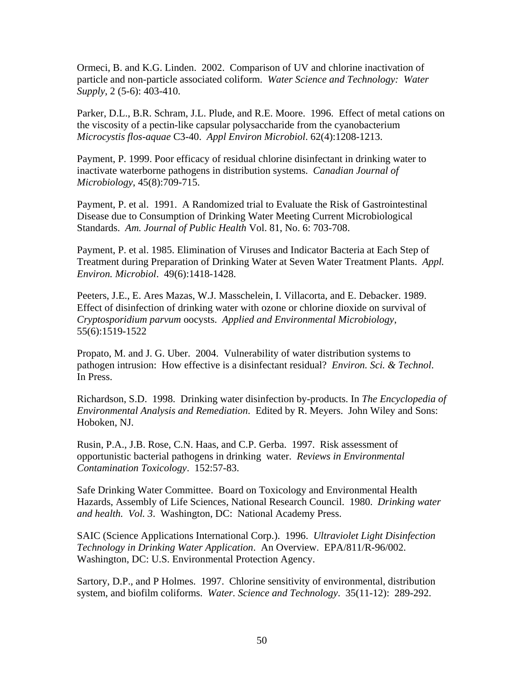Ormeci, B. and K.G. Linden. 2002. Comparison of UV and chlorine inactivation of particle and non-particle associated coliform. *Water Science and Technology: Water Supply*, 2 (5-6): 403-410.

Parker, D.L., B.R. Schram, J.L. Plude, and R.E. Moore. 1996. Effect of metal cations on the viscosity of a pectin-like capsular polysaccharide from the cyanobacterium *Microcystis flos-aquae* C3-40. *Appl Environ Microbiol*. 62(4):1208-1213.

Payment, P. 1999. Poor efficacy of residual chlorine disinfectant in drinking water to inactivate waterborne pathogens in distribution systems. *Canadian Journal of Microbiology*, 45(8):709-715.

Payment, P. et al. 1991. A Randomized trial to Evaluate the Risk of Gastrointestinal Disease due to Consumption of Drinking Water Meeting Current Microbiological Standards. *Am. Journal of Public Health* Vol. 81, No. 6: 703-708.

Payment, P. et al. 1985. Elimination of Viruses and Indicator Bacteria at Each Step of Treatment during Preparation of Drinking Water at Seven Water Treatment Plants. *Appl. Environ. Microbiol*. 49(6):1418-1428.

Peeters, J.E., E. Ares Mazas, W.J. Masschelein, I. Villacorta, and E. Debacker. 1989. Effect of disinfection of drinking water with ozone or chlorine dioxide on survival of *Cryptosporidium parvum* oocysts. *Applied and Environmental Microbiology*, 55(6):1519-1522

Propato, M. and J. G. Uber. 2004. Vulnerability of water distribution systems to pathogen intrusion: How effective is a disinfectant residual? *Environ. Sci. & Technol*. In Press.

Richardson, S.D. 1998. Drinking water disinfection by-products. In *The Encyclopedia of Environmental Analysis and Remediation*. Edited by R. Meyers. John Wiley and Sons: Hoboken, NJ.

Rusin, P.A., J.B. Rose, C.N. Haas, and C.P. Gerba. 1997. Risk assessment of opportunistic bacterial pathogens in drinking water. *Reviews in Environmental Contamination Toxicology*. 152:57-83.

Safe Drinking Water Committee. Board on Toxicology and Environmental Health Hazards, Assembly of Life Sciences, National Research Council. 1980. *Drinking water and health. Vol. 3*. Washington, DC: National Academy Press.

SAIC (Science Applications International Corp.). 1996. *Ultraviolet Light Disinfection Technology in Drinking Water Application*. An Overview. EPA/811/R-96/002. Washington, DC: U.S. Environmental Protection Agency.

Sartory, D.P., and P Holmes. 1997. Chlorine sensitivity of environmental, distribution system, and biofilm coliforms. *Water. Science and Technology*. 35(11-12): 289-292.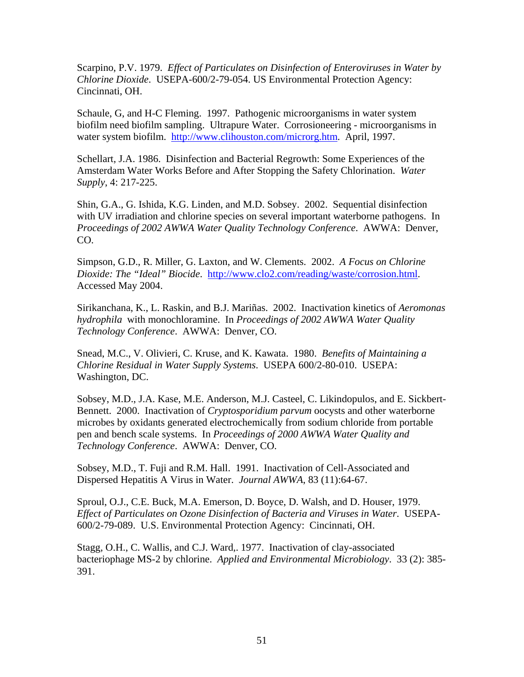Scarpino, P.V. 1979. *Effect of Particulates on Disinfection of Enteroviruses in Water by Chlorine Dioxide*. USEPA-600/2-79-054. US Environmental Protection Agency: Cincinnati, OH.

Schaule, G, and H-C Fleming. 1997. Pathogenic microorganisms in water system biofilm need biofilm sampling. Ultrapure Water. Corrosioneering - microorganisms in water system biofilm. http://www.clihouston.com/microrg.htm. April, 1997.

Schellart, J.A. 1986. Disinfection and Bacterial Regrowth: Some Experiences of the Amsterdam Water Works Before and After Stopping the Safety Chlorination. *Water Supply*, 4: 217-225.

Shin, G.A., G. Ishida, K.G. Linden, and M.D. Sobsey. 2002. Sequential disinfection with UV irradiation and chlorine species on several important waterborne pathogens. In *Proceedings of 2002 AWWA Water Quality Technology Conference*. AWWA: Denver, CO.

Simpson, G.D., R. Miller, G. Laxton, and W. Clements. 2002. *A Focus on Chlorine Dioxide: The "Ideal" Biocide*. http://www.clo2.com/reading/waste/corrosion.html. Accessed May 2004.

Sirikanchana, K., L. Raskin, and B.J. Mariñas. 2002. Inactivation kinetics of *Aeromonas hydrophila* with monochloramine. In *Proceedings of 2002 AWWA Water Quality Technology Conference*. AWWA: Denver, CO.

Snead, M.C., V. Olivieri, C. Kruse, and K. Kawata. 1980. *Benefits of Maintaining a Chlorine Residual in Water Supply Systems*. USEPA 600/2-80-010. USEPA: Washington, DC.

Sobsey, M.D., J.A. Kase, M.E. Anderson, M.J. Casteel, C. Likindopulos, and E. Sickbert-Bennett. 2000. Inactivation of *Cryptosporidium parvum* oocysts and other waterborne microbes by oxidants generated electrochemically from sodium chloride from portable pen and bench scale systems. In *Proceedings of 2000 AWWA Water Quality and Technology Conference*. AWWA: Denver, CO.

Sobsey, M.D., T. Fuji and R.M. Hall. 1991. Inactivation of Cell-Associated and Dispersed Hepatitis A Virus in Water. *Journal AWWA*, 83 (11):64-67.

Sproul, O.J., C.E. Buck, M.A. Emerson, D. Boyce, D. Walsh, and D. Houser, 1979. *Effect of Particulates on Ozone Disinfection of Bacteria and Viruses in Water*. USEPA-600/2-79-089. U.S. Environmental Protection Agency: Cincinnati, OH.

Stagg, O.H., C. Wallis, and C.J. Ward,. 1977. Inactivation of clay-associated bacteriophage MS-2 by chlorine. *Applied and Environmental Microbiology*. 33 (2): 385- 391.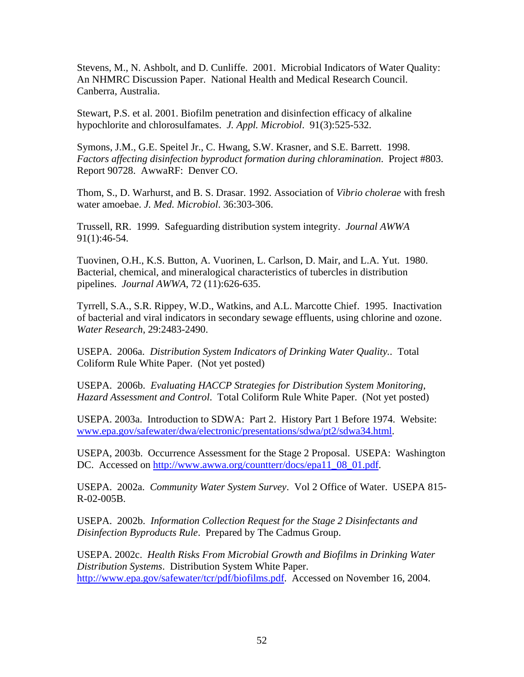Stevens, M., N. Ashbolt, and D. Cunliffe. 2001. Microbial Indicators of Water Quality: An NHMRC Discussion Paper. National Health and Medical Research Council. Canberra, Australia.

Stewart, P.S. et al. 2001. Biofilm penetration and disinfection efficacy of alkaline hypochlorite and chlorosulfamates. *J. Appl. Microbiol*. 91(3):525-532.

Symons, J.M., G.E. Speitel Jr., C. Hwang, S.W. Krasner, and S.E. Barrett. 1998. *Factors affecting disinfection byproduct formation during chloramination*. Project #803. Report 90728. AwwaRF: Denver CO.

Thom, S., D. Warhurst, and B. S. Drasar. 1992. Association of *Vibrio cholerae* with fresh water amoebae. *J. Med. Microbiol*. 36:303-306.

Trussell, RR. 1999. Safeguarding distribution system integrity. *Journal AWWA* 91(1):46-54.

Tuovinen, O.H., K.S. Button, A. Vuorinen, L. Carlson, D. Mair, and L.A. Yut. 1980. Bacterial, chemical, and mineralogical characteristics of tubercles in distribution pipelines. *Journal AWWA*, 72 (11):626-635.

Tyrrell, S.A., S.R. Rippey, W.D., Watkins, and A.L. Marcotte Chief. 1995. Inactivation of bacterial and viral indicators in secondary sewage effluents, using chlorine and ozone. *Water Research*, 29:2483-2490.

USEPA. 2006a. *Distribution System Indicators of Drinking Water Quality.*. Total Coliform Rule White Paper. (Not yet posted)

USEPA. 2006b. *Evaluating HACCP Strategies for Distribution System Monitoring, Hazard Assessment and Control*. Total Coliform Rule White Paper. (Not yet posted)

USEPA. 2003a. Introduction to SDWA: Part 2. History Part 1 Before 1974. Website: www.epa.gov/safewater/dwa/electronic/presentations/sdwa/pt2/sdwa34.html.

USEPA, 2003b. Occurrence Assessment for the Stage 2 Proposal. USEPA: Washington DC. Accessed on http://www.awwa.org/countterr/docs/epa11\_08\_01.pdf.

USEPA. 2002a. *Community Water System Survey*. Vol 2 Office of Water. USEPA 815- R-02-005B.

USEPA. 2002b. *Information Collection Request for the Stage 2 Disinfectants and Disinfection Byproducts Rule*. Prepared by The Cadmus Group.

USEPA. 2002c. *Health Risks From Microbial Growth and Biofilms in Drinking Water Distribution Systems*. Distribution System White Paper. http://www.epa.gov/safewater/tcr/pdf/biofilms.pdf. Accessed on November 16, 2004.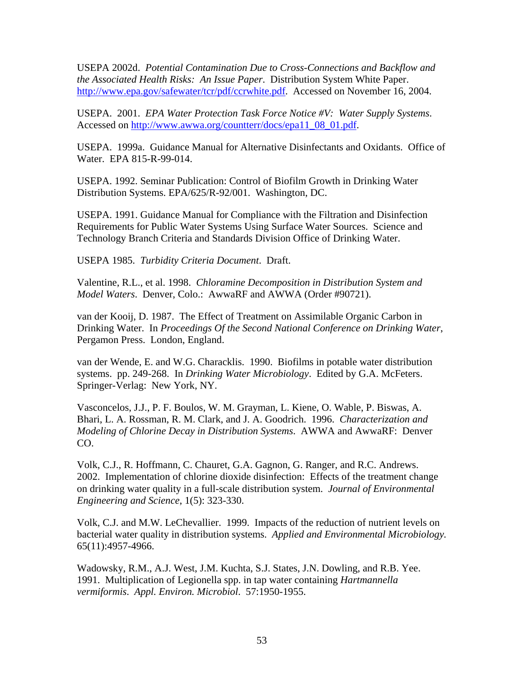USEPA 2002d. *Potential Contamination Due to Cross-Connections and Backflow and the Associated Health Risks: An Issue Paper*. Distribution System White Paper. http://www.epa.gov/safewater/tcr/pdf/ccrwhite.pdf. Accessed on November 16, 2004.

USEPA. 2001. *EPA Water Protection Task Force Notice #V: Water Supply Systems*. Accessed on http://www.awwa.org/countterr/docs/epa11\_08\_01.pdf.

USEPA. 1999a. Guidance Manual for Alternative Disinfectants and Oxidants. Office of Water. EPA 815-R-99-014.

USEPA. 1992. Seminar Publication: Control of Biofilm Growth in Drinking Water Distribution Systems. EPA/625/R-92/001. Washington, DC.

USEPA. 1991. Guidance Manual for Compliance with the Filtration and Disinfection Requirements for Public Water Systems Using Surface Water Sources. Science and Technology Branch Criteria and Standards Division Office of Drinking Water.

USEPA 1985. *Turbidity Criteria Document*. Draft.

Valentine, R.L., et al. 1998. *Chloramine Decomposition in Distribution System and Model Waters*. Denver, Colo.: AwwaRF and AWWA (Order #90721).

van der Kooij, D. 1987. The Effect of Treatment on Assimilable Organic Carbon in Drinking Water. In *Proceedings Of the Second National Conference on Drinking Water*, Pergamon Press. London, England.

van der Wende, E. and W.G. Characklis. 1990. Biofilms in potable water distribution systems. pp. 249-268. In *Drinking Water Microbiology*. Edited by G.A. McFeters. Springer-Verlag: New York, NY.

Vasconcelos, J.J., P. F. Boulos, W. M. Grayman, L. Kiene, O. Wable, P. Biswas, A. Bhari, L. A. Rossman, R. M. Clark, and J. A. Goodrich. 1996. *Characterization and Modeling of Chlorine Decay in Distribution Systems*. AWWA and AwwaRF: Denver CO.

Volk, C.J., R. Hoffmann, C. Chauret, G.A. Gagnon, G. Ranger, and R.C. Andrews. 2002. Implementation of chlorine dioxide disinfection: Effects of the treatment change on drinking water quality in a full-scale distribution system. *Journal of Environmental Engineering and Science*, 1(5): 323-330.

Volk, C.J. and M.W. LeChevallier. 1999. Impacts of the reduction of nutrient levels on bacterial water quality in distribution systems. *Applied and Environmental Microbiology.* 65(11):4957-4966.

Wadowsky, R.M., A.J. West, J.M. Kuchta, S.J. States, J.N. Dowling, and R.B. Yee. 1991. Multiplication of Legionella spp. in tap water containing *Hartmannella vermiformis*. *Appl. Environ. Microbiol*. 57:1950-1955.